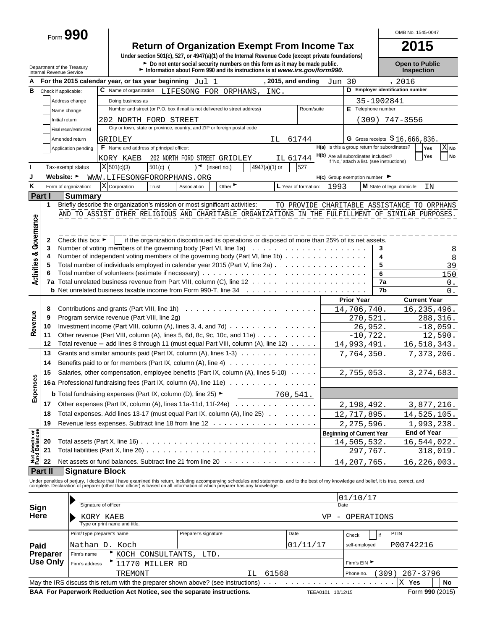Form **990**

## **Return of Organization Exempt From Income Tax**<br>
Under section 501(c), 527, or 4947(a)(1) of the Internal Revenue Code (except private foundations)

Department of the Treasury **Depen to Public**<br>Department of the Treasury **Depen to Public**<br>Internal Revenue Service **Depen to Public Depen internal Revenue Service internal Revenue Service <b>Depen to Public** 

OMB No. 1545-0047

| А                                      |    |                      | For the 2015 calendar year, or tax year beginning $Jul 1$                                                                                                                                                                         |                                                                                  |                   |                                                 |  |                      |      |                                                                                                 |               |       | , 2015, and ending   |            | Jun                            | 30                                                                                |         | , 2016                                        |                     |                   |
|----------------------------------------|----|----------------------|-----------------------------------------------------------------------------------------------------------------------------------------------------------------------------------------------------------------------------------|----------------------------------------------------------------------------------|-------------------|-------------------------------------------------|--|----------------------|------|-------------------------------------------------------------------------------------------------|---------------|-------|----------------------|------------|--------------------------------|-----------------------------------------------------------------------------------|---------|-----------------------------------------------|---------------------|-------------------|
| в                                      |    | Check if applicable: |                                                                                                                                                                                                                                   | C Name of organization                                                           |                   |                                                 |  |                      |      | LIFESONG FOR ORPHANS,                                                                           |               | INC.  |                      |            |                                |                                                                                   |         | D Employer identification number              |                     |                   |
|                                        |    |                      | Address change                                                                                                                                                                                                                    |                                                                                  | Doing business as |                                                 |  |                      |      |                                                                                                 |               |       |                      |            |                                |                                                                                   |         | 35-1902841                                    |                     |                   |
|                                        |    |                      | Name change                                                                                                                                                                                                                       |                                                                                  |                   |                                                 |  |                      |      | Number and street (or P.O. box if mail is not delivered to street address)                      |               |       |                      | Room/suite |                                | E Telephone number                                                                |         |                                               |                     |                   |
|                                        |    | Initial return       |                                                                                                                                                                                                                                   | 202 NORTH FORD STREET                                                            |                   |                                                 |  |                      |      |                                                                                                 |               |       |                      |            |                                |                                                                                   |         | $(309)$ 747-3556                              |                     |                   |
|                                        |    |                      | Final return/terminated                                                                                                                                                                                                           |                                                                                  |                   |                                                 |  |                      |      | City or town, state or province, country, and ZIP or foreign postal code                        |               |       |                      |            |                                |                                                                                   |         |                                               |                     |                   |
|                                        |    |                      | Amended return                                                                                                                                                                                                                    |                                                                                  |                   |                                                 |  |                      |      |                                                                                                 |               |       |                      |            |                                |                                                                                   |         | G Gross receipts $$16,666,836$ .              |                     |                   |
|                                        |    |                      |                                                                                                                                                                                                                                   | GRIDLEY                                                                          |                   | <b>F</b> Name and address of principal officer: |  |                      |      |                                                                                                 |               | IL    | 61744                |            |                                |                                                                                   |         | H(a) Is this a group return for subordinates? |                     | $\overline{X}$ No |
|                                        |    |                      | Application pending                                                                                                                                                                                                               |                                                                                  |                   |                                                 |  |                      |      |                                                                                                 |               |       |                      |            |                                |                                                                                   |         |                                               | Yes                 |                   |
|                                        |    |                      |                                                                                                                                                                                                                                   | KORY KAEB                                                                        |                   |                                                 |  |                      |      | 202 NORTH FORD STREET GRIDLEY                                                                   |               |       | IL 61744             |            |                                | H(b) Are all subordinates included?<br>If 'No,' attach a list. (see instructions) |         |                                               | Yes                 | No                |
|                                        |    |                      | Tax-exempt status                                                                                                                                                                                                                 | X 501(c)(3)                                                                      |                   | $501(c)$ (                                      |  | ∖◄                   |      | (insert no.)                                                                                    | 4947(a)(1) or |       | 527                  |            |                                |                                                                                   |         |                                               |                     |                   |
| J                                      |    | Website: ►           |                                                                                                                                                                                                                                   | WWW.LIFESONGFORORPHANS.ORG                                                       |                   |                                                 |  |                      |      |                                                                                                 |               |       |                      |            |                                | $H(c)$ Group exemption number $\blacktriangleright$                               |         |                                               |                     |                   |
| κ                                      |    |                      | Form of organization:                                                                                                                                                                                                             | X Corporation                                                                    |                   | Trust                                           |  | Association          |      | Other                                                                                           |               |       | L Year of formation: |            | 1993                           |                                                                                   |         | M State of legal domicile:                    | ΙN                  |                   |
| Part I                                 |    |                      | <b>Summary</b>                                                                                                                                                                                                                    |                                                                                  |                   |                                                 |  |                      |      |                                                                                                 |               |       |                      |            |                                |                                                                                   |         |                                               |                     |                   |
|                                        |    | 1                    | Briefly describe the organization's mission or most significant activities:                                                                                                                                                       |                                                                                  |                   |                                                 |  |                      |      |                                                                                                 |               |       |                      |            |                                |                                                                                   |         | TO PROVIDE CHARITABLE ASSISTANCE TO ORPHANS   |                     |                   |
|                                        |    |                      | AND TO ASSIST OTHER RELIGIOUS AND CHARITABLE ORGANIZATIONS IN THE FULFILLMENT OF SIMILAR PURPOSES.                                                                                                                                |                                                                                  |                   |                                                 |  |                      |      |                                                                                                 |               |       |                      |            |                                |                                                                                   |         |                                               |                     |                   |
|                                        |    |                      |                                                                                                                                                                                                                                   |                                                                                  |                   |                                                 |  |                      |      |                                                                                                 |               |       |                      |            |                                |                                                                                   |         |                                               |                     |                   |
|                                        |    |                      |                                                                                                                                                                                                                                   |                                                                                  |                   |                                                 |  |                      |      |                                                                                                 |               |       |                      |            |                                |                                                                                   |         |                                               |                     |                   |
| Governance                             |    | 2                    | Check this box $\blacktriangleright$                                                                                                                                                                                              |                                                                                  |                   |                                                 |  |                      |      | if the organization discontinued its operations or disposed of more than 25% of its net assets. |               |       |                      |            |                                |                                                                                   |         |                                               |                     |                   |
|                                        |    | 3                    | Number of voting members of the governing body (Part VI, line 1a)                                                                                                                                                                 |                                                                                  |                   |                                                 |  |                      |      |                                                                                                 |               |       |                      |            |                                |                                                                                   | 3       |                                               |                     | 8                 |
| <b>Activities &amp;</b>                |    | 4                    | Number of independent voting members of the governing body (Part VI, line 1b)                                                                                                                                                     |                                                                                  |                   |                                                 |  |                      |      |                                                                                                 |               |       |                      |            |                                |                                                                                   | 4       |                                               |                     | 8                 |
|                                        |    | 5                    | Total number of individuals employed in calendar year 2015 (Part V, line 2a)                                                                                                                                                      |                                                                                  |                   |                                                 |  |                      |      |                                                                                                 |               |       |                      |            |                                |                                                                                   | 5       |                                               |                     | 39                |
|                                        |    | 6                    |                                                                                                                                                                                                                                   |                                                                                  |                   |                                                 |  |                      |      |                                                                                                 |               |       |                      |            |                                |                                                                                   | 6       |                                               |                     | 150               |
|                                        |    |                      |                                                                                                                                                                                                                                   |                                                                                  |                   |                                                 |  |                      |      |                                                                                                 |               |       |                      |            |                                |                                                                                   | 7a      |                                               |                     | 0.                |
|                                        |    |                      |                                                                                                                                                                                                                                   |                                                                                  |                   |                                                 |  |                      |      |                                                                                                 |               |       |                      |            |                                |                                                                                   | 7b      |                                               |                     | 0.                |
|                                        |    |                      |                                                                                                                                                                                                                                   |                                                                                  |                   |                                                 |  |                      |      |                                                                                                 |               |       |                      |            |                                | <b>Prior Year</b>                                                                 |         |                                               | <b>Current Year</b> |                   |
|                                        |    | 8                    |                                                                                                                                                                                                                                   |                                                                                  |                   |                                                 |  |                      |      |                                                                                                 |               |       |                      |            |                                |                                                                                   |         |                                               |                     |                   |
|                                        |    | 9                    |                                                                                                                                                                                                                                   |                                                                                  |                   |                                                 |  |                      |      |                                                                                                 |               |       |                      |            |                                | 14,706,740.                                                                       |         |                                               | 16, 235, 496.       |                   |
| Revenue                                |    |                      |                                                                                                                                                                                                                                   |                                                                                  |                   |                                                 |  |                      |      |                                                                                                 |               |       |                      |            |                                | 270,521.                                                                          |         |                                               |                     | 288,316.          |
|                                        | 10 |                      | Investment income (Part VIII, column (A), lines 3, 4, and 7d) $\ldots \ldots \ldots \ldots \ldots$                                                                                                                                |                                                                                  |                   |                                                 |  |                      |      |                                                                                                 |               |       |                      |            |                                |                                                                                   | 26,952. |                                               |                     | $-18,059.$        |
|                                        | 11 |                      | Other revenue (Part VIII, column $(A)$ , lines 5, 6d, 8c, 9c, 10c, and 11e) $\ldots \ldots \ldots$                                                                                                                                |                                                                                  |                   |                                                 |  |                      |      |                                                                                                 |               |       |                      |            |                                | $-10, 722.$                                                                       |         |                                               |                     | 12,590.           |
|                                        | 12 |                      | Total revenue $-$ add lines 8 through 11 (must equal Part VIII, column (A), line 12) $\ldots \ldots$                                                                                                                              |                                                                                  |                   |                                                 |  |                      |      |                                                                                                 |               |       |                      |            |                                | 14,993,491.                                                                       |         |                                               | 16,518,343.         |                   |
|                                        | 13 |                      | Grants and similar amounts paid (Part IX, column (A), lines $1-3$ ) $\ldots$                                                                                                                                                      |                                                                                  |                   |                                                 |  |                      |      |                                                                                                 |               |       |                      |            |                                | 7,764,350.                                                                        |         |                                               | 7,373,206.          |                   |
|                                        | 14 |                      | Benefits paid to or for members (Part IX, column $(A)$ , line $A$ ) $\cdots$                                                                                                                                                      |                                                                                  |                   |                                                 |  |                      |      |                                                                                                 |               |       |                      |            |                                |                                                                                   |         |                                               |                     |                   |
|                                        | 15 |                      | Salaries, other compensation, employee benefits (Part IX, column (A), lines 5-10)                                                                                                                                                 |                                                                                  |                   |                                                 |  |                      |      |                                                                                                 |               |       |                      |            |                                | 2,755,053.                                                                        |         |                                               | 3, 274, 683.        |                   |
| Expenses                               |    |                      | <b>16a</b> Professional fundraising fees (Part IX, column (A), line 11e)                                                                                                                                                          |                                                                                  |                   |                                                 |  |                      |      |                                                                                                 |               |       |                      |            |                                |                                                                                   |         |                                               |                     |                   |
|                                        |    |                      |                                                                                                                                                                                                                                   |                                                                                  |                   |                                                 |  |                      |      |                                                                                                 |               |       |                      |            |                                |                                                                                   |         |                                               |                     |                   |
|                                        |    |                      |                                                                                                                                                                                                                                   | <b>b</b> Total fundraising expenses (Part IX, column (D), line 25) ►<br>760,541. |                   |                                                 |  |                      |      |                                                                                                 |               |       |                      |            |                                |                                                                                   |         |                                               |                     |                   |
|                                        | 17 |                      |                                                                                                                                                                                                                                   | Other expenses (Part IX, column (A), lines 11a-11d, 11f-24e) $\cdots$            |                   |                                                 |  |                      |      |                                                                                                 |               |       |                      |            | 2,198,492.                     |                                                                                   |         | 3,877,216.                                    |                     |                   |
|                                        | 18 |                      | Total expenses. Add lines 13-17 (must equal Part IX, column (A), line 25)                                                                                                                                                         |                                                                                  |                   |                                                 |  |                      |      |                                                                                                 |               |       |                      |            |                                | 12,717,895.                                                                       |         |                                               | 14,525,105.         |                   |
|                                        | 19 |                      |                                                                                                                                                                                                                                   |                                                                                  |                   |                                                 |  |                      |      |                                                                                                 |               |       |                      |            |                                | 2, 275, 596.                                                                      |         |                                               | 1,993,238.          |                   |
|                                        |    |                      |                                                                                                                                                                                                                                   |                                                                                  |                   |                                                 |  |                      |      |                                                                                                 |               |       |                      |            |                                | <b>Beginning of Current Year</b>                                                  |         |                                               | <b>End of Year</b>  |                   |
|                                        | 20 |                      |                                                                                                                                                                                                                                   |                                                                                  |                   |                                                 |  |                      |      |                                                                                                 |               |       |                      |            |                                | 14,505,532                                                                        |         |                                               | 16,544,022.         |                   |
|                                        | 21 |                      | Total liabilities (Part X, line 26)                                                                                                                                                                                               |                                                                                  |                   |                                                 |  |                      |      |                                                                                                 |               |       |                      |            |                                | 297,767.                                                                          |         |                                               |                     | 318,019.          |
| <b>Net Assets or<br/>Fund Balances</b> | 22 |                      | Net assets or fund balances. Subtract line 21 from line 20                                                                                                                                                                        |                                                                                  |                   |                                                 |  |                      |      |                                                                                                 |               |       |                      |            |                                | 14,207,765                                                                        |         |                                               | 16,226,003.         |                   |
| <b>Part II</b>                         |    |                      | <b>Signature Block</b>                                                                                                                                                                                                            |                                                                                  |                   |                                                 |  |                      |      |                                                                                                 |               |       |                      |            |                                |                                                                                   |         |                                               |                     |                   |
|                                        |    |                      |                                                                                                                                                                                                                                   |                                                                                  |                   |                                                 |  |                      |      |                                                                                                 |               |       |                      |            |                                |                                                                                   |         |                                               |                     |                   |
|                                        |    |                      | Under penalties of perjury, I declare that I have examined this return, including accompanying schedules and statements, and to the best of my knowledge and belief, it is true, correct, and<br>complete. Declaration of prepare |                                                                                  |                   |                                                 |  |                      |      |                                                                                                 |               |       |                      |            |                                |                                                                                   |         |                                               |                     |                   |
|                                        |    |                      |                                                                                                                                                                                                                                   |                                                                                  |                   |                                                 |  |                      |      |                                                                                                 |               |       |                      |            |                                | 01/10/17                                                                          |         |                                               |                     |                   |
|                                        |    |                      |                                                                                                                                                                                                                                   | Signature of officer                                                             |                   |                                                 |  |                      |      |                                                                                                 |               |       |                      |            | Date                           |                                                                                   |         |                                               |                     |                   |
| Sign<br>Here                           |    |                      |                                                                                                                                                                                                                                   |                                                                                  |                   |                                                 |  |                      |      |                                                                                                 |               |       |                      |            |                                |                                                                                   |         |                                               |                     |                   |
|                                        |    |                      |                                                                                                                                                                                                                                   | KORY KAEB<br>Type or print name and title.                                       |                   |                                                 |  |                      |      |                                                                                                 |               |       |                      |            | VP<br>$\overline{\phantom{m}}$ | OPERATIONS                                                                        |         |                                               |                     |                   |
|                                        |    |                      |                                                                                                                                                                                                                                   |                                                                                  |                   |                                                 |  |                      |      |                                                                                                 |               |       | Date                 |            |                                |                                                                                   |         |                                               |                     |                   |
|                                        |    |                      | Print/Type preparer's name                                                                                                                                                                                                        |                                                                                  |                   |                                                 |  | Preparer's signature |      |                                                                                                 |               |       |                      |            |                                | Check                                                                             | if      | <b>PTIN</b>                                   |                     |                   |
| Paid                                   |    |                      | Nathan D. Koch                                                                                                                                                                                                                    |                                                                                  |                   |                                                 |  |                      |      |                                                                                                 |               |       | 01/11/17             |            |                                | self-employed                                                                     |         |                                               | P00742216           |                   |
|                                        |    | Preparer             | Firm's name                                                                                                                                                                                                                       |                                                                                  |                   | KOCH CONSULTANTS,                               |  |                      | LTD. |                                                                                                 |               |       |                      |            |                                |                                                                                   |         |                                               |                     |                   |
|                                        |    | <b>Use Only</b>      | Firm's address                                                                                                                                                                                                                    |                                                                                  |                   | 11770 MILLER RD                                 |  |                      |      |                                                                                                 |               |       |                      |            |                                | Firm's EIN ▶                                                                      |         |                                               |                     |                   |
|                                        |    |                      |                                                                                                                                                                                                                                   |                                                                                  | TREMONT           |                                                 |  |                      |      |                                                                                                 | ΙL            | 61568 |                      |            |                                | Phone no.                                                                         |         | (309)                                         | $267 - 3796$        |                   |
|                                        |    |                      |                                                                                                                                                                                                                                   |                                                                                  |                   |                                                 |  |                      |      |                                                                                                 |               |       |                      |            |                                |                                                                                   |         | X                                             | Yes                 | No                |
|                                        |    |                      |                                                                                                                                                                                                                                   |                                                                                  |                   |                                                 |  |                      |      |                                                                                                 |               |       |                      |            |                                |                                                                                   |         |                                               |                     |                   |

**BAA For Paperwork Reduction Act Notice, see the separate instructions.** TEEA0101 10/12/15 Form 990 (2015)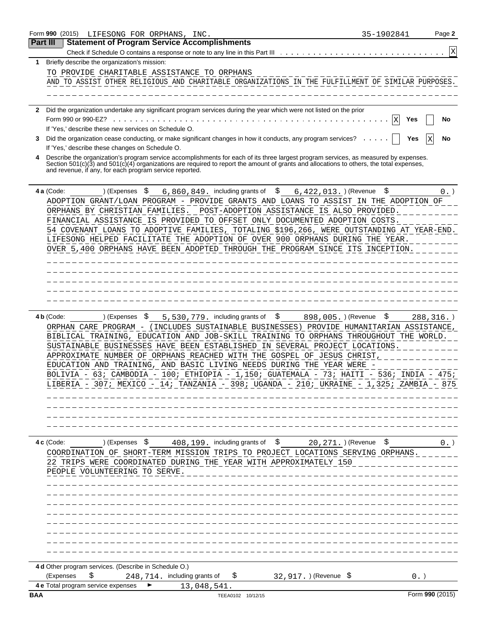|                 | Form 990 (2015)<br>LIFESONG FOR ORPHANS, INC.                                                                                                                                                                                                                                                                                                                                                                                                                                                                                                                                                             | 35-1902841 | Page 2          |
|-----------------|-----------------------------------------------------------------------------------------------------------------------------------------------------------------------------------------------------------------------------------------------------------------------------------------------------------------------------------------------------------------------------------------------------------------------------------------------------------------------------------------------------------------------------------------------------------------------------------------------------------|------------|-----------------|
| <b>Part III</b> | <b>Statement of Program Service Accomplishments</b>                                                                                                                                                                                                                                                                                                                                                                                                                                                                                                                                                       |            |                 |
|                 | Check if Schedule O contains a response or note to any line in this Part III                                                                                                                                                                                                                                                                                                                                                                                                                                                                                                                              |            | Χ               |
| 1               | Briefly describe the organization's mission:                                                                                                                                                                                                                                                                                                                                                                                                                                                                                                                                                              |            |                 |
|                 | TO PROVIDE CHARITABLE ASSISTANCE TO ORPHANS                                                                                                                                                                                                                                                                                                                                                                                                                                                                                                                                                               |            |                 |
|                 | AND TO ASSIST OTHER RELIGIOUS AND CHARITABLE ORGANIZATIONS IN THE FULFILLMENT OF SIMILAR PURPOSES.                                                                                                                                                                                                                                                                                                                                                                                                                                                                                                        |            |                 |
|                 |                                                                                                                                                                                                                                                                                                                                                                                                                                                                                                                                                                                                           |            |                 |
|                 | Did the organization undertake any significant program services during the year which were not listed on the prior                                                                                                                                                                                                                                                                                                                                                                                                                                                                                        |            |                 |
|                 | Form 990 or 990-EZ?                                                                                                                                                                                                                                                                                                                                                                                                                                                                                                                                                                                       | X<br>Yes   | No              |
|                 | If 'Yes,' describe these new services on Schedule O.                                                                                                                                                                                                                                                                                                                                                                                                                                                                                                                                                      |            |                 |
| 3               | Did the organization cease conducting, or make significant changes in how it conducts, any program services?                                                                                                                                                                                                                                                                                                                                                                                                                                                                                              | Yes        | No              |
|                 | If 'Yes,' describe these changes on Schedule O.                                                                                                                                                                                                                                                                                                                                                                                                                                                                                                                                                           |            |                 |
|                 | Describe the organization's program service accomplishments for each of its three largest program services, as measured by expenses.<br>Section 501(c)(3) and 501(c)(4) organizations are required to report the amount of grants and allocations to others, the total expenses,<br>and revenue, if any, for each program service reported.                                                                                                                                                                                                                                                               |            |                 |
|                 | 4 a (Code:<br>\$<br>6,860,849. including grants of<br>\$<br>) (Expenses<br>$6,422,013.$ (Revenue                                                                                                                                                                                                                                                                                                                                                                                                                                                                                                          | \$         | 0.              |
|                 | ADOPTION GRANT/LOAN PROGRAM - PROVIDE GRANTS AND LOANS TO ASSIST IN THE ADOPTION OF                                                                                                                                                                                                                                                                                                                                                                                                                                                                                                                       |            |                 |
|                 | ORPHANS BY CHRISTIAN FAMILIES. POST-ADOPTION ASSISTANCE IS ALSO PROVIDED.                                                                                                                                                                                                                                                                                                                                                                                                                                                                                                                                 |            |                 |
|                 | FINANCIAL ASSISTANCE IS PROVIDED TO OFFSET ONLY DOCUMENTED ADOPTION COSTS                                                                                                                                                                                                                                                                                                                                                                                                                                                                                                                                 |            |                 |
|                 | 54 COVENANT LOANS TO ADOPTIVE FAMILIES, TOTALING \$196,266, WERE OUTSTANDING AT YEAR-END.<br>LIFESONG HELPED FACILITATE THE ADOPTION OF OVER 900 ORPHANS DURING THE YEAR.                                                                                                                                                                                                                                                                                                                                                                                                                                 |            |                 |
|                 | OVER 5,400 ORPHANS HAVE BEEN ADOPTED THROUGH THE PROGRAM SINCE ITS INCEPTION.                                                                                                                                                                                                                                                                                                                                                                                                                                                                                                                             |            |                 |
|                 |                                                                                                                                                                                                                                                                                                                                                                                                                                                                                                                                                                                                           |            |                 |
|                 |                                                                                                                                                                                                                                                                                                                                                                                                                                                                                                                                                                                                           |            |                 |
|                 |                                                                                                                                                                                                                                                                                                                                                                                                                                                                                                                                                                                                           |            |                 |
|                 |                                                                                                                                                                                                                                                                                                                                                                                                                                                                                                                                                                                                           |            |                 |
|                 |                                                                                                                                                                                                                                                                                                                                                                                                                                                                                                                                                                                                           |            |                 |
|                 | ORPHAN CARE PROGRAM - (INCLUDES SUSTAINABLE BUSINESSES) PROVIDE HUMANITARIAN ASSISTANCE,<br>BIBLICAL TRAINING, EDUCATION AND JOB-SKILL TRAINING TO ORPHANS THROUGHOUT THE WORLD.<br>SUSTAINABLE BUSINESSES HAVE BEEN ESTABLISHED IN SEVERAL PROJECT LOCATIONS.<br>APPROXIMATE NUMBER OF ORPHANS REACHED WITH THE GOSPEL OF JESUS CHRIST,<br>EDUCATION AND TRAINING, AND BASIC LIVING NEEDS DURING THE YEAR WERE -<br>BOLIVIA - 63; CAMBODIA - 100; ETHIOPIA - 1,150; GUATEMALA - 73; HAITI - 536; INDIA - 475;<br>LIBERIA - 307; MEXICO - 14; TANZANIA - 398; UGANDA - 210; UKRAINE - 1,325; ZAMBIA - 875 |            |                 |
|                 | $408, 199$ . including grants of $\beta$ 20, 271. ) (Revenue $\beta$<br>4 c (Code:<br>) (Expenses \$<br>COORDINATION OF SHORT-TERM MISSION TRIPS TO PROJECT LOCATIONS SERVING ORPHANS.<br>22 TRIPS WERE COORDINATED DURING THE YEAR WITH APPROXIMATELY 150<br>PEOPLE VOLUNTEERING TO SERVE.                                                                                                                                                                                                                                                                                                               |            | $0.$ )          |
|                 | 4 d Other program services. (Describe in Schedule O.)<br>\$<br>(Expenses<br>248, 714. including grants of<br>32,917. ) (Revenue \$<br>\$<br>4 e Total program service expenses<br>13,048,541.                                                                                                                                                                                                                                                                                                                                                                                                             | $0.$ )     |                 |
| <b>BAA</b>      | TEEA0102 10/12/15                                                                                                                                                                                                                                                                                                                                                                                                                                                                                                                                                                                         |            | Form 990 (2015) |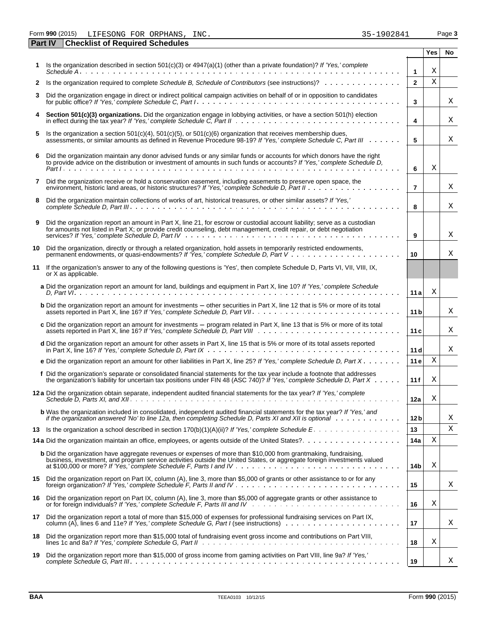Form **990** (2015) Page **3** LIFESONG FOR ORPHANS, INC. 35-1902841

|    | <b>Checklist of Required Schedules</b><br><b>Part IV</b>                                                                                                                                                                                                                |                 |     |    |
|----|-------------------------------------------------------------------------------------------------------------------------------------------------------------------------------------------------------------------------------------------------------------------------|-----------------|-----|----|
|    |                                                                                                                                                                                                                                                                         |                 | Yes | No |
|    | Is the organization described in section $501(c)(3)$ or $4947(a)(1)$ (other than a private foundation)? If 'Yes,' complete                                                                                                                                              | $\mathbf{1}$    | Χ   |    |
|    | 2 Is the organization required to complete Schedule B, Schedule of Contributors (see instructions)?                                                                                                                                                                     | $\mathbf{2}$    | X   |    |
| 3  | Did the organization engage in direct or indirect political campaign activities on behalf of or in opposition to candidates                                                                                                                                             | 3               |     | Χ  |
|    | Section 501(c)(3) organizations. Did the organization engage in lobbying activities, or have a section 501(h) election                                                                                                                                                  | 4               |     | Χ  |
| 5. | Is the organization a section $501(c)(4)$ , $501(c)(5)$ , or $501(c)(6)$ organization that receives membership dues,<br>assessments, or similar amounts as defined in Revenue Procedure 98-19? If 'Yes,' complete Schedule C, Part III                                  | 5               |     | Χ  |
| 6  | Did the organization maintain any donor advised funds or any similar funds or accounts for which donors have the right<br>to provide advice on the distribution or investment of amounts in such funds or accounts? If 'Yes,' complete Schedule D,                      | 6               | Χ   |    |
| 7  | Did the organization receive or hold a conservation easement, including easements to preserve open space, the                                                                                                                                                           | $\overline{7}$  |     | Χ  |
| 8  | Did the organization maintain collections of works of art, historical treasures, or other similar assets? If 'Yes,'                                                                                                                                                     | 8               |     | Χ  |
| 9  | Did the organization report an amount in Part X, line 21, for escrow or custodial account liability; serve as a custodian<br>for amounts not listed in Part X; or provide credit counseling, debt management, credit repair, or debt negotiation                        | 9               |     | Χ  |
| 10 | Did the organization, directly or through a related organization, hold assets in temporarily restricted endowments,                                                                                                                                                     | 10              |     | Χ  |
| 11 | If the organization's answer to any of the following questions is 'Yes', then complete Schedule D, Parts VI, VII, VIII, IX,<br>or X as applicable.                                                                                                                      |                 |     |    |
|    | a Did the organization report an amount for land, buildings and equipment in Part X, line 10? If 'Yes,' complete Schedule                                                                                                                                               | 11a             | Χ   |    |
|    | <b>b</b> Did the organization report an amount for investments – other securities in Part X, line 12 that is 5% or more of its total                                                                                                                                    | 11 <sub>b</sub> |     | Χ  |
|    | c Did the organization report an amount for investments – program related in Part X, line 13 that is 5% or more of its total                                                                                                                                            | 11c             |     | Χ  |
|    | d Did the organization report an amount for other assets in Part X, line 15 that is 5% or more of its total assets reported                                                                                                                                             | 11d             |     | Χ  |
|    | e Did the organization report an amount for other liabilities in Part X, line 25? If 'Yes,' complete Schedule D, Part X                                                                                                                                                 | 11e             | X   |    |
|    | f Did the organization's separate or consolidated financial statements for the tax year include a footnote that addresses<br>the organization's liability for uncertain tax positions under FIN 48 (ASC 740)? If 'Yes,' complete Schedule D, Part $X \cdot \cdot \cdot$ | 11f             | Χ   |    |
|    | 12 a Did the organization obtain separate, independent audited financial statements for the tax year? If 'Yes,' complete                                                                                                                                                | 12a             | Χ   |    |
|    | <b>b</b> Was the organization included in consolidated, independent audited financial statements for the tax year? If 'Yes,' and<br>if the organization answered 'No' to line 12a, then completing Schedule D, Parts XI and XII is optional wimbed we                   | 12 <sub>b</sub> |     | Χ  |
|    | 13 Is the organization a school described in section 170(b)(1)(A)(ii)? If 'Yes,' complete Schedule E.                                                                                                                                                                   | 13              |     | Χ  |
|    |                                                                                                                                                                                                                                                                         | 14a             | Χ   |    |
|    | <b>b</b> Did the organization have aggregate revenues or expenses of more than \$10,000 from grantmaking, fundraising,<br>business, investment, and program service activities outside the United States, or aggregate foreign investments valued                       | 14b             | Χ   |    |
|    | 15 Did the organization report on Part IX, column (A), line 3, more than \$5,000 of grants or other assistance to or for any                                                                                                                                            | 15              |     | Χ  |
|    | 16 Did the organization report on Part IX, column (A), line 3, more than \$5,000 of aggregate grants or other assistance to                                                                                                                                             | 16              | Χ   |    |
| 17 | Did the organization report a total of more than \$15,000 of expenses for professional fundraising services on Part IX,<br>column (A), lines 6 and 11e? If 'Yes,' complete Schedule G, Part I (see instructions)                                                        | 17              |     | Χ  |
| 18 | Did the organization report more than \$15,000 total of fundraising event gross income and contributions on Part VIII,                                                                                                                                                  | 18              | Χ   |    |
| 19 | Did the organization report more than \$15,000 of gross income from gaming activities on Part VIII, line 9a? If 'Yes,'                                                                                                                                                  | 19              |     | Χ  |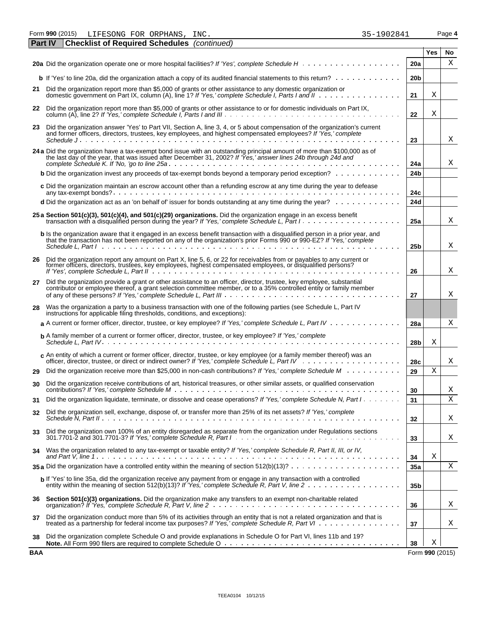Form **990** (2015) Page **4** LIFESONG FOR ORPHANS, INC. 35-1902841

| <b>Part IV</b> | <b>Checklist of Required Schedules</b> (continued)                                                                                                                                                                                                                   |                 |                      |    |
|----------------|----------------------------------------------------------------------------------------------------------------------------------------------------------------------------------------------------------------------------------------------------------------------|-----------------|----------------------|----|
|                |                                                                                                                                                                                                                                                                      |                 | Yes                  | No |
|                |                                                                                                                                                                                                                                                                      | <b>20a</b>      |                      | Χ  |
|                | <b>b</b> If 'Yes' to line 20a, did the organization attach a copy of its audited financial statements to this return?                                                                                                                                                | 20 <sub>b</sub> |                      |    |
|                | 21 Did the organization report more than \$5,000 of grants or other assistance to any domestic organization or<br>domestic government on Part IX, column (A), line 1? If 'Yes,' complete Schedule I, Parts I and II                                                  | 21              | Χ                    |    |
|                | 22 Did the organization report more than \$5,000 of grants or other assistance to or for domestic individuals on Part IX,                                                                                                                                            | 22              | Χ                    |    |
|                | 23 Did the organization answer 'Yes' to Part VII, Section A, line 3, 4, or 5 about compensation of the organization's current<br>and former officers, directors, trustees, key employees, and highest compensated employees? If 'Yes,' complete                      |                 |                      |    |
|                | Schedule $J_1, \ldots, J_{n-1}, \ldots, J_{n-1}, \ldots, J_{n-1}$                                                                                                                                                                                                    | 23              |                      | X  |
|                | 24 a Did the organization have a tax-exempt bond issue with an outstanding principal amount of more than \$100,000 as of the last day of the year, that was issued after December 31, 2002? If 'Yes,' answer lines 24b through                                       | 24a             |                      | Χ  |
|                | <b>b</b> Did the organization invest any proceeds of tax-exempt bonds beyond a temporary period exception?                                                                                                                                                           | 24 <sub>b</sub> |                      |    |
|                | c Did the organization maintain an escrow account other than a refunding escrow at any time during the year to defease                                                                                                                                               | 24c             |                      |    |
|                | <b>d</b> Did the organization act as an 'on behalf of' issuer for bonds outstanding at any time during the year? $\ldots \ldots \ldots \ldots$                                                                                                                       | 24d             |                      |    |
|                |                                                                                                                                                                                                                                                                      |                 |                      |    |
|                | 25 a Section 501(c)(3), 501(c)(4), and 501(c)(29) organizations. Did the organization engage in an excess benefit<br>transaction with a disqualified person during the year? If 'Yes,' complete Schedule L, Part I.                                                  | 25a             |                      | Χ  |
|                | b Is the organization aware that it engaged in an excess benefit transaction with a disqualified person in a prior year, and<br>that the transaction has not been reported on any of the organization's prior Forms 990 or 990-EZ? If 'Yes,' complete                | 25 <sub>b</sub> |                      | Χ  |
|                |                                                                                                                                                                                                                                                                      |                 |                      |    |
|                | 26 Did the organization report any amount on Part X, line 5, 6, or 22 for receivables from or payables to any current or former officers, directors, trustees, key employees, highest compensated employees, or disqualified p                                       | 26              |                      | X  |
| 27             | Did the organization provide a grant or other assistance to an officer, director, trustee, key employee, substantial<br>contributor or employee thereof, a grant selection committee member, or to a 35% controlled entity or family member                          |                 |                      |    |
|                |                                                                                                                                                                                                                                                                      | 27              |                      | X  |
| 28             | Was the organization a party to a business transaction with one of the following parties (see Schedule L, Part IV<br>instructions for applicable filing thresholds, conditions, and exceptions):                                                                     |                 |                      |    |
|                | a A current or former officer, director, trustee, or key employee? If 'Yes,' complete Schedule L, Part IV                                                                                                                                                            | 28a             |                      | Χ  |
|                | <b>b</b> A family member of a current or former officer, director, trustee, or key employee? If 'Yes,' complete                                                                                                                                                      | 28 <sub>b</sub> | Χ                    |    |
|                | c An entity of which a current or former officer, director, trustee, or key employee (or a family member thereof) was an                                                                                                                                             | 28c             |                      | X  |
| 29             | Did the organization receive more than \$25,000 in non-cash contributions? If 'Yes,' complete Schedule M                                                                                                                                                             | 29              | Χ                    |    |
| 30             | Did the organization receive contributions of art, historical treasures, or other similar assets, or qualified conservation                                                                                                                                          | 30              |                      | Χ  |
| 31             | Did the organization liquidate, terminate, or dissolve and cease operations? If 'Yes,' complete Schedule N, Part I                                                                                                                                                   | 31              |                      | Χ  |
|                | Did the organization sell, exchange, dispose of, or transfer more than 25% of its net assets? If 'Yes,' complete                                                                                                                                                     |                 |                      |    |
| 32             |                                                                                                                                                                                                                                                                      | 32              |                      | X  |
| 33             | Did the organization own 100% of an entity disregarded as separate from the organization under Regulations sections<br>$301.7701-2$ and $301.7701-3$ ? If 'Yes,' complete Schedule R, Part $1 \ldots \ldots \ldots \ldots \ldots \ldots \ldots \ldots \ldots \ldots$ | 33              |                      | X  |
| 34             | Was the organization related to any tax-exempt or taxable entity? If 'Yes,' complete Schedule R, Part II, III, or IV,                                                                                                                                                | 34              | Χ                    |    |
|                | 35 a Did the organization have a controlled entity within the meaning of section $512(b)(13)? \ldots \ldots \ldots \ldots \ldots \ldots$                                                                                                                             | 35a             |                      | Χ  |
|                | b If 'Yes' to line 35a, did the organization receive any payment from or engage in any transaction with a controlled                                                                                                                                                 | 35 <sub>b</sub> |                      |    |
| 36             | Section 501(c)(3) organizations. Did the organization make any transfers to an exempt non-charitable related                                                                                                                                                         | 36              |                      | X  |
| 37             | Did the organization conduct more than 5% of its activities through an entity that is not a related organization and that is<br>treated as a partnership for federal income tax purposes? If 'Yes,' complete Schedule R, Part VI                                     | 37              |                      | Χ  |
| 38             | Did the organization complete Schedule O and provide explanations in Schedule O for Part VI, lines 11b and 19?                                                                                                                                                       |                 |                      |    |
| <b>BAA</b>     |                                                                                                                                                                                                                                                                      | 38              | Χ<br>Form 990 (2015) |    |
|                |                                                                                                                                                                                                                                                                      |                 |                      |    |

| 35-1902841 |  |  |  |  |
|------------|--|--|--|--|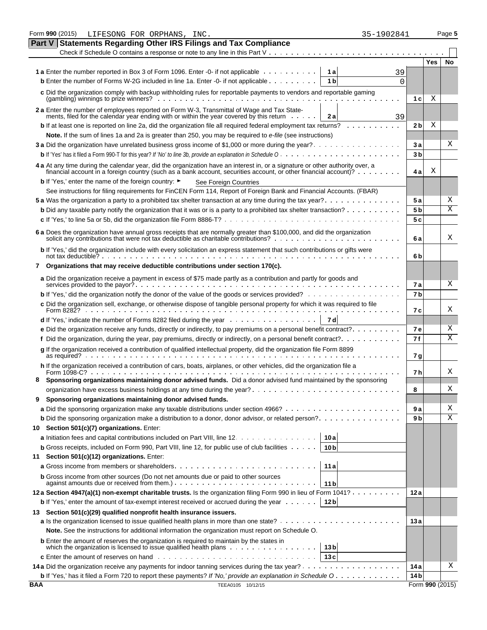|            | Form 990 (2015)<br>LIFESONG FOR ORPHANS, INC.<br>35-1902841                                                                                                                                                                                       |                         |                 | Page 5 |
|------------|---------------------------------------------------------------------------------------------------------------------------------------------------------------------------------------------------------------------------------------------------|-------------------------|-----------------|--------|
|            | <b>Part V Statements Regarding Other IRS Filings and Tax Compliance</b>                                                                                                                                                                           |                         |                 |        |
|            | Check if Schedule O contains a response or note to any line in this Part V                                                                                                                                                                        |                         |                 |        |
|            |                                                                                                                                                                                                                                                   |                         | Yes             | No     |
|            | 1 a Enter the number reported in Box 3 of Form 1096. Enter -0- if not applicable<br>1al<br>39                                                                                                                                                     |                         |                 |        |
|            | <b>b</b> Enter the number of Forms W-2G included in line 1a. Enter -0- if not applicable<br>1 <sub>b</sub><br>$\Omega$                                                                                                                            |                         |                 |        |
|            | c Did the organization comply with backup withholding rules for reportable payments to vendors and reportable gaming<br>$(gambling)$ winnings to prize winners? $\ldots$ , $\ldots$ , $\ldots$ , $\ldots$ , $\ldots$ , $\ldots$                   | 1 <sub>c</sub>          | Χ               |        |
|            |                                                                                                                                                                                                                                                   |                         |                 |        |
|            | 2a Enter the number of employees reported on Form W-3, Transmittal of Wage and Tax State-<br>ments, filed for the calendar year ending with or within the year covered by this return<br>2 a<br>39                                                |                         |                 |        |
|            | <b>b</b> If at least one is reported on line 2a, did the organization file all required federal employment tax returns?                                                                                                                           | 2 bl                    | Χ               |        |
|            | Note. If the sum of lines 1a and 2a is greater than 250, you may be required to e-file (see instructions)                                                                                                                                         |                         |                 |        |
|            | 3a Did the organization have unrelated business gross income of \$1,000 or more during the year?                                                                                                                                                  | 3a                      |                 | Χ      |
|            |                                                                                                                                                                                                                                                   | 3b                      |                 |        |
|            | 4 a At any time during the calendar year, did the organization have an interest in, or a signature or other authority over, a<br>financial account in a foreign country (such as a bank account, securities account, or other financial account)? | 4а                      | Χ               |        |
|            | <b>b</b> If 'Yes,' enter the name of the foreign country: ►                                                                                                                                                                                       |                         |                 |        |
|            | See Foreign Countries<br>See instructions for filing requirements for FinCEN Form 114, Report of Foreign Bank and Financial Accounts. (FBAR)                                                                                                      |                         |                 |        |
|            |                                                                                                                                                                                                                                                   | 5а                      |                 | Χ      |
|            | <b>b</b> Did any taxable party notify the organization that it was or is a party to a prohibited tax shelter transaction?                                                                                                                         | 5 <sub>b</sub>          |                 | X      |
|            |                                                                                                                                                                                                                                                   | 5c                      |                 |        |
|            |                                                                                                                                                                                                                                                   |                         |                 |        |
|            | 6 a Does the organization have annual gross receipts that are normally greater than \$100,000, and did the organization                                                                                                                           | 6 a                     |                 | х      |
|            | b If 'Yes,' did the organization include with every solicitation an express statement that such contributions or gifts were                                                                                                                       |                         |                 |        |
|            | 7 Organizations that may receive deductible contributions under section 170(c).                                                                                                                                                                   | 6b                      |                 |        |
|            |                                                                                                                                                                                                                                                   |                         |                 |        |
|            | a Did the organization receive a payment in excess of \$75 made partly as a contribution and partly for goods and                                                                                                                                 | 7а                      |                 | Χ      |
|            | <b>b</b> If 'Yes,' did the organization notify the donor of the value of the goods or services provided?                                                                                                                                          | 7b                      |                 |        |
|            | c Did the organization sell, exchange, or otherwise dispose of tangible personal property for which it was required to file                                                                                                                       |                         |                 |        |
|            |                                                                                                                                                                                                                                                   | 7с                      |                 | Χ      |
|            | <b>d</b> If 'Yes,' indicate the number of Forms 8282 filed during the year $\ldots \ldots \ldots \ldots \ldots$<br>7 d                                                                                                                            |                         |                 |        |
|            | e Did the organization receive any funds, directly or indirectly, to pay premiums on a personal benefit contract?                                                                                                                                 | <b>7e</b>               |                 | Χ      |
|            |                                                                                                                                                                                                                                                   | 7 f                     |                 | Χ      |
|            | g If the organization received a contribution of qualified intellectual property, did the organization file Form 8899                                                                                                                             | 7 g                     |                 |        |
|            | h If the organization received a contribution of cars, boats, airplanes, or other vehicles, did the organization file a                                                                                                                           |                         |                 |        |
|            | Form 1098-C?<br><u>. In the second contract of the second contract of the second contract of the second</u>                                                                                                                                       | 7 h                     |                 | Χ      |
|            | Sponsoring organizations maintaining donor advised funds. Did a donor advised fund maintained by the sponsoring                                                                                                                                   |                         |                 |        |
|            |                                                                                                                                                                                                                                                   | 8                       |                 | Χ      |
|            | Sponsoring organizations maintaining donor advised funds.                                                                                                                                                                                         |                         |                 |        |
|            |                                                                                                                                                                                                                                                   | 9 a                     |                 | Χ      |
|            | <b>b</b> Did the sponsoring organization make a distribution to a donor, donor advisor, or related person?                                                                                                                                        | 9 b                     |                 | Χ      |
| 10         | Section 501(c)(7) organizations. Enter:                                                                                                                                                                                                           |                         |                 |        |
|            | a Initiation fees and capital contributions included on Part VIII, line 12.<br>10a                                                                                                                                                                |                         |                 |        |
|            | <b>b</b> Gross receipts, included on Form 990, Part VIII, line 12, for public use of club facilities $\cdots \cdots$<br>10 <sub>b</sub>                                                                                                           |                         |                 |        |
| 11         | Section 501(c)(12) organizations. Enter:                                                                                                                                                                                                          |                         |                 |        |
|            | 11a                                                                                                                                                                                                                                               |                         |                 |        |
|            | <b>b</b> Gross income from other sources (Do not net amounts due or paid to other sources<br>11 b                                                                                                                                                 |                         |                 |        |
|            | 12a Section 4947(a)(1) non-exempt charitable trusts. Is the organization filing Form 990 in lieu of Form 1041?                                                                                                                                    | 12 a                    |                 |        |
|            | <b>b</b> If 'Yes,' enter the amount of tax-exempt interest received or accrued during the year $\dots \dots$<br>12 <sub>b</sub>                                                                                                                   |                         |                 |        |
|            | 13 Section 501(c)(29) qualified nonprofit health insurance issuers.                                                                                                                                                                               |                         |                 |        |
|            |                                                                                                                                                                                                                                                   | 13 a                    |                 |        |
|            | Note. See the instructions for additional information the organization must report on Schedule O.                                                                                                                                                 |                         |                 |        |
|            | <b>b</b> Enter the amount of reserves the organization is required to maintain by the states in                                                                                                                                                   |                         |                 |        |
|            | 13 <sub>b</sub><br>13c                                                                                                                                                                                                                            |                         |                 |        |
|            |                                                                                                                                                                                                                                                   |                         |                 | Χ      |
|            | <b>b</b> If 'Yes,' has it filed a Form 720 to report these payments? If 'No,' provide an explanation in Schedule O                                                                                                                                | 14 a<br>14 <sub>b</sub> |                 |        |
| <b>BAA</b> | TEEA0105 10/12/15                                                                                                                                                                                                                                 |                         | Form 990 (2015) |        |
|            |                                                                                                                                                                                                                                                   |                         |                 |        |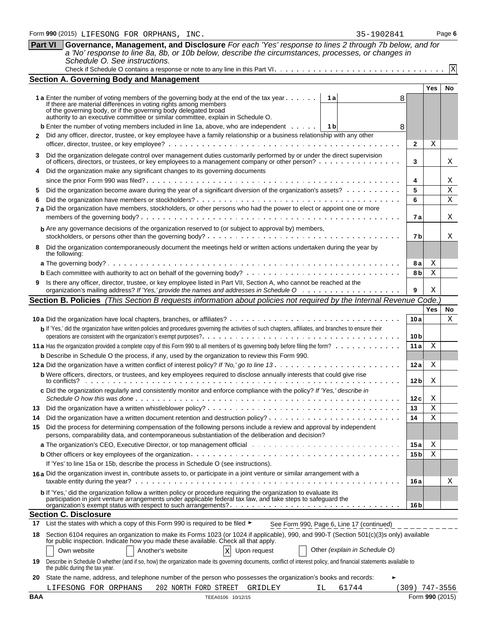|     |                                                                                                                                                                                                                                          |                 | Yes             | No     |
|-----|------------------------------------------------------------------------------------------------------------------------------------------------------------------------------------------------------------------------------------------|-----------------|-----------------|--------|
|     | <b>1 a</b> Enter the number of voting members of the governing body at the end of the tax year $\dots \dots$<br>1а<br>8                                                                                                                  |                 |                 |        |
|     | If there are material differences in voting rights among members<br>of the governing body, or if the governing body delegated broad                                                                                                      |                 |                 |        |
|     | authority to an executive committee or similar committee, explain in Schedule O.                                                                                                                                                         |                 |                 |        |
|     | <b>b</b> Enter the number of voting members included in line 1a, above, who are independent<br>1 b<br>8                                                                                                                                  |                 |                 |        |
|     | Did any officer, director, trustee, or key employee have a family relationship or a business relationship with any other                                                                                                                 |                 |                 |        |
|     |                                                                                                                                                                                                                                          | $\mathbf{2}$    | Χ               |        |
| 3   | Did the organization delegate control over management duties customarily performed by or under the direct supervision                                                                                                                    |                 |                 |        |
|     | of officers, directors, or trustees, or key employees to a management company or other person?<br>Did the organization make any significant changes to its governing documents                                                           | 3               |                 | Χ      |
| 4   |                                                                                                                                                                                                                                          | 4               |                 |        |
| 5   | Did the organization become aware during the year of a significant diversion of the organization's assets?                                                                                                                               | 5               |                 | Χ<br>X |
| 6   |                                                                                                                                                                                                                                          | 6               |                 | X      |
|     | 7 a Did the organization have members, stockholders, or other persons who had the power to elect or appoint one or more                                                                                                                  |                 |                 |        |
|     |                                                                                                                                                                                                                                          | 7а              |                 | Χ      |
|     | <b>b</b> Are any governance decisions of the organization reserved to (or subject to approval by) members,                                                                                                                               |                 |                 |        |
|     |                                                                                                                                                                                                                                          | 7b              |                 | Χ      |
| 8   | Did the organization contemporaneously document the meetings held or written actions undertaken during the year by                                                                                                                       |                 |                 |        |
|     | the following:                                                                                                                                                                                                                           |                 |                 |        |
|     |                                                                                                                                                                                                                                          | 8 a             | Χ<br>$\rm X$    |        |
|     | 9 Is there any officer, director, trustee, or key employee listed in Part VII, Section A, who cannot be reached at the                                                                                                                   | 8bl             |                 |        |
|     |                                                                                                                                                                                                                                          | 9               | Χ               |        |
|     | Section B. Policies (This Section B requests information about policies not required by the Internal Revenue Code.                                                                                                                       |                 |                 |        |
|     |                                                                                                                                                                                                                                          |                 | <b>Yes</b>      | No.    |
|     |                                                                                                                                                                                                                                          | 10a             |                 | Х      |
|     | b If 'Yes,' did the organization have written policies and procedures governing the activities of such chapters, affiliates, and branches to ensure their                                                                                |                 |                 |        |
|     |                                                                                                                                                                                                                                          | 10 <sub>b</sub> |                 |        |
|     |                                                                                                                                                                                                                                          | 11a             | Χ               |        |
|     | <b>b</b> Describe in Schedule O the process, if any, used by the organization to review this Form 990.                                                                                                                                   |                 |                 |        |
|     |                                                                                                                                                                                                                                          | 12a             | Χ               |        |
|     | b Were officers, directors, or trustees, and key employees required to disclose annually interests that could give rise                                                                                                                  | 12 <sub>b</sub> | Χ               |        |
|     | c Did the organization regularly and consistently monitor and enforce compliance with the policy? If 'Yes,' describe in                                                                                                                  |                 |                 |        |
|     |                                                                                                                                                                                                                                          | 12c             | Χ               |        |
| 13  |                                                                                                                                                                                                                                          | 13              | Χ               |        |
| 14  |                                                                                                                                                                                                                                          | 14              | X               |        |
| 15  | Did the process for determining compensation of the following persons include a review and approval by independent<br>persons, comparability data, and contemporaneous substantiation of the deliberation and decision?                  |                 |                 |        |
|     |                                                                                                                                                                                                                                          | 15 a            | Χ               |        |
|     |                                                                                                                                                                                                                                          | 15 <sub>b</sub> | Χ               |        |
|     | If 'Yes' to line 15a or 15b, describe the process in Schedule O (see instructions).                                                                                                                                                      |                 |                 |        |
|     | 16 a Did the organization invest in, contribute assets to, or participate in a joint venture or similar arrangement with a                                                                                                               |                 |                 |        |
|     |                                                                                                                                                                                                                                          | 16 a            |                 | Χ      |
|     | <b>b</b> If 'Yes,' did the organization follow a written policy or procedure requiring the organization to evaluate its<br>participation in joint venture arrangements under applicable federal tax law, and take steps to safeguard the |                 |                 |        |
|     |                                                                                                                                                                                                                                          | 16 bl           |                 |        |
|     | <b>Section C. Disclosure</b><br>17 List the states with which a copy of this Form 990 is required to be filed ►                                                                                                                          |                 |                 |        |
|     | See Form 990, Page 6, Line 17 (continued)                                                                                                                                                                                                |                 |                 |        |
| 18  | Section 6104 requires an organization to make its Forms 1023 (or 1024 if applicable), 990, and 990-T (Section 501(c)(3)s only) available<br>for public inspection. Indicate how you made these available. Check all that apply.          |                 |                 |        |
|     | Another's website<br>Upon request<br>Other (explain in Schedule O)<br>Own website<br>$\mathbf{X}$                                                                                                                                        |                 |                 |        |
| 19  | Describe in Schedule O whether (and if so, how) the organization made its governing documents, conflict of interest policy, and financial statements available to<br>the public during the tax year.                                     |                 |                 |        |
| 20  | State the name, address, and telephone number of the person who possesses the organization's books and records:                                                                                                                          |                 |                 |        |
|     | 61744<br>LIFESONG FOR ORPHANS<br>202 NORTH FORD STREET<br>GRIDLEY<br>ΙL                                                                                                                                                                  |                 | (309) 747-3556  |        |
| BAA | TEEA0106 10/12/15                                                                                                                                                                                                                        |                 | Form 990 (2015) |        |
|     |                                                                                                                                                                                                                                          |                 |                 |        |

**Part VI Governance, Management, and Disclosure** *For each 'Yes' response to lines 2 through 7b below, and for a 'No' response to line 8a, 8b, or 10b below, describe the circumstances, processes, or changes in* 

Check if Schedule O contains a response or note to any line in this Part VI

*Schedule O. See instructions.*

**Section A. Governing Body and Management**

X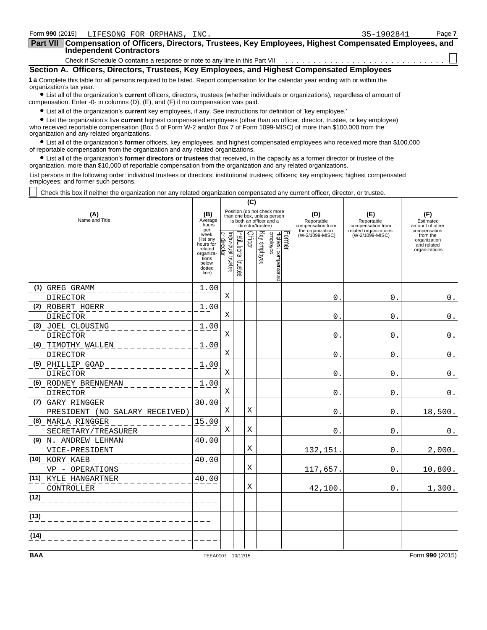| Form 990 (2015)<br>LIFESONG FOR ORPHANS, INC.                                                                                                                                                                                       | 35-1902841 | Page 7 |
|-------------------------------------------------------------------------------------------------------------------------------------------------------------------------------------------------------------------------------------|------------|--------|
| Part VII Compensation of Officers, Directors, Trustees, Key Employees, Highest Compensated Employees, and<br><b>Independent Contractors</b>                                                                                         |            |        |
|                                                                                                                                                                                                                                     |            |        |
| Section A. Officers, Directors, Trustees, Key Employees, and Highest Compensated Employees                                                                                                                                          |            |        |
| 1 a Complete this table for all persons required to be listed. Report compensation for the calendar year ending with or within the<br>organization's tax year.                                                                      |            |        |
| • List all of the organization's current officers, directors, trustees (whether individuals or organizations), regardless of amount of<br>compensation. Enter -0- in columns $(D)$ , $(E)$ , and $(F)$ if no compensation was paid. |            |        |
| • List all of the organization's current key employees, if any. See instructions for definition of 'key employee.'                                                                                                                  |            |        |

? List the organization's five **current** highest compensated employees (other than an officer, director, trustee, or key employee) who received reportable compensation (Box 5 of Form W-2 and/or Box 7 of Form 1099-MISC) of more than \$100,000 from the organization and any related organizations.

? List all of the organization's **former** officers, key employees, and highest compensated employees who received more than \$100,000 of reportable compensation from the organization and any related organizations.

? List all of the organization's **former directors or trustees** that received, in the capacity as a former director or trustee of the organization, more than \$10,000 of reportable compensation from the organization and any related organizations.

List persons in the following order: individual trustees or directors; institutional trustees; officers; key employees; highest compensated employees; and former such persons.

Check this box if neither the organization nor any related organization compensated any current officer, director, or trustee.

|                                                           |                                                                                                    |                                              |                          | (C)            |                   |                                                            |        |                                                            |                                                                 |                                                          |
|-----------------------------------------------------------|----------------------------------------------------------------------------------------------------|----------------------------------------------|--------------------------|----------------|-------------------|------------------------------------------------------------|--------|------------------------------------------------------------|-----------------------------------------------------------------|----------------------------------------------------------|
| (A)<br>Name and Title                                     |                                                                                                    |                                              | is both an officer and a |                | director/trustee) | Position (do not check more<br>than one box, unless person |        | (D)<br>Reportable<br>compensation from<br>the organization | (E)<br>Reportable<br>compensation from<br>related organizations | (F)<br>Estimated<br>amount of other<br>compensation      |
|                                                           | per<br>week<br>(list any<br>hours for<br>related<br>organiza-<br>tions<br>below<br>dotted<br>line) | ndividual trustee<br>$\mathbf{Q}$<br>irector | nstitutional trustee     | <b>Officer</b> | Key employee      | Highest compensated<br>employee                            | Former | (W-2/1099-MISC)                                            | (W-2/1099-MISC)                                                 | from the<br>organization<br>and related<br>organizations |
| (1) GREG GRAMM                                            | 1.00                                                                                               |                                              |                          |                |                   |                                                            |        |                                                            |                                                                 |                                                          |
| <b>DIRECTOR</b>                                           |                                                                                                    | Χ                                            |                          |                |                   |                                                            |        | 0                                                          | $\Omega$                                                        | $0$ .                                                    |
| (2) ROBERT HOERR<br><b>DIRECTOR</b>                       | 1.00                                                                                               | Χ                                            |                          |                |                   |                                                            |        | 0                                                          | 0                                                               | $0$ .                                                    |
| (3) JOEL CLOUSING<br><b>DIRECTOR</b>                      | 1.00                                                                                               | Χ                                            |                          |                |                   |                                                            |        | 0                                                          | $\mathbf 0$                                                     | $0$ .                                                    |
| (4) TIMOTHY WALLEN<br>DIRECTOR                            | 1.00                                                                                               | X                                            |                          |                |                   |                                                            |        | 0                                                          | 0                                                               | $\boldsymbol{0}$ .                                       |
| (5) PHILLIP GOAD<br>DIRECTOR                              | 1.00                                                                                               | Χ                                            |                          |                |                   |                                                            |        | 0                                                          | 0                                                               | $0$ .                                                    |
| (6) RODNEY BRENNEMAN<br>DIRECTOR                          | 1.00                                                                                               | Χ                                            |                          |                |                   |                                                            |        | 0                                                          | $\mathbf 0$                                                     | $0$ .                                                    |
| <u>(7) GARY RINGGER</u><br>PRESIDENT (NO SALARY RECEIVED) | 30.00                                                                                              | Χ                                            |                          | Χ              |                   |                                                            |        | 0                                                          | 0                                                               | 18,500.                                                  |
| (8) MARLA RINGGER<br>SECRETARY/TREASURER                  | 15.00                                                                                              | Χ                                            |                          | Χ              |                   |                                                            |        | 0                                                          | $\mathbf 0$ .                                                   | $\mathbf 0$ .                                            |
| (9) N. ANDREW LEHMAN<br>VICE-PRESIDENT                    | 40.00                                                                                              |                                              |                          | X              |                   |                                                            |        | 132,151.                                                   | $\mathbf{0}$ .                                                  | 2,000.                                                   |
| (10) KORY KAEB<br>VP - OPERATIONS                         | 40.00                                                                                              |                                              |                          | Χ              |                   |                                                            |        | 117,657.                                                   | $\mathbf{0}$ .                                                  | 10,800.                                                  |
| (11) KYLE HANGARTNER<br>CONTROLLER                        | 40.00                                                                                              |                                              |                          | X              |                   |                                                            |        | 42,100.                                                    | $\Omega$ .                                                      | 1,300.                                                   |
| (12)                                                      |                                                                                                    |                                              |                          |                |                   |                                                            |        |                                                            |                                                                 |                                                          |
| (13)                                                      |                                                                                                    |                                              |                          |                |                   |                                                            |        |                                                            |                                                                 |                                                          |
| (14)                                                      |                                                                                                    |                                              |                          |                |                   |                                                            |        |                                                            |                                                                 |                                                          |
| <b>BAA</b>                                                | TEEA0107 10/12/15                                                                                  |                                              |                          |                |                   |                                                            |        |                                                            |                                                                 | Form 990 (2015)                                          |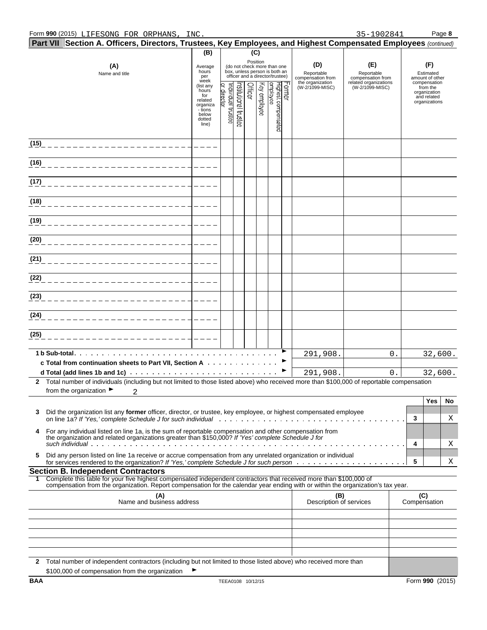|      | Part VII Section A. Officers, Directors, Trustees, Key Employees, and Highest Compensated Employees (continued)                                                                                                                                        |                                                                            |                                  |                      |         |              |                                                                                                 |       |                                                                               |                                                                                    |    |        |                                                                 |         |
|------|--------------------------------------------------------------------------------------------------------------------------------------------------------------------------------------------------------------------------------------------------------|----------------------------------------------------------------------------|----------------------------------|----------------------|---------|--------------|-------------------------------------------------------------------------------------------------|-------|-------------------------------------------------------------------------------|------------------------------------------------------------------------------------|----|--------|-----------------------------------------------------------------|---------|
|      |                                                                                                                                                                                                                                                        | (B)                                                                        |                                  |                      | (C)     |              |                                                                                                 |       |                                                                               |                                                                                    |    |        |                                                                 |         |
|      | (A)<br>Name and title                                                                                                                                                                                                                                  | Average<br>hours<br>per<br>week<br>(list any                               |                                  |                      |         | Position     | (do not check more than one<br>box, unless person is both an<br>officer and a director/trustee) |       | (D)<br>Reportable<br>compensation from<br>the organization<br>(W-2/1099-MISC) | (E)<br>Reportable<br>compensation from<br>related organizations<br>(W-2/1099-MISC) |    |        | (F)<br>Estimated<br>amount of other<br>compensation<br>from the |         |
|      |                                                                                                                                                                                                                                                        | hours<br>for<br>related<br>organiza<br>- tions<br>below<br>dotted<br>line) | or director<br>ndividual trustee | nstitutional trustee | Officer | Key employee | Highest compensated<br>employee                                                                 | crmer |                                                                               |                                                                                    |    |        | organization<br>and related<br>organizations                    |         |
| (15) |                                                                                                                                                                                                                                                        |                                                                            |                                  |                      |         |              |                                                                                                 |       |                                                                               |                                                                                    |    |        |                                                                 |         |
| (16) |                                                                                                                                                                                                                                                        |                                                                            |                                  |                      |         |              |                                                                                                 |       |                                                                               |                                                                                    |    |        |                                                                 |         |
| (17) |                                                                                                                                                                                                                                                        |                                                                            |                                  |                      |         |              |                                                                                                 |       |                                                                               |                                                                                    |    |        |                                                                 |         |
| (18) |                                                                                                                                                                                                                                                        |                                                                            |                                  |                      |         |              |                                                                                                 |       |                                                                               |                                                                                    |    |        |                                                                 |         |
| (19) |                                                                                                                                                                                                                                                        |                                                                            |                                  |                      |         |              |                                                                                                 |       |                                                                               |                                                                                    |    |        |                                                                 |         |
| (20) |                                                                                                                                                                                                                                                        |                                                                            |                                  |                      |         |              |                                                                                                 |       |                                                                               |                                                                                    |    |        |                                                                 |         |
| (21) |                                                                                                                                                                                                                                                        |                                                                            |                                  |                      |         |              |                                                                                                 |       |                                                                               |                                                                                    |    |        |                                                                 |         |
| (22) |                                                                                                                                                                                                                                                        |                                                                            |                                  |                      |         |              |                                                                                                 |       |                                                                               |                                                                                    |    |        |                                                                 |         |
| (23) |                                                                                                                                                                                                                                                        |                                                                            |                                  |                      |         |              |                                                                                                 |       |                                                                               |                                                                                    |    |        |                                                                 |         |
| (24) |                                                                                                                                                                                                                                                        |                                                                            |                                  |                      |         |              |                                                                                                 |       |                                                                               |                                                                                    |    |        |                                                                 |         |
| (25) |                                                                                                                                                                                                                                                        |                                                                            |                                  |                      |         |              |                                                                                                 |       |                                                                               |                                                                                    |    |        |                                                                 |         |
|      |                                                                                                                                                                                                                                                        |                                                                            |                                  |                      |         |              |                                                                                                 |       | 291,908.                                                                      |                                                                                    | 0. |        |                                                                 | 32,600. |
|      | c Total from continuation sheets to Part VII, Section A                                                                                                                                                                                                |                                                                            |                                  |                      |         |              |                                                                                                 |       | 291,908.                                                                      |                                                                                    | 0. |        |                                                                 | 32,600. |
|      | 2 Total number of individuals (including but not limited to those listed above) who received more than \$100,000 of reportable compensation                                                                                                            |                                                                            |                                  |                      |         |              |                                                                                                 |       |                                                                               |                                                                                    |    |        |                                                                 |         |
|      | from the organization $\blacktriangleright$                                                                                                                                                                                                            |                                                                            |                                  |                      |         |              |                                                                                                 |       |                                                                               |                                                                                    |    |        |                                                                 |         |
|      |                                                                                                                                                                                                                                                        |                                                                            |                                  |                      |         |              |                                                                                                 |       |                                                                               |                                                                                    |    |        | Yes                                                             | No      |
| 3    | Did the organization list any former officer, director, or trustee, key employee, or highest compensated employee                                                                                                                                      |                                                                            |                                  |                      |         |              |                                                                                                 |       |                                                                               |                                                                                    |    | 3      |                                                                 | Χ       |
| 4    | For any individual listed on line 1a, is the sum of reportable compensation and other compensation from<br>the organization and related organizations greater than \$150,000? If 'Yes' complete Schedule J for                                         |                                                                            |                                  |                      |         |              |                                                                                                 |       |                                                                               |                                                                                    |    |        |                                                                 |         |
| 5.   | Did any person listed on line 1a receive or accrue compensation from any unrelated organization or individual                                                                                                                                          |                                                                            |                                  |                      |         |              |                                                                                                 |       |                                                                               |                                                                                    |    | 4<br>5 |                                                                 | Χ<br>X  |
|      | <b>Section B. Independent Contractors</b>                                                                                                                                                                                                              |                                                                            |                                  |                      |         |              |                                                                                                 |       |                                                                               |                                                                                    |    |        |                                                                 |         |
| 1.   | Complete this table for your five highest compensated independent contractors that received more than \$100,000 of<br>compensation from the organization. Report compensation for the calendar year ending with or within the organization's tax year. |                                                                            |                                  |                      |         |              |                                                                                                 |       |                                                                               |                                                                                    |    |        |                                                                 |         |
|      | (A)<br>Name and business address                                                                                                                                                                                                                       |                                                                            |                                  |                      |         |              |                                                                                                 |       | (B)<br>Description of services                                                |                                                                                    |    |        | (C)<br>Compensation                                             |         |
|      |                                                                                                                                                                                                                                                        |                                                                            |                                  |                      |         |              |                                                                                                 |       |                                                                               |                                                                                    |    |        |                                                                 |         |
|      |                                                                                                                                                                                                                                                        |                                                                            |                                  |                      |         |              |                                                                                                 |       |                                                                               |                                                                                    |    |        |                                                                 |         |
|      |                                                                                                                                                                                                                                                        |                                                                            |                                  |                      |         |              |                                                                                                 |       |                                                                               |                                                                                    |    |        |                                                                 |         |
|      |                                                                                                                                                                                                                                                        |                                                                            |                                  |                      |         |              |                                                                                                 |       |                                                                               |                                                                                    |    |        |                                                                 |         |
|      | 2 Total number of independent contractors (including but not limited to those listed above) who received more than<br>\$100,000 of compensation from the organization                                                                                  |                                                                            |                                  |                      |         |              |                                                                                                 |       |                                                                               |                                                                                    |    |        |                                                                 |         |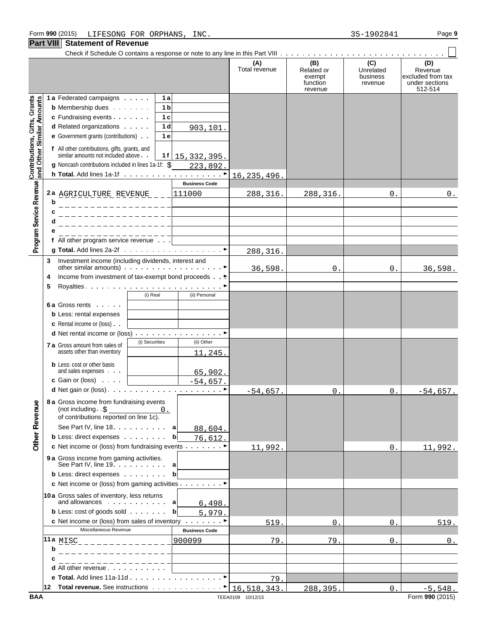#### **Part VIII Statement of Revenue**

| I GIL VIII                                                |   | <b>ORIGINGIN OF IVERGING</b>                                                                                                         |                |                       |                      |                                                    |                                         |                                                                  |
|-----------------------------------------------------------|---|--------------------------------------------------------------------------------------------------------------------------------------|----------------|-----------------------|----------------------|----------------------------------------------------|-----------------------------------------|------------------------------------------------------------------|
|                                                           |   |                                                                                                                                      |                |                       | (A)<br>Total revenue | (B)<br>Related or<br>exempt<br>function<br>revenue | (C)<br>Unrelated<br>business<br>revenue | (D)<br>Revenue<br>excluded from tax<br>under sections<br>512-514 |
|                                                           |   | 1 a Federated campaigns                                                                                                              | 1 a            |                       |                      |                                                    |                                         |                                                                  |
|                                                           |   | <b>b</b> Membership dues                                                                                                             | 1 b            |                       |                      |                                                    |                                         |                                                                  |
|                                                           |   | c Fundraising events                                                                                                                 | 1 <sub>c</sub> |                       |                      |                                                    |                                         |                                                                  |
|                                                           |   | d Related organizations                                                                                                              | 1 d            | 903,101.              |                      |                                                    |                                         |                                                                  |
|                                                           |   | e Government grants (contributions)                                                                                                  | 1 e            |                       |                      |                                                    |                                         |                                                                  |
| Contributions, Gifts, Grants<br>and Other Similar Amounts |   | f All other contributions, gifts, grants, and<br>similar amounts not included above.                                                 | 1 f l          | 15, 332, 395.         |                      |                                                    |                                         |                                                                  |
|                                                           |   | g Noncash contributions included in lines 1a-1f: \$                                                                                  |                | 223,892.              |                      |                                                    |                                         |                                                                  |
|                                                           |   |                                                                                                                                      |                |                       | 16, 235, 496.        |                                                    |                                         |                                                                  |
|                                                           |   |                                                                                                                                      |                | <b>Business Code</b>  |                      |                                                    |                                         |                                                                  |
|                                                           |   | 2a AGRICULTURE REVENUE _ _ _                                                                                                         |                | 111000                | 288,316.             | 288,316.                                           | 0.                                      | $0$ .                                                            |
| Program Service Revenue                                   | b | _______________                                                                                                                      |                |                       |                      |                                                    |                                         |                                                                  |
|                                                           | с | _ _ _ _ _ _ _ _ _ _ _ _ _ _ _ _ _                                                                                                    |                |                       |                      |                                                    |                                         |                                                                  |
|                                                           | d | _________________                                                                                                                    |                |                       |                      |                                                    |                                         |                                                                  |
|                                                           |   | _______________                                                                                                                      |                |                       |                      |                                                    |                                         |                                                                  |
|                                                           |   | f All other program service revenue                                                                                                  |                |                       |                      |                                                    |                                         |                                                                  |
|                                                           |   |                                                                                                                                      |                |                       | 288,316.             |                                                    |                                         |                                                                  |
|                                                           | 3 | Investment income (including dividends, interest and<br>other similar amounts) $\cdots$ $\cdots$ $\cdots$ $\cdots$ $\cdots$ $\cdots$ |                |                       | 36,598.              | $0$ .                                              | 0.                                      | 36,598.                                                          |
|                                                           | 4 | Income from investment of tax-exempt bond proceeds ►                                                                                 |                |                       |                      |                                                    |                                         |                                                                  |
|                                                           | 5 |                                                                                                                                      |                |                       |                      |                                                    |                                         |                                                                  |
|                                                           |   |                                                                                                                                      | (i) Real       | (ii) Personal         |                      |                                                    |                                         |                                                                  |
|                                                           |   | <b>6a Gross rents</b>                                                                                                                |                |                       |                      |                                                    |                                         |                                                                  |
|                                                           |   | <b>b</b> Less: rental expenses                                                                                                       |                |                       |                      |                                                    |                                         |                                                                  |
|                                                           |   | <b>c</b> Rental income or (loss).                                                                                                    |                |                       |                      |                                                    |                                         |                                                                  |
|                                                           |   | d Net rental income or (loss)<br>(i) Securities                                                                                      |                | (ii) Other            |                      |                                                    |                                         |                                                                  |
|                                                           |   | <b>7 a</b> Gross amount from sales of<br>assets other than inventory                                                                 |                |                       |                      |                                                    |                                         |                                                                  |
|                                                           |   |                                                                                                                                      |                | 11,245.               |                      |                                                    |                                         |                                                                  |
|                                                           |   | <b>b</b> Less: cost or other basis<br>and sales expenses                                                                             |                | 65,902.               |                      |                                                    |                                         |                                                                  |
|                                                           |   | <b>c</b> Gain or (loss) $\cdots$                                                                                                     |                | $-54,657.$            |                      |                                                    |                                         |                                                                  |
|                                                           |   |                                                                                                                                      |                |                       | $-54,657.$           | 0 <sub>1</sub>                                     | 0.                                      | $-54,657.$                                                       |
|                                                           |   |                                                                                                                                      |                |                       |                      |                                                    |                                         |                                                                  |
| <b>Other Revenue</b>                                      |   | 8 a Gross income from fundraising events<br>(not including. . \$                                                                     | 0.             |                       |                      |                                                    |                                         |                                                                  |
|                                                           |   | of contributions reported on line 1c).                                                                                               |                |                       |                      |                                                    |                                         |                                                                  |
|                                                           |   | See Part IV, line 18. a                                                                                                              |                | 88,604.               |                      |                                                    |                                         |                                                                  |
|                                                           |   | <b>b</b> Less: direct expenses                                                                                                       |                | bl<br>76,612.         |                      |                                                    |                                         |                                                                  |
|                                                           |   | c Net income or (loss) from fundraising events $\ldots$                                                                              |                |                       | 11,992.              |                                                    | 0.                                      | 11,992.                                                          |
|                                                           |   | <b>9 a</b> Gross income from gaming activities.<br>See Part IV, line $19. \ldots 1. \ldots$ a                                        |                |                       |                      |                                                    |                                         |                                                                  |
|                                                           |   | <b>b</b> Less: direct expenses                                                                                                       |                | bl                    |                      |                                                    |                                         |                                                                  |
|                                                           |   | c Net income or (loss) from gaming activities ▶                                                                                      |                |                       |                      |                                                    |                                         |                                                                  |
|                                                           |   | 10a Gross sales of inventory, less returns                                                                                           |                |                       |                      |                                                    |                                         |                                                                  |
|                                                           |   | and allowances $\cdots$ a                                                                                                            |                | 6,498.                |                      |                                                    |                                         |                                                                  |
|                                                           |   | <b>b</b> Less: cost of goods sold $\cdots$                                                                                           |                | bl<br>5,979.          |                      |                                                    |                                         |                                                                  |
|                                                           |   | c Net income or (loss) from sales of inventory                                                                                       |                |                       | 519.                 | $\Omega$                                           | 0                                       | 519.                                                             |
|                                                           |   | Miscellaneous Revenue                                                                                                                |                | <b>Business Code</b>  |                      |                                                    |                                         |                                                                  |
|                                                           |   | 11 a $_{\rm{MISC}}$                                                                                                                  |                | 900099                | 79.                  | 79.                                                | 0.                                      | $0$ .                                                            |
|                                                           | b |                                                                                                                                      |                |                       |                      |                                                    |                                         |                                                                  |
|                                                           |   |                                                                                                                                      |                |                       |                      |                                                    |                                         |                                                                  |
|                                                           |   | d All other revenue                                                                                                                  |                |                       |                      |                                                    |                                         |                                                                  |
|                                                           |   | e Total. Add lines 11a-11d                                                                                                           |                | $\blacktriangleright$ | 79.                  |                                                    |                                         |                                                                  |
|                                                           |   | 12 Total revenue. See instructions $\ldots \ldots \ldots \cdot 16,518,343$ .                                                         |                |                       |                      | 288,395.                                           | 0.                                      | $-5,548.$                                                        |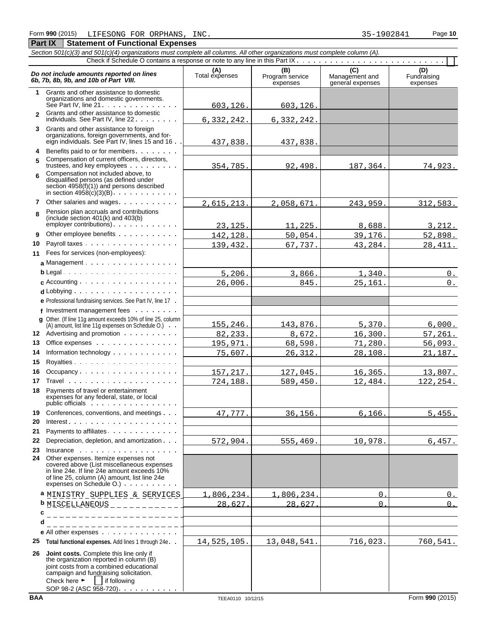#### *Section 501(c)(3) and 501(c)(4) organizations must complete all columns. All other organizations must complete column (A).* Check if Schedule O contains a response or note to any line in this Part IX . . . . . . . . . . . . . . . . . **Do not include amounts reported on lines**<br> **C** (D) (D) Total expenses Program service Management and Fundraising<br> **EXPENSION EXPENSION CONTRACT CONTRACT (D)** Management and Fundraising<br>
expenses expenses expenses expenses **1** Grants and other assistance to domestic organizations and domestic governments. See Part IV, line  $21 \cdot \cdot \cdot \cdot \cdot \cdot \cdot \cdot \cdot \cdot \cdot \cdot$ **2** Grants and other assistance to domestic individuals. See Part IV, line 22 . . . . . . . . **3** Grants and other assistance to foreign organizations, foreign governments, and foreign individuals. See Part IV, lines 15 and 16 **4** Benefits paid to or for members **5** Compensation of current officers, directors, trustees, and key employees . . . . . . . . Compensation not included above, to **6** disqualified persons (as defined under section 4958(f)(1)) and persons described in section  $4958(c)(3)(B)$ . . . . . . . . . . . **7** Other salaries and wages Pension plan accruals and contributions **8** (include section 401(k) and 403(b)  $emplover$  contributions)  $\ldots$   $\ldots$ **9** Other employee benefits . . . . . . . **10** Payroll taxes **11** Fees for services (non-employees): a Management . . . . . . . . . . . . . . **b** Legal **c** Accounting d Lobbying . . . . . . . . . . . . . . . . **e** Professional fundraising services. See Part IV, line 17 **f** Investment management fees **g** Other. (If line 11g amount exceeds 10% of line 25, column (A) amount, list line 11g expenses on Schedule O.) **12** Advertising and promotion **13** Office expenses **14** Information technology **15** Royalties 16 Occupancy . . . . . . . . . . . . . . . . . . **17** Travel **18** Payments of travel or entertainment expenses for any federal, state, or local public officials : . . . . . . . . . . . . . . . . 19 Conferences, conventions, and meetings . . . **20** Interest **21** Payments to affiliates **22** Depreciation, depletion, and amortization **23** Insurance **24** Other expenses. Itemize expenses not covered above (List miscellaneous expenses in line 24e. If line 24e amount exceeds 10% of line 25, column (A) amount, list line 24e expenses on Schedule O.) **a** MINISTRY SUPPLIES & SERVICES 1,806,234. 1,806,234. 0. 0. **b** MISCELLANEOUS 28,627. 28,627. 0. 0.**c d e** All other expenses **25 Total functional expenses.** Add lines 1 through 24e **26 Joint costs.** Complete this line only if the organization reported in column (B) joint costs from a combined educational campaign and fundraising solicitation. Check here  $\blacktriangleright$  if following SOP 98-2 (ASC 958-720). . . . . 603,126. 603,126. 6,332,242. 6,332,242. 437,838. 437,838. 354,785. 92,498. 187,364. 74,923. 2,615,213. 2,058,671. 243,959. 312,583. 23,125. 11,225. 8,688. 3,212. 142,128. 50,054. 39,176. 52,898. 139,432. 67,737. 43,284. 28,411.  $5,206.$  3,866. 1,340. 0. 26,006. 845. 25,161. 0. 155,246. 143,876. 5,370. 6,000. 82,233. 8,672. 16,300. 57,261. 195,971. 68,598. 71,280. 56,093. 75,607. 26,312. 28,108. 21,187. 157,217. 127,045. 16,365. 13,807. 724,188. 589,450. 12,484. 122,254. 47,777. 36,156. 6,166. 5,455. 572,904. 555,469. 10,978. 6,457. 14,525,105. 13,048,541. 716,023. 760,541.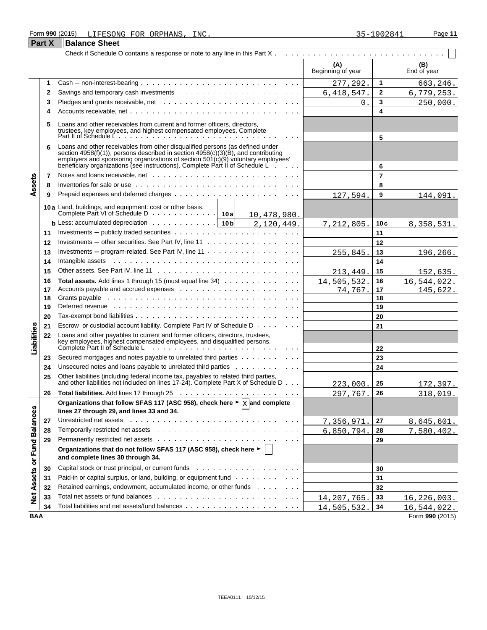#### Form **990** (2015) Page **11** LIFESONG FOR ORPHANS, INC. 35-1902841

|                             | <b>Part X</b> | <b>Balance Sheet</b>                                                                                                                                                                                                                                                                                                                              |                          |                |                    |
|-----------------------------|---------------|---------------------------------------------------------------------------------------------------------------------------------------------------------------------------------------------------------------------------------------------------------------------------------------------------------------------------------------------------|--------------------------|----------------|--------------------|
|                             |               |                                                                                                                                                                                                                                                                                                                                                   |                          |                |                    |
|                             |               |                                                                                                                                                                                                                                                                                                                                                   | (A)<br>Beginning of year |                | (B)<br>End of year |
|                             | 1             |                                                                                                                                                                                                                                                                                                                                                   | 277,292.                 | 1              | 663,246.           |
|                             | 2             |                                                                                                                                                                                                                                                                                                                                                   | 6, 418, 547.             | $\mathbf{2}$   | 6,779,253.         |
|                             | 3             |                                                                                                                                                                                                                                                                                                                                                   | 0.                       | 3              | 250,000.           |
|                             | 4             |                                                                                                                                                                                                                                                                                                                                                   |                          | 4              |                    |
|                             | 5             | Loans and other receivables from current and former officers, directors,<br>trustees, key employees, and highest compensated employees. Complete<br>Part II of Schedule L<br><b>Contract Contract</b>                                                                                                                                             |                          | 5              |                    |
|                             | 6             | Loans and other receivables from other disqualified persons (as defined under<br>section 4958(f)(1)), persons described in section $4958(c)(3)(\dot{B})$ , and contributing<br>employers and sponsoring organizations of section $501(c)(9)$ voluntary employees'<br>beneficiary organizations (see instructions). Complete Part II of Schedule L |                          | 6              |                    |
|                             | 7             |                                                                                                                                                                                                                                                                                                                                                   |                          | $\overline{7}$ |                    |
| Assets                      | 8             | Inventories for sale or use $\cdots$ , $\cdots$ , $\cdots$ , $\cdots$ , $\cdots$ , $\cdots$ , $\cdots$ , $\cdots$ , $\cdots$ , $\cdots$ , $\cdots$                                                                                                                                                                                                |                          | 8              |                    |
|                             | 9             |                                                                                                                                                                                                                                                                                                                                                   | 127,594                  | 9              | 144,091.           |
|                             |               | 10a Land, buildings, and equipment: cost or other basis.<br>10,478,980.                                                                                                                                                                                                                                                                           |                          |                |                    |
|                             |               | <b>b</b> Less: accumulated depreciation $\cdots \cdots \cdots \cdots$   10b<br>2,120,449.                                                                                                                                                                                                                                                         | <u>7,212,805.</u>        | 10c            | 8, 358, 531.       |
|                             | 11            |                                                                                                                                                                                                                                                                                                                                                   |                          | 11             |                    |
|                             | 12            |                                                                                                                                                                                                                                                                                                                                                   |                          | 12             |                    |
|                             | 13            | Investments – program-related. See Part IV, line $11 \ldots \ldots \ldots \ldots \ldots \ldots$                                                                                                                                                                                                                                                   | 255,845                  | 13             | 196,266.           |
|                             | 14            | Intangible assets response to the contract of the contract of the contract of the contract of the contract of the contract of the contract of the contract of the contract of the contract of the contract of the contract of                                                                                                                     |                          | 14             |                    |
|                             | 15            |                                                                                                                                                                                                                                                                                                                                                   | 213,449                  | 15             | 152,635.           |
|                             | 16            | Total assets. Add lines 1 through 15 (must equal line 34)                                                                                                                                                                                                                                                                                         | 14,505,532               | 16             | 16,544,022.        |
|                             | 17            |                                                                                                                                                                                                                                                                                                                                                   | 74,767                   | 17             | 145,622.           |
|                             | 18            |                                                                                                                                                                                                                                                                                                                                                   |                          | 18             |                    |
|                             | 19            | Deferred revenue www.communicationshipsers and contain the contact of the contact of the contact of the contact of the contact of the contact of the contact of the contact of the contact of the contact of the contact of th                                                                                                                    |                          | 19             |                    |
|                             | 20            |                                                                                                                                                                                                                                                                                                                                                   |                          | 20             |                    |
|                             | 21            | Escrow or custodial account liability. Complete Part IV of Schedule D                                                                                                                                                                                                                                                                             |                          | 21             |                    |
| Liabilities                 | 22            | Loans and other payables to current and former officers, directors, trustees,<br>Exercisely employees, highest compensated employees, and disqualified persons.<br>Complete Part II of Schedule Letter Allen and the complete Part II of Schedule Letter Allen and the complete Part II of Schedule Letter Allen a                                |                          | 22             |                    |
|                             | 23            | Secured mortgages and notes payable to unrelated third parties                                                                                                                                                                                                                                                                                    |                          | 23             |                    |
|                             | 24            | Unsecured notes and loans payable to unrelated third parties                                                                                                                                                                                                                                                                                      |                          | 24             |                    |
|                             | 25            | Other liabilities (including federal income tax, payables to related third parties,<br>and other liabilities not included on lines 17-24). Complete Part X of Schedule D                                                                                                                                                                          | 223,000                  | 25             | 172,397.           |
|                             | 26            |                                                                                                                                                                                                                                                                                                                                                   | 297,767.                 | 26             | 318,019.           |
|                             |               | Organizations that follow SFAS 117 (ASC 958), check here $\blacktriangleright \boxed{\text{X}}$ and complete<br>lines 27 through 29, and lines 33 and 34.                                                                                                                                                                                         |                          |                |                    |
|                             | 27            | Unrestricted net assets with a state of the contract of the contract of the contract of the contract of the contract of the contract of the contract of the contract of the contract of the contract of the contract of the co                                                                                                                    | 7,356,971                | 27             | 8,645,601.         |
|                             | 28            |                                                                                                                                                                                                                                                                                                                                                   | 6,850,794.               | 28             | 7,580,402.         |
|                             | 29            |                                                                                                                                                                                                                                                                                                                                                   |                          | 29             |                    |
| Net Assets or Fund Balances |               | Organizations that do not follow SFAS 117 (ASC 958), check here ►<br>and complete lines 30 through 34.                                                                                                                                                                                                                                            |                          |                |                    |
|                             | 30            |                                                                                                                                                                                                                                                                                                                                                   |                          | 30             |                    |
|                             | 31            | Paid-in or capital surplus, or land, building, or equipment fund                                                                                                                                                                                                                                                                                  |                          | 31             |                    |
|                             | 32            | Retained earnings, endowment, accumulated income, or other funds                                                                                                                                                                                                                                                                                  |                          | 32             |                    |
|                             | 33            |                                                                                                                                                                                                                                                                                                                                                   | 14, 207, 765.            | 33             | 16, 226, 003.      |
|                             | 34            |                                                                                                                                                                                                                                                                                                                                                   | 14,505,532.              | 34             | 16,544,022.        |
| <b>BAA</b>                  |               |                                                                                                                                                                                                                                                                                                                                                   |                          |                | Form 990 (2015)    |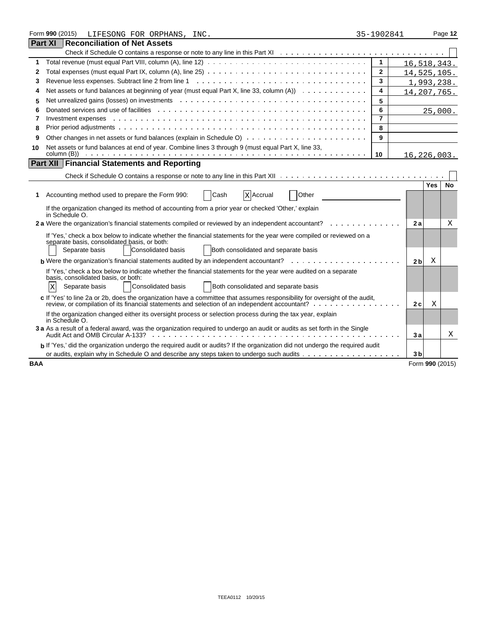|                                                                                                                            | Form 990 (2015)<br>LIFESONG FOR ORPHANS, INC.                                                                                                                                                                                  | 35-1902841     |  |                 |            | Page 12   |
|----------------------------------------------------------------------------------------------------------------------------|--------------------------------------------------------------------------------------------------------------------------------------------------------------------------------------------------------------------------------|----------------|--|-----------------|------------|-----------|
|                                                                                                                            | <b>Part XI Reconciliation of Net Assets</b>                                                                                                                                                                                    |                |  |                 |            |           |
|                                                                                                                            |                                                                                                                                                                                                                                |                |  |                 |            |           |
| 1                                                                                                                          |                                                                                                                                                                                                                                | 1              |  | 16,518,343.     |            |           |
| 2                                                                                                                          |                                                                                                                                                                                                                                | 2              |  | 14,525,105.     |            |           |
| 3                                                                                                                          |                                                                                                                                                                                                                                | 3              |  | 1,993,238.      |            |           |
| 4                                                                                                                          | Net assets or fund balances at beginning of year (must equal Part X, line 33, column $(A)$ ) $\cdots$                                                                                                                          | 4              |  | 14,207,765.     |            |           |
| 5                                                                                                                          | Net unrealized gains (losses) on investments entercated and contact and contact the set of the set of the set of the set of the set of the set of the set of the set of the set of the set of the set of the set of the set of | 5              |  |                 |            |           |
| 6                                                                                                                          |                                                                                                                                                                                                                                | 6              |  |                 |            | 25,000.   |
| 7                                                                                                                          | Investment expenses                                                                                                                                                                                                            | $\overline{7}$ |  |                 |            |           |
| 8                                                                                                                          |                                                                                                                                                                                                                                | 8              |  |                 |            |           |
| 9                                                                                                                          |                                                                                                                                                                                                                                | 9              |  |                 |            |           |
| 10                                                                                                                         | Net assets or fund balances at end of year. Combine lines 3 through 9 (must equal Part X, line 33,                                                                                                                             |                |  |                 |            |           |
|                                                                                                                            | Part XII   Financial Statements and Reporting                                                                                                                                                                                  | 10             |  | 16,226,003.     |            |           |
|                                                                                                                            |                                                                                                                                                                                                                                |                |  |                 |            |           |
|                                                                                                                            |                                                                                                                                                                                                                                |                |  |                 |            |           |
|                                                                                                                            |                                                                                                                                                                                                                                |                |  |                 | <b>Yes</b> | <b>No</b> |
| 1.                                                                                                                         | Cash<br>Other<br>Accounting method used to prepare the Form 990:<br>X Accrual                                                                                                                                                  |                |  |                 |            |           |
|                                                                                                                            | If the organization changed its method of accounting from a prior year or checked 'Other,' explain<br>in Schedule O.                                                                                                           |                |  |                 |            |           |
|                                                                                                                            | 2 a Were the organization's financial statements compiled or reviewed by an independent accountant?                                                                                                                            |                |  | 2a              |            | Χ         |
|                                                                                                                            | If 'Yes,' check a box below to indicate whether the financial statements for the year were compiled or reviewed on a<br>separate basis, consolidated basis, or both:                                                           |                |  |                 |            |           |
|                                                                                                                            | Both consolidated and separate basis<br>Separate basis<br>Consolidated basis                                                                                                                                                   |                |  |                 |            |           |
|                                                                                                                            | <b>b</b> Were the organization's financial statements audited by an independent accountant? $\ldots$ ,                                                                                                                         |                |  | 2 <sub>b</sub>  | Χ          |           |
|                                                                                                                            | If 'Yes,' check a box below to indicate whether the financial statements for the year were audited on a separate<br>basis, consolidated basis, or both:                                                                        |                |  |                 |            |           |
|                                                                                                                            | Both consolidated and separate basis<br>Separate basis<br>Consolidated basis<br>ΙX                                                                                                                                             |                |  |                 |            |           |
|                                                                                                                            |                                                                                                                                                                                                                                |                |  |                 |            |           |
|                                                                                                                            | c If 'Yes' to line 2a or 2b, does the organization have a committee that assumes responsibility for oversight of the audit,                                                                                                    |                |  | 2c              | Χ          |           |
|                                                                                                                            | If the organization changed either its oversight process or selection process during the tax year, explain<br>in Schedule O.                                                                                                   |                |  |                 |            |           |
| 3 a As a result of a federal award, was the organization required to undergo an audit or audits as set forth in the Single |                                                                                                                                                                                                                                |                |  |                 |            | Χ         |
|                                                                                                                            | b If 'Yes,' did the organization undergo the required audit or audits? If the organization did not undergo the required audit                                                                                                  |                |  |                 |            |           |
|                                                                                                                            |                                                                                                                                                                                                                                |                |  | 3 <sub>b</sub>  |            |           |
| <b>BAA</b>                                                                                                                 |                                                                                                                                                                                                                                |                |  | Form 990 (2015) |            |           |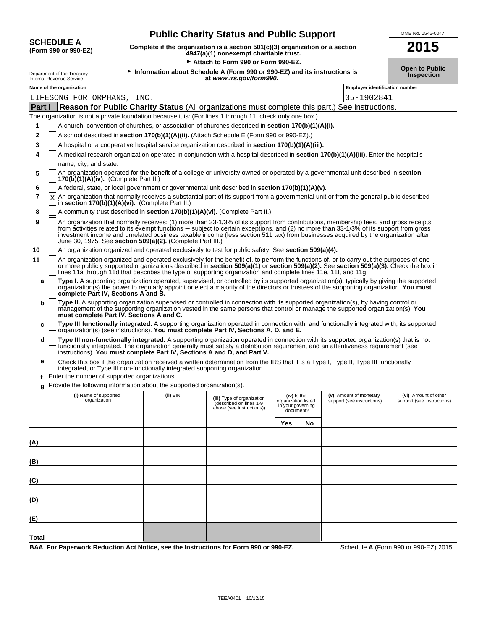| SCHEDULE A           |
|----------------------|
| /Form 990 or 990-F7) |

# **Public Charity Status and Public Support**<br>lete if the organization is a section 501(c)(3) organization or a section<br>**2015**

**(Form 990 or 990-EZ) Complete if the organization is a section 501(c)(3) organization or a section 4947(a)(1) nonexempt charitable trust. 2015**

|                                                        |                                                                                                      |                                                                              | Attach to Form 990 or Form 990-EZ.                                                                                                                                                                                                                                                                                                                                                                                   |                                                                      |    |                                                      |                                                    |
|--------------------------------------------------------|------------------------------------------------------------------------------------------------------|------------------------------------------------------------------------------|----------------------------------------------------------------------------------------------------------------------------------------------------------------------------------------------------------------------------------------------------------------------------------------------------------------------------------------------------------------------------------------------------------------------|----------------------------------------------------------------------|----|------------------------------------------------------|----------------------------------------------------|
| Department of the Treasury<br>Internal Revenue Service | Information about Schedule A (Form 990 or 990-EZ) and its instructions is<br>at www.irs.gov/form990. |                                                                              |                                                                                                                                                                                                                                                                                                                                                                                                                      | <b>Open to Public</b><br>Inspection                                  |    |                                                      |                                                    |
| Name of the organization                               |                                                                                                      |                                                                              |                                                                                                                                                                                                                                                                                                                                                                                                                      |                                                                      |    | <b>Employer identification number</b>                |                                                    |
| LIFESONG FOR ORPHANS, INC.                             |                                                                                                      |                                                                              |                                                                                                                                                                                                                                                                                                                                                                                                                      |                                                                      |    | 35-1902841                                           |                                                    |
| <b>Part I</b>                                          |                                                                                                      |                                                                              | Reason for Public Charity Status (All organizations must complete this part.) See instructions.                                                                                                                                                                                                                                                                                                                      |                                                                      |    |                                                      |                                                    |
|                                                        |                                                                                                      |                                                                              | The organization is not a private foundation because it is: (For lines 1 through 11, check only one box.)                                                                                                                                                                                                                                                                                                            |                                                                      |    |                                                      |                                                    |
| 1                                                      |                                                                                                      |                                                                              | A church, convention of churches, or association of churches described in <b>section 170(b)(1)(A)(i).</b>                                                                                                                                                                                                                                                                                                            |                                                                      |    |                                                      |                                                    |
| $\mathbf 2$                                            |                                                                                                      |                                                                              | A school described in section 170(b)(1)(A)(ii). (Attach Schedule E (Form 990 or 990-EZ).)                                                                                                                                                                                                                                                                                                                            |                                                                      |    |                                                      |                                                    |
| 3                                                      |                                                                                                      |                                                                              | A hospital or a cooperative hospital service organization described in section 170(b)(1)(A)(iii).                                                                                                                                                                                                                                                                                                                    |                                                                      |    |                                                      |                                                    |
| 4                                                      |                                                                                                      |                                                                              | A medical research organization operated in conjunction with a hospital described in section 170(b)(1)(A)(iii). Enter the hospital's                                                                                                                                                                                                                                                                                 |                                                                      |    |                                                      |                                                    |
| name, city, and state:                                 |                                                                                                      |                                                                              |                                                                                                                                                                                                                                                                                                                                                                                                                      |                                                                      |    |                                                      |                                                    |
| 5                                                      | $170(b)(1)(A)(iv)$ . (Complete Part II.)                                                             |                                                                              | An organization operated for the benefit of a college or university owned or operated by a governmental unit described in section                                                                                                                                                                                                                                                                                    |                                                                      |    |                                                      |                                                    |
| 6                                                      |                                                                                                      |                                                                              | A federal, state, or local government or governmental unit described in section 170(b)(1)(A)(v).                                                                                                                                                                                                                                                                                                                     |                                                                      |    |                                                      |                                                    |
| 7                                                      |                                                                                                      | in section $170(b)(1)(A)(vi)$ . (Complete Part II.)                          | An organization that normally receives a substantial part of its support from a governmental unit or from the general public described                                                                                                                                                                                                                                                                               |                                                                      |    |                                                      |                                                    |
| 8                                                      |                                                                                                      |                                                                              | A community trust described in section 170(b)(1)(A)(vi). (Complete Part II.)                                                                                                                                                                                                                                                                                                                                         |                                                                      |    |                                                      |                                                    |
| 9                                                      |                                                                                                      | June 30, 1975. See section 509(a)(2). (Complete Part III.)                   | An organization that normally receives: (1) more than 33-1/3% of its support from contributions, membership fees, and gross receipts<br>from activities related to its exempt functions – subject to certain exceptions, and (2) no more than 33-1/3% of its support from gross<br>investment income and unrelated business taxable income (less section 511 tax) from businesses acquired by the organization after |                                                                      |    |                                                      |                                                    |
| 10                                                     |                                                                                                      |                                                                              | An organization organized and operated exclusively to test for public safety. See section 509(a)(4).                                                                                                                                                                                                                                                                                                                 |                                                                      |    |                                                      |                                                    |
| 11                                                     |                                                                                                      |                                                                              | An organization organized and operated exclusively for the benefit of, to perform the functions of, or to carry out the purposes of one<br>or more publicly supported organizations described in section 509(a)(1) or section 509(a)(2). See section 509(a)(3). Check the box in<br>lines 11a through 11d that describes the type of supporting organization and complete lines 11e, 11f, and 11g.                   |                                                                      |    |                                                      |                                                    |
| a                                                      | complete Part IV, Sections A and B.                                                                  |                                                                              | Type I. A supporting organization operated, supervised, or controlled by its supported organization(s), typically by giving the supported<br>organization(s) the power to regularly appoint or elect a majority of the directors or trustees of the supporting organization. You must                                                                                                                                |                                                                      |    |                                                      |                                                    |
| b                                                      | must complete Part IV, Sections A and C.                                                             |                                                                              | Type II. A supporting organization supervised or controlled in connection with its supported organization(s), by having control or<br>management of the supporting organization vested in the same persons that control or manage the supported organization(s). You                                                                                                                                                 |                                                                      |    |                                                      |                                                    |
| c                                                      |                                                                                                      |                                                                              | Type III functionally integrated. A supporting organization operated in connection with, and functionally integrated with, its supported<br>organization(s) (see instructions). You must complete Part IV, Sections A, D, and E.                                                                                                                                                                                     |                                                                      |    |                                                      |                                                    |
| d                                                      |                                                                                                      |                                                                              | Type III non-functionally integrated. A supporting organization operated in connection with its supported organization(s) that is not<br>functionally integrated. The organization generally must satisfy a distribution requirement and an attentiveness requirement (see<br>instructions). You must complete Part IV, Sections A and D, and Part V.                                                                |                                                                      |    |                                                      |                                                    |
| е                                                      |                                                                                                      | integrated, or Type III non-functionally integrated supporting organization. | Check this box if the organization received a written determination from the IRS that it is a Type I, Type II, Type III functionally                                                                                                                                                                                                                                                                                 |                                                                      |    |                                                      |                                                    |
| f                                                      |                                                                                                      |                                                                              |                                                                                                                                                                                                                                                                                                                                                                                                                      |                                                                      |    |                                                      |                                                    |
| g                                                      |                                                                                                      | Provide the following information about the supported organization(s).       |                                                                                                                                                                                                                                                                                                                                                                                                                      |                                                                      |    |                                                      |                                                    |
|                                                        | (i) Name of supported<br>organization                                                                | (ii) EIN                                                                     | (iii) Type of organization<br>(described on lines 1-9<br>above (see instructions))                                                                                                                                                                                                                                                                                                                                   | (iv) is the<br>organization listed<br>in your governing<br>document? |    | (v) Amount of monetary<br>support (see instructions) | (vi) Amount of other<br>support (see instructions) |
|                                                        |                                                                                                      |                                                                              |                                                                                                                                                                                                                                                                                                                                                                                                                      | Yes                                                                  | No |                                                      |                                                    |
| <u>(A)</u>                                             |                                                                                                      |                                                                              |                                                                                                                                                                                                                                                                                                                                                                                                                      |                                                                      |    |                                                      |                                                    |
|                                                        |                                                                                                      |                                                                              |                                                                                                                                                                                                                                                                                                                                                                                                                      |                                                                      |    |                                                      |                                                    |
| <u>(B)</u>                                             |                                                                                                      |                                                                              |                                                                                                                                                                                                                                                                                                                                                                                                                      |                                                                      |    |                                                      |                                                    |
| (C)                                                    |                                                                                                      |                                                                              |                                                                                                                                                                                                                                                                                                                                                                                                                      |                                                                      |    |                                                      |                                                    |
| <u>(D)</u>                                             |                                                                                                      |                                                                              |                                                                                                                                                                                                                                                                                                                                                                                                                      |                                                                      |    |                                                      |                                                    |
| (E)                                                    |                                                                                                      |                                                                              |                                                                                                                                                                                                                                                                                                                                                                                                                      |                                                                      |    |                                                      |                                                    |
|                                                        |                                                                                                      |                                                                              |                                                                                                                                                                                                                                                                                                                                                                                                                      |                                                                      |    |                                                      |                                                    |
| Total                                                  |                                                                                                      |                                                                              | RAA For Panerwork Reduction Act Notice see the Instructions for Form 990 or 990-F7                                                                                                                                                                                                                                                                                                                                   |                                                                      |    |                                                      | Schedule A (Form 990 or 990-F7) 2015               |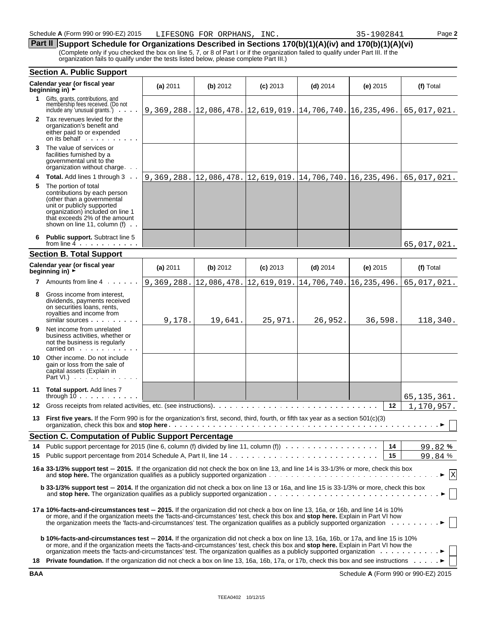#### **Part II** Support Schedule for Organizations Described in Sections 170(b)(1)(A)(iv) and 170(b)(1)(A)(vi) (Complete only if you checked the box on line 5, 7, or 8 of Part I or if the organization failed to qualify under Part III. If the

organization fails to qualify under the tests listed below, please complete Part III.)

|     | <b>Section A. Public Support</b>                                                                                                                                                                                                                                                                                                                                                                  |            |                                                                      |             |             |               |               |
|-----|---------------------------------------------------------------------------------------------------------------------------------------------------------------------------------------------------------------------------------------------------------------------------------------------------------------------------------------------------------------------------------------------------|------------|----------------------------------------------------------------------|-------------|-------------|---------------|---------------|
|     | Calendar year (or fiscal year<br>beginning in) $\rightarrow$                                                                                                                                                                                                                                                                                                                                      | (a) 2011   | (b) 2012                                                             | $(c)$ 2013  | $(d)$ 2014  | $(e)$ 2015    | (f) Total     |
|     | 1 Gifts, grants, contributions, and<br>membership fees received. (Do not<br>include any 'unusual grants.')<br>.                                                                                                                                                                                                                                                                                   |            | 9, 369, 288. 12, 086, 478. 12, 619, 019. 14, 706, 740. 16, 235, 496. |             |             |               | 65,017,021.   |
|     | 2 Tax revenues levied for the<br>organization's benefit and<br>either paid to or expended<br>on its behalf                                                                                                                                                                                                                                                                                        |            |                                                                      |             |             |               |               |
| 3   | The value of services or<br>facilities furnished by a<br>governmental unit to the<br>organization without charge.                                                                                                                                                                                                                                                                                 |            |                                                                      |             |             |               |               |
| 4   | <b>Total.</b> Add lines 1 through 3                                                                                                                                                                                                                                                                                                                                                               |            | 9, 369, 288. 12, 086, 478. 12, 619, 019. 14, 706, 740. 16, 235, 496. |             |             |               | 65,017,021.   |
| 5   | The portion of total<br>contributions by each person<br>(other than a governmental<br>unit or publicly supported<br>organization) included on line 1<br>that exceeds 2% of the amount<br>shown on line 11, column (f) $\ldots$                                                                                                                                                                    |            |                                                                      |             |             |               |               |
| 6.  | <b>Public support.</b> Subtract line 5<br>from line $4$ , $\ldots$ , $\ldots$                                                                                                                                                                                                                                                                                                                     |            |                                                                      |             |             |               | 65,017,021.   |
|     | <b>Section B. Total Support</b>                                                                                                                                                                                                                                                                                                                                                                   |            |                                                                      |             |             |               |               |
|     | Calendar year (or fiscal year<br>beginning in) $\rightarrow$                                                                                                                                                                                                                                                                                                                                      | (a) 2011   | (b) 2012                                                             | $(c)$ 2013  | $(d)$ 2014  | $(e)$ 2015    | (f) Total     |
| 7   | Amounts from line 4 .                                                                                                                                                                                                                                                                                                                                                                             | 9,369,288. | 12,086,478.                                                          | 12,619,019. | 14,706,740. | 16, 235, 496. | 65,017,021.   |
| 8   | Gross income from interest,<br>dividends, payments received<br>on securities loans, rents,<br>royalties and income from<br>similar sources                                                                                                                                                                                                                                                        | 9,178.     | 19,641.                                                              | 25,971.     | 26,952.     | 36,598.       | 118,340.      |
| 9   | Net income from unrelated<br>business activities, whether or<br>not the business is regularly<br>carried on The Read of The Terms                                                                                                                                                                                                                                                                 |            |                                                                      |             |             |               |               |
| 10  | Other income. Do not include<br>gain or loss from the sale of<br>capital assets (Explain in<br>Part VI.)                                                                                                                                                                                                                                                                                          |            |                                                                      |             |             |               |               |
|     | 11 Total support. Add lines 7<br>through $10 \ldots \ldots$                                                                                                                                                                                                                                                                                                                                       |            |                                                                      |             |             |               | 65, 135, 361. |
| 12. | Gross receipts from related activities, etc. (see instructions).                                                                                                                                                                                                                                                                                                                                  |            |                                                                      |             |             | $12 \,$       | 1,170,957.    |
| 13. | First five years. If the Form 990 is for the organization's first, second, third, fourth, or fifth tax year as a section 501(c)(3)                                                                                                                                                                                                                                                                |            |                                                                      |             |             |               |               |
|     | <b>Section C. Computation of Public Support Percentage</b>                                                                                                                                                                                                                                                                                                                                        |            |                                                                      |             |             |               |               |
|     | 14 Public support percentage for 2015 (line 6, column (f) divided by line 11, column (f))                                                                                                                                                                                                                                                                                                         |            |                                                                      |             |             | 14            | 99.82%        |
| 15  |                                                                                                                                                                                                                                                                                                                                                                                                   |            |                                                                      |             |             | 15            | 99.84%        |
|     | 16 a 33-1/3% support test - 2015. If the organization did not check the box on line 13, and line 14 is 33-1/3% or more, check this box                                                                                                                                                                                                                                                            |            |                                                                      |             |             |               | $\mathbf x$   |
|     | b 33-1/3% support test - 2014. If the organization did not check a box on line 13 or 16a, and line 15 is 33-1/3% or more, check this box                                                                                                                                                                                                                                                          |            |                                                                      |             |             |               |               |
|     | 17a 10%-facts-and-circumstances test – 2015. If the organization did not check a box on line 13, 16a, or 16b, and line 14 is 10%<br>or more, and if the organization meets the 'facts-and-circumstances' test, check this box and stop here. Explain in Part VI how<br>the organization meets the 'facts-and-circumstances' test. The organization qualifies as a publicly supported organization |            |                                                                      |             |             |               |               |
|     | <b>b 10%-facts-and-circumstances test – 2014.</b> If the organization did not check a box on line 13, 16a, 16b, or 17a, and line 15 is 10%<br>or more, and if the organization meets the 'facts-and-circumstances' test, check this box and stop here. Explain in Part VI how the                                                                                                                 |            |                                                                      |             |             |               |               |
|     | 18 Private foundation. If the organization did not check a box on line 13, 16a, 16b, 17a, or 17b, check this box and see instructions ▶                                                                                                                                                                                                                                                           |            |                                                                      |             |             |               |               |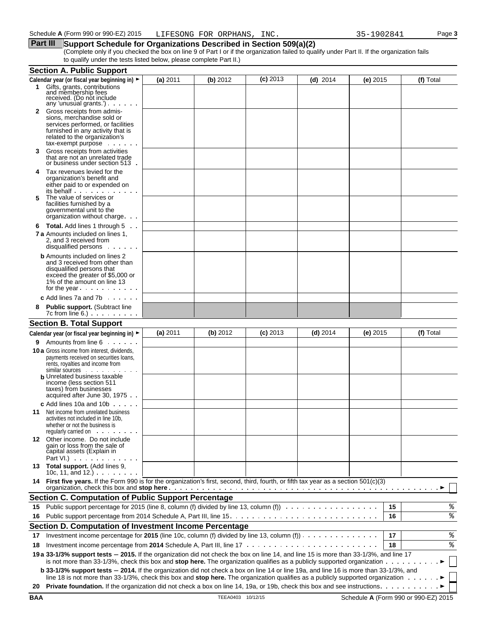#### **Part III** Support Schedule for Organizations Described in Section 509(a)(2)

(Complete only if you checked the box on line 9 of Part I or if the organization failed to qualify under Part II. If the organization fails to qualify under the tests listed below, please complete Part II.)

|     | <b>Section A. Public Support</b>                                                                                                                                                                                                                                                  |          |          |            |            |            |    |           |
|-----|-----------------------------------------------------------------------------------------------------------------------------------------------------------------------------------------------------------------------------------------------------------------------------------|----------|----------|------------|------------|------------|----|-----------|
|     | Calendar year (or fiscal year beginning in) ►                                                                                                                                                                                                                                     | (a) 2011 | (b) 2012 | $(c)$ 2013 | $(d)$ 2014 | $(e)$ 2015 |    | (f) Total |
| 1.  | Gifts, grants, contributions<br>and membership fees                                                                                                                                                                                                                               |          |          |            |            |            |    |           |
|     | received. (Do not include                                                                                                                                                                                                                                                         |          |          |            |            |            |    |           |
|     | any 'unusual grants')<br><b>2</b> Gross receipts from admis-                                                                                                                                                                                                                      |          |          |            |            |            |    |           |
|     | sions, merchandise sold or                                                                                                                                                                                                                                                        |          |          |            |            |            |    |           |
|     | services performed, or facilities<br>furnished in any activity that is                                                                                                                                                                                                            |          |          |            |            |            |    |           |
|     | related to the organization's                                                                                                                                                                                                                                                     |          |          |            |            |            |    |           |
|     | tax-exempt purpose                                                                                                                                                                                                                                                                |          |          |            |            |            |    |           |
| 3   | Gross receipts from activities<br>that are not an unrelated trade                                                                                                                                                                                                                 |          |          |            |            |            |    |           |
|     | or business under section 513.                                                                                                                                                                                                                                                    |          |          |            |            |            |    |           |
| 4   | Tax revenues levied for the<br>organization's benefit and                                                                                                                                                                                                                         |          |          |            |            |            |    |           |
|     | either paid to or expended on                                                                                                                                                                                                                                                     |          |          |            |            |            |    |           |
| 5   | its behalf<br>The value of services or                                                                                                                                                                                                                                            |          |          |            |            |            |    |           |
|     | facilities furnished by a                                                                                                                                                                                                                                                         |          |          |            |            |            |    |           |
|     | governmental unit to the<br>organization without charge                                                                                                                                                                                                                           |          |          |            |            |            |    |           |
| 6   | <b>Total.</b> Add lines 1 through 5                                                                                                                                                                                                                                               |          |          |            |            |            |    |           |
|     | <b>7 a</b> Amounts included on lines 1,                                                                                                                                                                                                                                           |          |          |            |            |            |    |           |
|     | 2. and 3 received from                                                                                                                                                                                                                                                            |          |          |            |            |            |    |           |
|     | disqualified persons                                                                                                                                                                                                                                                              |          |          |            |            |            |    |           |
|     | <b>b</b> Amounts included on lines 2<br>and 3 received from other than                                                                                                                                                                                                            |          |          |            |            |            |    |           |
|     | disqualified persons that                                                                                                                                                                                                                                                         |          |          |            |            |            |    |           |
|     | exceed the greater of \$5,000 or<br>1% of the amount on line 13                                                                                                                                                                                                                   |          |          |            |            |            |    |           |
|     | for the year $\cdots$                                                                                                                                                                                                                                                             |          |          |            |            |            |    |           |
|     | <b>c</b> Add lines 7a and 7b $\ldots$                                                                                                                                                                                                                                             |          |          |            |            |            |    |           |
| 8   | <b>Public support. (Subtract line</b>                                                                                                                                                                                                                                             |          |          |            |            |            |    |           |
|     | <b>Section B. Total Support</b>                                                                                                                                                                                                                                                   |          |          |            |            |            |    |           |
|     | Calendar year (or fiscal year beginning in) ►                                                                                                                                                                                                                                     | (a) 2011 | (b) 2012 | $(c)$ 2013 | $(d)$ 2014 | $(e)$ 2015 |    | (f) Total |
| 9.  | Amounts from line 6                                                                                                                                                                                                                                                               |          |          |            |            |            |    |           |
|     | <b>10 a</b> Gross income from interest, dividends,                                                                                                                                                                                                                                |          |          |            |            |            |    |           |
|     | payments received on securities loans,<br>rents, royalties and income from                                                                                                                                                                                                        |          |          |            |            |            |    |           |
|     | similar sources                                                                                                                                                                                                                                                                   |          |          |            |            |            |    |           |
|     | <b>b</b> Unrelated business taxable<br>income (less section 511                                                                                                                                                                                                                   |          |          |            |            |            |    |           |
|     | taxes) from businesses                                                                                                                                                                                                                                                            |          |          |            |            |            |    |           |
|     | acquired after June 30, 1975.<br>c Add lines 10a and 10b $\cdots$                                                                                                                                                                                                                 |          |          |            |            |            |    |           |
| 11  | Net income from unrelated business                                                                                                                                                                                                                                                |          |          |            |            |            |    |           |
|     | activities not included in line 10b.                                                                                                                                                                                                                                              |          |          |            |            |            |    |           |
|     | whether or not the business is<br>requiarly carried on                                                                                                                                                                                                                            |          |          |            |            |            |    |           |
|     | 12 Other income. Do not include                                                                                                                                                                                                                                                   |          |          |            |            |            |    |           |
|     | gain or loss from the sale of<br>capital assets (Explain in                                                                                                                                                                                                                       |          |          |            |            |            |    |           |
|     | Part VI.) $\cdots$ $\cdots$                                                                                                                                                                                                                                                       |          |          |            |            |            |    |           |
|     | 13 Total support. (Add lines 9,<br>10c, 11, and 12.) $\cdots$                                                                                                                                                                                                                     |          |          |            |            |            |    |           |
| 14  | First five years. If the Form 990 is for the organization's first, second, third, fourth, or fifth tax year as a section 501(c)(3)                                                                                                                                                |          |          |            |            |            |    |           |
|     | <b>Section C. Computation of Public Support Percentage</b>                                                                                                                                                                                                                        |          |          |            |            |            |    |           |
| 15. | Public support percentage for 2015 (line 8, column (f) divided by line 13, column (f)                                                                                                                                                                                             |          |          |            |            |            | 15 | ి         |
| 16  |                                                                                                                                                                                                                                                                                   |          |          |            |            |            | 16 | %         |
|     | Section D. Computation of Investment Income Percentage                                                                                                                                                                                                                            |          |          |            |            |            |    |           |
| 17  | Investment income percentage for 2015 (line 10c, column (f) divided by line 13, column (f)) $\cdots$                                                                                                                                                                              |          |          |            |            |            | 17 | %         |
| 18  |                                                                                                                                                                                                                                                                                   |          |          |            |            |            | 18 | ి         |
|     | 19 a 33-1/3% support tests - 2015. If the organization did not check the box on line 14, and line 15 is more than 33-1/3%, and line 17                                                                                                                                            |          |          |            |            |            |    |           |
|     | is not more than 33-1/3%, check this box and stop here. The organization qualifies as a publicly supported organization $\cdots \cdots$                                                                                                                                           |          |          |            |            |            |    |           |
|     | <b>b 33-1/3% support tests - 2014.</b> If the organization did not check a box on line 14 or line 19a, and line 16 is more than 33-1/3%, and<br>line 18 is not more than 33-1/3%, check this box and stop here. The organization qualifies as a publicly supported organization ▶ |          |          |            |            |            |    |           |
|     |                                                                                                                                                                                                                                                                                   |          |          |            |            |            |    |           |
|     |                                                                                                                                                                                                                                                                                   |          |          |            |            |            |    |           |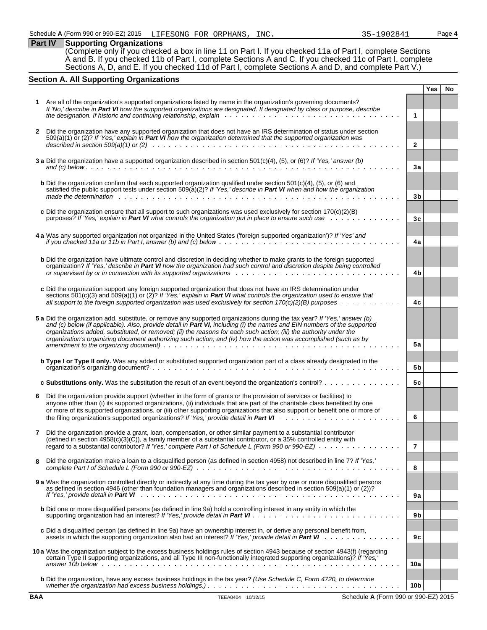**Part IV Supporting Organizations** (Complete only if you checked a box in line 11 on Part I. If you checked 11a of Part I, complete Sections A and B. If you checked 11b of Part I, complete Sections A and C. If you checked 11c of Part I, complete Sections A, D, and E. If you checked 11d of Part I, complete Sections A and D, and complete Part V.)

#### **Section A. All Supporting Organizations**

|              |                                                                                                                                                                                                                                                                                                                                                                                                                                                                                                 |                 | Yes | No |
|--------------|-------------------------------------------------------------------------------------------------------------------------------------------------------------------------------------------------------------------------------------------------------------------------------------------------------------------------------------------------------------------------------------------------------------------------------------------------------------------------------------------------|-----------------|-----|----|
|              | Are all of the organization's supported organizations listed by name in the organization's governing documents?                                                                                                                                                                                                                                                                                                                                                                                 |                 |     |    |
|              | If 'No,' describe in Part VI how the supported organizations are designated. If designated by class or purpose, describe                                                                                                                                                                                                                                                                                                                                                                        |                 |     |    |
|              |                                                                                                                                                                                                                                                                                                                                                                                                                                                                                                 | $\mathbf{1}$    |     |    |
| $\mathbf{2}$ | Did the organization have any supported organization that does not have an IRS determination of status under section<br>509(a)(1) or (2)? If 'Yes,' explain in Part VI how the organization determined that the supported organization was                                                                                                                                                                                                                                                      |                 |     |    |
|              |                                                                                                                                                                                                                                                                                                                                                                                                                                                                                                 | $\overline{2}$  |     |    |
|              | 3 a Did the organization have a supported organization described in section $501(c)(4)$ , (5), or (6)? If 'Yes,' answer (b)                                                                                                                                                                                                                                                                                                                                                                     |                 |     |    |
|              |                                                                                                                                                                                                                                                                                                                                                                                                                                                                                                 | 3a              |     |    |
|              | <b>b</b> Did the organization confirm that each supported organization qualified under section $501(c)(4)$ , $(5)$ , or $(6)$ and<br>satisfied the public support tests under section 509(a)(2)? If 'Yes,' describe in Part VI when and how the organization                                                                                                                                                                                                                                    | 3b              |     |    |
|              |                                                                                                                                                                                                                                                                                                                                                                                                                                                                                                 |                 |     |    |
|              | c Did the organization ensure that all support to such organizations was used exclusively for section $170(c)(2)(B)$<br>purposes? If 'Yes,' explain in Part VI what controls the organization put in place to ensure such use                                                                                                                                                                                                                                                                   | 3c              |     |    |
|              | 4 a Was any supported organization not organized in the United States ('foreign supported organization')? If 'Yes' and                                                                                                                                                                                                                                                                                                                                                                          | 4a              |     |    |
|              | <b>b</b> Did the organization have ultimate control and discretion in deciding whether to make grants to the foreign supported<br>organization? If 'Yes,' describe in Part VI how the organization had such control and discretion despite being controlled                                                                                                                                                                                                                                     | 4b              |     |    |
|              | c Did the organization support any foreign supported organization that does not have an IRS determination under<br>sections $501(c)(3)$ and $509(a)(1)$ or $(2)$ ? If 'Yes,' explain in Part VI what controls the organization used to ensure that                                                                                                                                                                                                                                              |                 |     |    |
|              | all support to the foreign supported organization was used exclusively for section $170(c)(2)(B)$ purposes $\ldots \ldots \ldots$                                                                                                                                                                                                                                                                                                                                                               | 4c              |     |    |
|              | 5 a Did the organization add, substitute, or remove any supported organizations during the tax year? If 'Yes,' answer (b)<br>and (c) below (if applicable). Also, provide detail in Part VI, including (i) the names and EIN numbers of the supported<br>organizations added, substituted, or removed; (ii) the reasons for each such action; (iii) the authority under the<br>organization's organizing document authorizing such action; and (iv) how the action was accomplished (such as by |                 |     |    |
|              |                                                                                                                                                                                                                                                                                                                                                                                                                                                                                                 | <b>5a</b>       |     |    |
|              | <b>b Type I or Type II only.</b> Was any added or substituted supported organization part of a class already designated in the                                                                                                                                                                                                                                                                                                                                                                  | 5b              |     |    |
|              | c Substitutions only. Was the substitution the result of an event beyond the organization's control?                                                                                                                                                                                                                                                                                                                                                                                            | 5с              |     |    |
| 6            | Did the organization provide support (whether in the form of grants or the provision of services or facilities) to<br>anyone other than (i) its supported organizations, (ii) individuals that are part of the charitable class benefited by one<br>or more of its supported organizations, or (iii) other supporting organizations that also support or benefit one or more of                                                                                                                 | 6               |     |    |
|              | Did the organization provide a grant, loan, compensation, or other similar payment to a substantial contributor<br>(defined in section $4958(c)(3)(\tilde{C})$ ), a family member of a substantial contributor, or a 35% controlled entity with                                                                                                                                                                                                                                                 |                 |     |    |
|              | regard to a substantial contributor? If 'Yes,' complete Part I of Schedule L (Form 990 or 990-EZ) $\ldots$ ,                                                                                                                                                                                                                                                                                                                                                                                    | 7               |     |    |
| 8            | Did the organization make a loan to a disqualified person (as defined in section 4958) not described in line 7? If 'Yes,'                                                                                                                                                                                                                                                                                                                                                                       | 8               |     |    |
|              | 9 a Was the organization controlled directly or indirectly at any time during the tax year by one or more disqualified persons<br>as defined in section 4946 (other than foundation managers and organizations described in section 509(a)(1) or (2))?                                                                                                                                                                                                                                          | 9a              |     |    |
|              | <b>b</b> Did one or more disqualified persons (as defined in line 9a) hold a controlling interest in any entity in which the                                                                                                                                                                                                                                                                                                                                                                    | 9b              |     |    |
|              | c Did a disqualified person (as defined in line 9a) have an ownership interest in, or derive any personal benefit from,                                                                                                                                                                                                                                                                                                                                                                         | 9c              |     |    |
|              | 10a Was the organization subject to the excess business holdings rules of section 4943 because of section 4943(f) (regarding<br>certain Type II supporting organizations, and all Type III non-functionally integrated supporting organizations)? If 'Yes,'                                                                                                                                                                                                                                     |                 |     |    |
|              |                                                                                                                                                                                                                                                                                                                                                                                                                                                                                                 | 10a             |     |    |
|              | <b>b</b> Did the organization, have any excess business holdings in the tax year? (Use Schedule C, Form 4720, to determine                                                                                                                                                                                                                                                                                                                                                                      | 10 <sub>b</sub> |     |    |
| <b>BAA</b>   | TEEA0404 10/12/15<br>Schedule A (Form 990 or 990-EZ) 2015                                                                                                                                                                                                                                                                                                                                                                                                                                       |                 |     |    |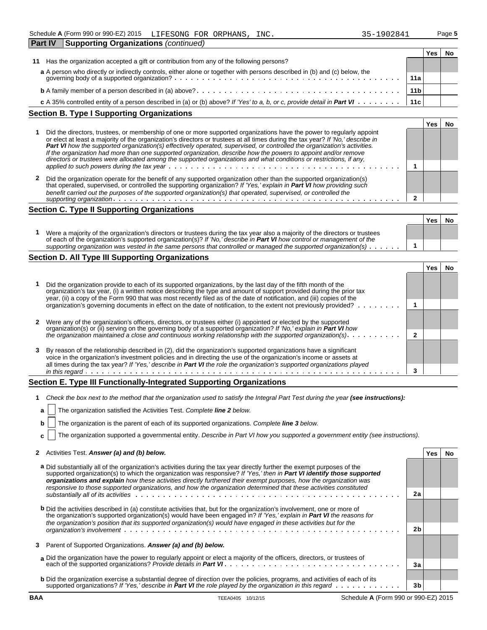| <b>Part IV</b> | <b>Supporting Organizations (continued)</b>                                                                               |                 |     |  |
|----------------|---------------------------------------------------------------------------------------------------------------------------|-----------------|-----|--|
|                |                                                                                                                           |                 | Yes |  |
| 11             | Has the organization accepted a gift or contribution from any of the following persons?                                   |                 |     |  |
|                | a A person who directly or indirectly controls, either alone or together with persons described in (b) and (c) below, the |                 |     |  |
|                | 11a                                                                                                                       |                 |     |  |
|                |                                                                                                                           | 11 <sub>b</sub> |     |  |
|                | c A 35% controlled entity of a person described in (a) or (b) above? If 'Yes' to a, b, or c, provide detail in Part VI    | 11c             |     |  |
|                | <b>Section B. Type I Supporting Organizations</b>                                                                         |                 |     |  |

|                                                                                                                                                                                                                                                                                                                                                                                                                                                                                                                                                                                                                               |  | 'es |  |
|-------------------------------------------------------------------------------------------------------------------------------------------------------------------------------------------------------------------------------------------------------------------------------------------------------------------------------------------------------------------------------------------------------------------------------------------------------------------------------------------------------------------------------------------------------------------------------------------------------------------------------|--|-----|--|
| Did the directors, trustees, or membership of one or more supported organizations have the power to regularly appoint<br>or elect at least a majority of the organization's directors or trustees at all times during the tax year? If 'No,' describe in<br>Part VI how the supported organization(s) effectively operated, supervised, or controlled the organization's activities.<br>If the organization had more than one supported organization, describe how the powers to appoint and/or remove<br>directors or trustees were allocated among the supported organizations and what conditions or restrictions, if any, |  |     |  |
|                                                                                                                                                                                                                                                                                                                                                                                                                                                                                                                                                                                                                               |  |     |  |
| Did the organization operate for the benefit of any supported organization other than the supported organization(s)<br>that operated, supervised, or controlled the supporting organization? If 'Yes,' explain in Part VI how providing such<br>benefit carried out the purposes of the supported organization(s) that operated, supervised, or controlled the                                                                                                                                                                                                                                                                |  |     |  |
|                                                                                                                                                                                                                                                                                                                                                                                                                                                                                                                                                                                                                               |  |     |  |

#### **Section C. Type II Supporting Organizations**

| Were a majority of the organization's directors or trustees during the tax year also a majority of the directors or trustees<br>of each of the organization's supported organization(s)? If 'No,' describe in <b>Part VI</b> how control or management of the<br>supporting organization was vested in the same persons that controlled or managed the supported organization(s) $\ldots \ldots$ |  |
|--------------------------------------------------------------------------------------------------------------------------------------------------------------------------------------------------------------------------------------------------------------------------------------------------------------------------------------------------------------------------------------------------|--|

#### **Section D. All Type III Supporting Organizations**

|   |                                                                                                                                                                                                                                                                                                                                                                    | res |  |
|---|--------------------------------------------------------------------------------------------------------------------------------------------------------------------------------------------------------------------------------------------------------------------------------------------------------------------------------------------------------------------|-----|--|
|   | Did the organization provide to each of its supported organizations, by the last day of the fifth month of the<br>organization's tax year, (i) a written notice describing the type and amount of support provided during the prior tax<br>year, (ii) a copy of the Form 990 that was most recently filed as of the date of notification, and (iii) copies of the  |     |  |
|   | organization's governing documents in effect on the date of notification, to the extent not previously provided?                                                                                                                                                                                                                                                   |     |  |
|   | Were any of the organization's officers, directors, or trustees either (i) appointed or elected by the supported<br>organization(s) or (ii) serving on the governing body of a supported organization? If 'No,' explain in Part VI how                                                                                                                             |     |  |
|   | the organization maintained a close and continuous working relationship with the supported organization(s). $\dots \dots \dots$                                                                                                                                                                                                                                    |     |  |
| 3 | By reason of the relationship described in (2), did the organization's supported organizations have a significant<br>voice in the organization's investment policies and in directing the use of the organization's income or assets at<br>all times during the tax year? If 'Yes,' describe in Part VI the role the organization's supported organizations played |     |  |
|   | in this regard.                                                                                                                                                                                                                                                                                                                                                    |     |  |

### **Section E. Type III Functionally-Integrated Supporting Organizations**

**1** *Check the box next to the method that the organization used to satisfy the Integral Part Test during the year (see instructions):* 

| <b>a</b>   The organization satisfied the Activities Test. Complete line 2 below.                            |  |
|--------------------------------------------------------------------------------------------------------------|--|
| $\mathbf{b}$   The organization is the parent of each of its supported organizations. Complete line 3 below. |  |
|                                                                                                              |  |

**c** The organization supported a governmental entity. *Describe in Part VI how you supported a government entity (see instructions).*

|  | 2 Activities Test. Answer (a) and (b) below.<br>Yes No |  |  |
|--|--------------------------------------------------------|--|--|
|--|--------------------------------------------------------|--|--|

| a Did substantially all of the organization's activities during the tax year directly further the exempt purposes of the<br>supported organization(s) to which the organization was responsive? If 'Yes,' then in Part VI identify those supported<br>organizations and explain how these activities directly furthered their exempt purposes, how the organization was<br>responsive to those supported organizations, and how the organization determined that these activities constituted |                |  |
|-----------------------------------------------------------------------------------------------------------------------------------------------------------------------------------------------------------------------------------------------------------------------------------------------------------------------------------------------------------------------------------------------------------------------------------------------------------------------------------------------|----------------|--|
| substantially all of its activities with a subset of the state of the state of the state of the state of the state of the state of the state of the state of the state of the state of the state of the state of the state of                                                                                                                                                                                                                                                                 | 2a             |  |
| <b>b</b> Did the activities described in (a) constitute activities that, but for the organization's involvement, one or more of<br>the organization's supported organization(s) would have been engaged in? If 'Yes,' explain in Part VI the reasons for<br>the organization's position that its supported organization(s) would have engaged in these activities but for the                                                                                                                 |                |  |
|                                                                                                                                                                                                                                                                                                                                                                                                                                                                                               | 2 <sub>b</sub> |  |
| 3 Parent of Supported Organizations. Answer (a) and (b) below.                                                                                                                                                                                                                                                                                                                                                                                                                                |                |  |
| a Did the organization have the power to regularly appoint or elect a majority of the officers, directors, or trustees of                                                                                                                                                                                                                                                                                                                                                                     |                |  |
|                                                                                                                                                                                                                                                                                                                                                                                                                                                                                               | 3a             |  |
| <b>b</b> Did the organization exercise a substantial degree of direction over the policies, programs, and activities of each of its                                                                                                                                                                                                                                                                                                                                                           |                |  |
| supported organizations? If 'Yes,' describe in <b>Part VI</b> the role played by the organization in this regard $\cdots$                                                                                                                                                                                                                                                                                                                                                                     | 3 <sub>b</sub> |  |

**BAA** TEEA0405 10/12/15 Schedule **A** (Form 990 or 990-EZ) 2015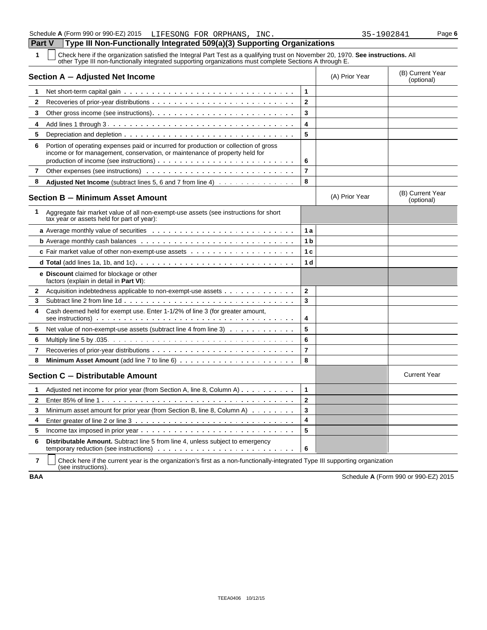**1** Check here if the organization satisfied the Integral Part Test as a qualifying trust on November 20, 1970. **See instructions.** All other Type III non-functionally integrated supporting organizations must complete Sections A through E.

|              | Section A - Adjusted Net Income                                                                                                                                     |                | (A) Prior Year | (B) Current Year<br>(optional) |
|--------------|---------------------------------------------------------------------------------------------------------------------------------------------------------------------|----------------|----------------|--------------------------------|
| 1            |                                                                                                                                                                     | 1              |                |                                |
| 2            |                                                                                                                                                                     | $\mathbf{2}$   |                |                                |
| 3            |                                                                                                                                                                     | 3              |                |                                |
| 4            |                                                                                                                                                                     | 4              |                |                                |
| 5            |                                                                                                                                                                     | 5              |                |                                |
| 6            | Portion of operating expenses paid or incurred for production or collection of gross<br>income or for management, conservation, or maintenance of property held for | 6              |                |                                |
| 7            |                                                                                                                                                                     | $\overline{7}$ |                |                                |
| 8            | <b>Adjusted Net Income</b> (subtract lines 5, 6 and 7 from line 4)                                                                                                  | 8              |                |                                |
|              | <b>Section B - Minimum Asset Amount</b>                                                                                                                             |                | (A) Prior Year | (B) Current Year<br>(optional) |
| 1            | Aggregate fair market value of all non-exempt-use assets (see instructions for short<br>tax year or assets held for part of year):                                  |                |                |                                |
|              |                                                                                                                                                                     | 1a             |                |                                |
|              |                                                                                                                                                                     | 1 b            |                |                                |
|              | <b>c</b> Fair market value of other non-exempt-use assets $\cdots$                                                                                                  | 1 с            |                |                                |
|              |                                                                                                                                                                     | 1 <sub>d</sub> |                |                                |
|              | e Discount claimed for blockage or other<br>factors (explain in detail in Part VI):                                                                                 |                |                |                                |
| 2            | Acquisition indebtedness applicable to non-exempt-use assets                                                                                                        | $\overline{2}$ |                |                                |
| 3            |                                                                                                                                                                     | 3              |                |                                |
| 4            | Cash deemed held for exempt use. Enter 1-1/2% of line 3 (for greater amount,                                                                                        | 4              |                |                                |
| 5            | Net value of non-exempt-use assets (subtract line 4 from line 3)                                                                                                    | 5              |                |                                |
| 6            |                                                                                                                                                                     | 6              |                |                                |
| 7            |                                                                                                                                                                     | $\overline{7}$ |                |                                |
| 8            |                                                                                                                                                                     | 8              |                |                                |
|              | Section C - Distributable Amount                                                                                                                                    |                |                | <b>Current Year</b>            |
| 1            | Adjusted net income for prior year (from Section A, line 8, Column A) $\dots$                                                                                       | $\mathbf{1}$   |                |                                |
| $\mathbf{2}$ |                                                                                                                                                                     | $\mathbf{2}$   |                |                                |
| 3            | Minimum asset amount for prior year (from Section B, line 8, Column A)                                                                                              | 3              |                |                                |
| 4            |                                                                                                                                                                     | 4              |                |                                |
| 5            |                                                                                                                                                                     | 5              |                |                                |
| 6            | <b>Distributable Amount.</b> Subtract line 5 from line 4, unless subject to emergency                                                                               | 6              |                |                                |

**7** | Check here if the current year is the organization's first as a non-functionally-integrated Type III supporting organization (see instructions).

**BAA** Schedule **A** (Form 990 or 990-EZ) 2015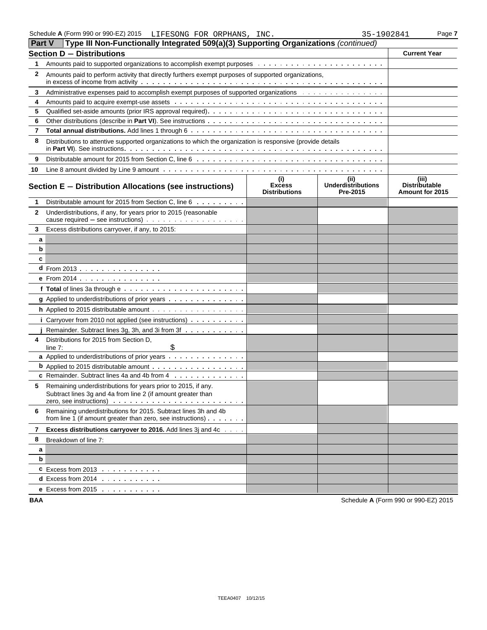| Part V | Type III Non-Functionally Integrated 509(a)(3) Supporting Organizations (continued)                                                                                                                                     |                                              |                                               |                                                         |  |  |  |  |
|--------|-------------------------------------------------------------------------------------------------------------------------------------------------------------------------------------------------------------------------|----------------------------------------------|-----------------------------------------------|---------------------------------------------------------|--|--|--|--|
|        | <b>Section D - Distributions</b>                                                                                                                                                                                        |                                              |                                               | <b>Current Year</b>                                     |  |  |  |  |
| 1.     |                                                                                                                                                                                                                         |                                              |                                               |                                                         |  |  |  |  |
| 2      | Amounts paid to perform activity that directly furthers exempt purposes of supported organizations,                                                                                                                     |                                              |                                               |                                                         |  |  |  |  |
| 3      | Administrative expenses paid to accomplish exempt purposes of supported organizations                                                                                                                                   |                                              |                                               |                                                         |  |  |  |  |
| 4      |                                                                                                                                                                                                                         |                                              |                                               |                                                         |  |  |  |  |
| 5      |                                                                                                                                                                                                                         |                                              |                                               |                                                         |  |  |  |  |
| 6      |                                                                                                                                                                                                                         |                                              |                                               |                                                         |  |  |  |  |
| 7      |                                                                                                                                                                                                                         |                                              |                                               |                                                         |  |  |  |  |
| 8      | Distributions to attentive supported organizations to which the organization is responsive (provide details                                                                                                             |                                              |                                               |                                                         |  |  |  |  |
| 9      |                                                                                                                                                                                                                         |                                              |                                               |                                                         |  |  |  |  |
| 10     |                                                                                                                                                                                                                         |                                              |                                               |                                                         |  |  |  |  |
|        | Section E - Distribution Allocations (see instructions)                                                                                                                                                                 | (i)<br><b>Excess</b><br><b>Distributions</b> | (ii)<br><b>Underdistributions</b><br>Pre-2015 | (iii)<br><b>Distributable</b><br><b>Amount for 2015</b> |  |  |  |  |
| 1      | Distributable amount for 2015 from Section C, line 6                                                                                                                                                                    |                                              |                                               |                                                         |  |  |  |  |
| 2      | Underdistributions, if any, for years prior to 2015 (reasonable                                                                                                                                                         |                                              |                                               |                                                         |  |  |  |  |
| 3      | Excess distributions carryover, if any, to 2015:                                                                                                                                                                        |                                              |                                               |                                                         |  |  |  |  |
| а      |                                                                                                                                                                                                                         |                                              |                                               |                                                         |  |  |  |  |
| b      |                                                                                                                                                                                                                         |                                              |                                               |                                                         |  |  |  |  |
| c      |                                                                                                                                                                                                                         |                                              |                                               |                                                         |  |  |  |  |
|        | <b>d</b> From 2013 $\ldots$ $\ldots$ $\ldots$ $\ldots$ $\ldots$                                                                                                                                                         |                                              |                                               |                                                         |  |  |  |  |
|        | e From 2014                                                                                                                                                                                                             |                                              |                                               |                                                         |  |  |  |  |
|        |                                                                                                                                                                                                                         |                                              |                                               |                                                         |  |  |  |  |
|        | g Applied to underdistributions of prior years                                                                                                                                                                          |                                              |                                               |                                                         |  |  |  |  |
|        | h Applied to 2015 distributable amount                                                                                                                                                                                  |                                              |                                               |                                                         |  |  |  |  |
|        | i Carryover from 2010 not applied (see instructions)                                                                                                                                                                    |                                              |                                               |                                                         |  |  |  |  |
|        | Remainder. Subtract lines 3g, 3h, and 3i from 3f                                                                                                                                                                        |                                              |                                               |                                                         |  |  |  |  |
| 4      | Distributions for 2015 from Section D,                                                                                                                                                                                  |                                              |                                               |                                                         |  |  |  |  |
|        | \$<br>line 7:                                                                                                                                                                                                           |                                              |                                               |                                                         |  |  |  |  |
|        | a Applied to underdistributions of prior years                                                                                                                                                                          |                                              |                                               |                                                         |  |  |  |  |
|        | <b>b</b> Applied to 2015 distributable amount $\ldots$                                                                                                                                                                  |                                              |                                               |                                                         |  |  |  |  |
|        | <b>c</b> Remainder. Subtract lines 4a and 4b from $4 \cdot \cdot \cdot \cdot \cdot \cdot \cdot \cdot \cdot \cdot \cdot \cdot \cdot \cdot$                                                                               |                                              |                                               |                                                         |  |  |  |  |
| 5      | Remaining underdistributions for years prior to 2015, if any.<br>Subtract lines 3g and 4a from line 2 (if amount greater than<br>zero, see instructions) $\cdots$ $\cdots$ $\cdots$ $\cdots$ $\cdots$ $\cdots$ $\cdots$ |                                              |                                               |                                                         |  |  |  |  |
| 6      | Remaining underdistributions for 2015. Subtract lines 3h and 4b<br>from line 1 (if amount greater than zero, see instructions) $\cdots$                                                                                 |                                              |                                               |                                                         |  |  |  |  |
| 7      | Excess distributions carryover to 2016. Add lines 3j and 4c                                                                                                                                                             |                                              |                                               |                                                         |  |  |  |  |
| 8      | Breakdown of line 7:                                                                                                                                                                                                    |                                              |                                               |                                                         |  |  |  |  |
| a      |                                                                                                                                                                                                                         |                                              |                                               |                                                         |  |  |  |  |
| b      |                                                                                                                                                                                                                         |                                              |                                               |                                                         |  |  |  |  |
|        | <b>C</b> Excess from 2013 $\ldots$ $\ldots$ $\ldots$                                                                                                                                                                    |                                              |                                               |                                                         |  |  |  |  |
|        | <b>d</b> Excess from $2014$                                                                                                                                                                                             |                                              |                                               |                                                         |  |  |  |  |
|        | e Excess from $2015$                                                                                                                                                                                                    |                                              |                                               |                                                         |  |  |  |  |

**BAA** Schedule **A** (Form 990 or 990-EZ) 2015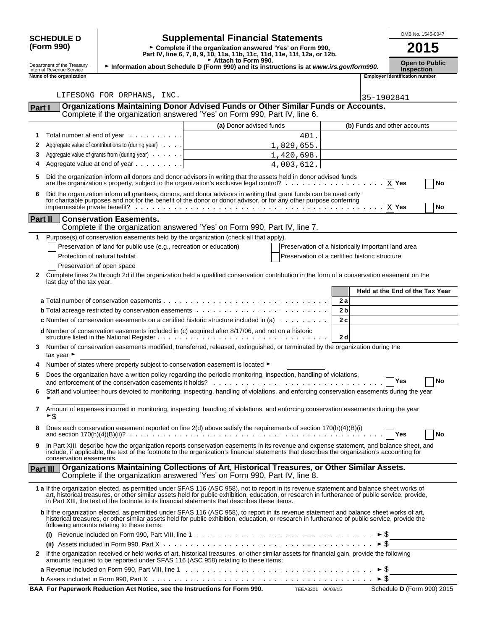|                                                                                                                                                                                                                       |                                |                                                                                  |                                                                                                                                                                                                                                                                                                                                                                                                 |                |                                            | OMB No. 1545-0047                     |
|-----------------------------------------------------------------------------------------------------------------------------------------------------------------------------------------------------------------------|--------------------------------|----------------------------------------------------------------------------------|-------------------------------------------------------------------------------------------------------------------------------------------------------------------------------------------------------------------------------------------------------------------------------------------------------------------------------------------------------------------------------------------------|----------------|--------------------------------------------|---------------------------------------|
| <b>Supplemental Financial Statements</b><br><b>SCHEDULE D</b><br>(Form 990)<br>► Complete if the organization answered 'Yes' on Form 990,<br>Part IV, line 6, 7, 8, 9, 10, 11a, 11b, 11c, 11d, 11e, 11f, 12a, or 12b. |                                |                                                                                  |                                                                                                                                                                                                                                                                                                                                                                                                 | 2015           |                                            |                                       |
| Attach to Form 990.<br>Department of the Treasury<br>Information about Schedule D (Form 990) and its instructions is at www.irs.gov/form990.<br>Internal Revenue Service                                              |                                |                                                                                  |                                                                                                                                                                                                                                                                                                                                                                                                 |                | <b>Open to Public</b><br><b>Inspection</b> |                                       |
|                                                                                                                                                                                                                       | Name of the organization       |                                                                                  |                                                                                                                                                                                                                                                                                                                                                                                                 |                |                                            | <b>Employer identification number</b> |
|                                                                                                                                                                                                                       |                                |                                                                                  |                                                                                                                                                                                                                                                                                                                                                                                                 |                |                                            |                                       |
|                                                                                                                                                                                                                       |                                | LIFESONG FOR ORPHANS, INC.                                                       |                                                                                                                                                                                                                                                                                                                                                                                                 |                | 35-1902841                                 |                                       |
| Part I                                                                                                                                                                                                                |                                |                                                                                  | Organizations Maintaining Donor Advised Funds or Other Similar Funds or Accounts.                                                                                                                                                                                                                                                                                                               |                |                                            |                                       |
|                                                                                                                                                                                                                       |                                |                                                                                  | Complete if the organization answered 'Yes' on Form 990, Part IV, line 6.                                                                                                                                                                                                                                                                                                                       |                |                                            |                                       |
|                                                                                                                                                                                                                       |                                |                                                                                  | (a) Donor advised funds                                                                                                                                                                                                                                                                                                                                                                         |                |                                            | (b) Funds and other accounts          |
| 1<br>2                                                                                                                                                                                                                |                                | Total number at end of year<br>Aggregate value of contributions to (during year) | 401.<br>1,829,655.                                                                                                                                                                                                                                                                                                                                                                              |                |                                            |                                       |
| 3                                                                                                                                                                                                                     |                                | Aggregate value of grants from (during year)                                     | 1,420,698.                                                                                                                                                                                                                                                                                                                                                                                      |                |                                            |                                       |
| 4                                                                                                                                                                                                                     |                                | Aggregate value at end of year                                                   | 4,003,612.                                                                                                                                                                                                                                                                                                                                                                                      |                |                                            |                                       |
| 5                                                                                                                                                                                                                     |                                |                                                                                  | Did the organization inform all donors and donor advisors in writing that the assets held in donor advised funds<br>are the organization's property, subject to the organization's exclusive legal control? $\ldots$ , $\ldots$ , $\ldots$ , $\ldots$                                                                                                                                           |                |                                            | $X$ Yes                               |
| 6                                                                                                                                                                                                                     |                                |                                                                                  |                                                                                                                                                                                                                                                                                                                                                                                                 |                |                                            | No                                    |
|                                                                                                                                                                                                                       |                                |                                                                                  | Did the organization inform all grantees, donors, and donor advisors in writing that grant funds can be used only<br>for charitable purposes and not for the benefit of the donor or donor advisor, or for any other purpose conferring                                                                                                                                                         |                |                                            | No                                    |
|                                                                                                                                                                                                                       | Part II                        | <b>Conservation Easements.</b>                                                   |                                                                                                                                                                                                                                                                                                                                                                                                 |                |                                            |                                       |
|                                                                                                                                                                                                                       |                                |                                                                                  | Complete if the organization answered 'Yes' on Form 990, Part IV, line 7.                                                                                                                                                                                                                                                                                                                       |                |                                            |                                       |
| 1                                                                                                                                                                                                                     |                                |                                                                                  | Purpose(s) of conservation easements held by the organization (check all that apply).                                                                                                                                                                                                                                                                                                           |                |                                            |                                       |
|                                                                                                                                                                                                                       |                                | Preservation of land for public use (e.g., recreation or education)              | Preservation of a historically important land area                                                                                                                                                                                                                                                                                                                                              |                |                                            |                                       |
|                                                                                                                                                                                                                       | Protection of natural habitat  |                                                                                  | Preservation of a certified historic structure                                                                                                                                                                                                                                                                                                                                                  |                |                                            |                                       |
|                                                                                                                                                                                                                       | Preservation of open space     |                                                                                  |                                                                                                                                                                                                                                                                                                                                                                                                 |                |                                            |                                       |
| 2                                                                                                                                                                                                                     | last day of the tax year.      |                                                                                  | Complete lines 2a through 2d if the organization held a qualified conservation contribution in the form of a conservation easement on the                                                                                                                                                                                                                                                       |                |                                            |                                       |
|                                                                                                                                                                                                                       |                                |                                                                                  |                                                                                                                                                                                                                                                                                                                                                                                                 |                |                                            | Held at the End of the Tax Year       |
|                                                                                                                                                                                                                       |                                |                                                                                  |                                                                                                                                                                                                                                                                                                                                                                                                 | 2a             |                                            |                                       |
|                                                                                                                                                                                                                       |                                |                                                                                  |                                                                                                                                                                                                                                                                                                                                                                                                 | 2 <sub>b</sub> |                                            |                                       |
|                                                                                                                                                                                                                       |                                |                                                                                  | <b>c</b> Number of conservation easements on a certified historic structure included in (a) $\ldots \ldots \ldots$                                                                                                                                                                                                                                                                              | 2c             |                                            |                                       |
|                                                                                                                                                                                                                       |                                |                                                                                  | d Number of conservation easements included in (c) acquired after 8/17/06, and not on a historic                                                                                                                                                                                                                                                                                                | 2d             |                                            |                                       |
| 3                                                                                                                                                                                                                     | tax year $\blacktriangleright$ |                                                                                  | Number of conservation easements modified, transferred, released, extinguished, or terminated by the organization during the                                                                                                                                                                                                                                                                    |                |                                            |                                       |
|                                                                                                                                                                                                                       |                                |                                                                                  | Number of states where property subject to conservation easement is located ►                                                                                                                                                                                                                                                                                                                   |                |                                            |                                       |
| 5                                                                                                                                                                                                                     |                                |                                                                                  | Does the organization have a written policy regarding the periodic monitoring, inspection, handling of violations,                                                                                                                                                                                                                                                                              |                |                                            | Yes<br>No                             |
| 6                                                                                                                                                                                                                     |                                |                                                                                  | Staff and volunteer hours devoted to monitoring, inspecting, handling of violations, and enforcing conservation easements during the year                                                                                                                                                                                                                                                       |                |                                            |                                       |
| 7                                                                                                                                                                                                                     | ►\$                            |                                                                                  | Amount of expenses incurred in monitoring, inspecting, handling of violations, and enforcing conservation easements during the year                                                                                                                                                                                                                                                             |                |                                            |                                       |
| 8                                                                                                                                                                                                                     |                                |                                                                                  | Does each conservation easement reported on line 2(d) above satisfy the requirements of section 170(h)(4)(B)(i)                                                                                                                                                                                                                                                                                 |                |                                            | <b>Yes</b><br>No                      |
| 9                                                                                                                                                                                                                     | conservation easements.        |                                                                                  | In Part XIII, describe how the organization reports conservation easements in its revenue and expense statement, and balance sheet, and<br>include, if applicable, the text of the footnote to the organization's financial statements that describes the organization's accounting for                                                                                                         |                |                                            |                                       |
|                                                                                                                                                                                                                       | Part III                       |                                                                                  | Organizations Maintaining Collections of Art, Historical Treasures, or Other Similar Assets.<br>Complete if the organization answered 'Yes' on Form 990, Part IV, line 8.                                                                                                                                                                                                                       |                |                                            |                                       |
|                                                                                                                                                                                                                       |                                |                                                                                  | 1 a If the organization elected, as permitted under SFAS 116 (ASC 958), not to report in its revenue statement and balance sheet works of<br>art, historical treasures, or other similar assets held for public exhibition, education, or research in furtherance of public service, provide,<br>in Part XIII, the text of the footnote to its financial statements that describes these items. |                |                                            |                                       |
|                                                                                                                                                                                                                       |                                | following amounts relating to these items:                                       | b If the organization elected, as permitted under SFAS 116 (ASC 958), to report in its revenue statement and balance sheet works of art,<br>historical treasures, or other similar assets held for public exhibition, education, or research in furtherance of public service, provide the                                                                                                      |                |                                            |                                       |
|                                                                                                                                                                                                                       | (i)                            |                                                                                  |                                                                                                                                                                                                                                                                                                                                                                                                 |                |                                            |                                       |
|                                                                                                                                                                                                                       |                                |                                                                                  |                                                                                                                                                                                                                                                                                                                                                                                                 |                | ► \$                                       |                                       |
| 2                                                                                                                                                                                                                     |                                |                                                                                  | If the organization received or held works of art, historical treasures, or other similar assets for financial gain, provide the following<br>amounts required to be reported under SFAS 116 (ASC 958) relating to these items:                                                                                                                                                                 |                |                                            |                                       |
|                                                                                                                                                                                                                       |                                |                                                                                  |                                                                                                                                                                                                                                                                                                                                                                                                 |                |                                            |                                       |

| <b>b</b> Assets included in Form 990, Part X $\ldots$ $\ldots$ $\ldots$ $\ldots$ $\ldots$ $\ldots$ $\ldots$ $\ldots$ $\ldots$ $\ldots$ $\ldots$ $\ldots$ $\vdots$ $\vdots$ |                   |                                   |
|----------------------------------------------------------------------------------------------------------------------------------------------------------------------------|-------------------|-----------------------------------|
| BAA For Paperwork Reduction Act Notice, see the Instructions for Form 990.                                                                                                 | TEEA3301 06/03/15 | Schedule <b>D</b> (Form 990) 2015 |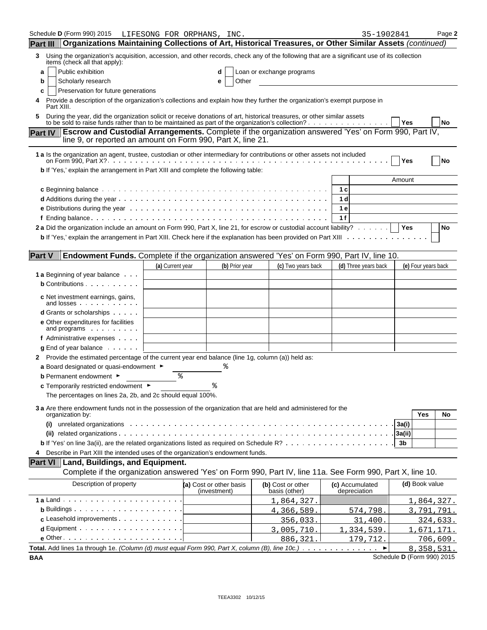| Schedule D (Form 990) 2015                                                                                                                                                                                                             | LIFESONG FOR ORPHANS, INC. |    |                                         |                                    | 35-1902841                      |        |                     | Page 2      |
|----------------------------------------------------------------------------------------------------------------------------------------------------------------------------------------------------------------------------------------|----------------------------|----|-----------------------------------------|------------------------------------|---------------------------------|--------|---------------------|-------------|
| Organizations Maintaining Collections of Art, Historical Treasures, or Other Similar Assets (continued)<br><b>Part III</b>                                                                                                             |                            |    |                                         |                                    |                                 |        |                     |             |
| Using the organization's acquisition, accession, and other records, check any of the following that are a significant use of its collection<br>3<br>items (check all that apply):                                                      |                            |    |                                         |                                    |                                 |        |                     |             |
| Public exhibition<br>a                                                                                                                                                                                                                 |                            |    | d                                       | Loan or exchange programs          |                                 |        |                     |             |
| Scholarly research<br>b                                                                                                                                                                                                                |                            |    | Other<br>е                              |                                    |                                 |        |                     |             |
| Preservation for future generations<br>c                                                                                                                                                                                               |                            |    |                                         |                                    |                                 |        |                     |             |
| Provide a description of the organization's collections and explain how they further the organization's exempt purpose in<br>Part XIII.                                                                                                |                            |    |                                         |                                    |                                 |        |                     |             |
| During the year, did the organization solicit or receive donations of art, historical treasures, or other similar assets<br>to be sold to raise funds rather than to be maintained as part of the organization's collection? $\dots$ , |                            |    |                                         |                                    |                                 | Yes    |                     | <b>No</b>   |
| <b>Escrow and Custodial Arrangements.</b> Complete if the organization answered 'Yes' on Form 990, Part IV,<br><b>Part IV</b>                                                                                                          |                            |    |                                         |                                    |                                 |        |                     |             |
| line 9, or reported an amount on Form 990, Part X, line 21.                                                                                                                                                                            |                            |    |                                         |                                    |                                 |        |                     |             |
| 1 a Is the organization an agent, trustee, custodian or other intermediary for contributions or other assets not included                                                                                                              |                            |    |                                         |                                    |                                 | Yes    |                     | No          |
| b If 'Yes,' explain the arrangement in Part XIII and complete the following table:                                                                                                                                                     |                            |    |                                         |                                    |                                 |        |                     |             |
|                                                                                                                                                                                                                                        |                            |    |                                         |                                    |                                 | Amount |                     |             |
|                                                                                                                                                                                                                                        |                            |    |                                         |                                    | 1 c                             |        |                     |             |
|                                                                                                                                                                                                                                        |                            |    |                                         |                                    | 1 d                             |        |                     |             |
|                                                                                                                                                                                                                                        |                            |    |                                         |                                    | 1 e                             |        |                     |             |
|                                                                                                                                                                                                                                        |                            |    |                                         |                                    | 1f                              |        |                     |             |
| 2a Did the organization include an amount on Form 990, Part X, line 21, for escrow or custodial account liability?                                                                                                                     |                            |    |                                         |                                    |                                 | Yes    |                     | No          |
| <b>b</b> If 'Yes,' explain the arrangement in Part XIII. Check here if the explanation has been provided on Part XIII                                                                                                                  |                            |    |                                         |                                    |                                 |        |                     |             |
| <b>Part V</b><br>Endowment Funds. Complete if the organization answered 'Yes' on Form 990, Part IV, line 10.                                                                                                                           |                            |    |                                         |                                    |                                 |        |                     |             |
|                                                                                                                                                                                                                                        | (a) Current year           |    | (b) Prior year                          | (c) Two years back                 | (d) Three years back            |        | (e) Four years back |             |
| <b>1 a</b> Beginning of year balance                                                                                                                                                                                                   |                            |    |                                         |                                    |                                 |        |                     |             |
| <b>b</b> Contributions                                                                                                                                                                                                                 |                            |    |                                         |                                    |                                 |        |                     |             |
| c Net investment earnings, gains,<br>and losses                                                                                                                                                                                        |                            |    |                                         |                                    |                                 |        |                     |             |
| <b>d</b> Grants or scholarships                                                                                                                                                                                                        |                            |    |                                         |                                    |                                 |        |                     |             |
| <b>e</b> Other expenditures for facilities<br>and programs                                                                                                                                                                             |                            |    |                                         |                                    |                                 |        |                     |             |
| f Administrative expenses                                                                                                                                                                                                              |                            |    |                                         |                                    |                                 |        |                     |             |
| $g$ End of year balance $\cdots$                                                                                                                                                                                                       |                            |    |                                         |                                    |                                 |        |                     |             |
| 2 Provide the estimated percentage of the current year end balance (line 1g, column (a)) held as:                                                                                                                                      |                            |    |                                         |                                    |                                 |        |                     |             |
| a Board designated or quasi-endowment $\blacktriangleright$                                                                                                                                                                            |                            |    |                                         |                                    |                                 |        |                     |             |
| <b>b</b> Permanent endowment ►                                                                                                                                                                                                         |                            | နွ |                                         |                                    |                                 |        |                     |             |
| <b>c</b> Temporarily restricted endowment $\blacktriangleright$                                                                                                                                                                        |                            |    |                                         |                                    |                                 |        |                     |             |
| The percentages on lines 2a, 2b, and 2c should equal 100%.                                                                                                                                                                             |                            |    |                                         |                                    |                                 |        |                     |             |
| 3 a Are there endowment funds not in the possession of the organization that are held and administered for the<br>organization by:                                                                                                     |                            |    |                                         |                                    |                                 |        | Yes                 | No          |
| unrelated organizations (also contained a series of the contact of the contact of the contact of the contact of<br>(i)                                                                                                                 |                            |    |                                         |                                    |                                 | 3a(i)  |                     |             |
|                                                                                                                                                                                                                                        |                            |    |                                         |                                    |                                 | 3a(ii) |                     |             |
|                                                                                                                                                                                                                                        |                            |    |                                         |                                    |                                 | 3b     |                     |             |
| Describe in Part XIII the intended uses of the organization's endowment funds.<br>4                                                                                                                                                    |                            |    |                                         |                                    |                                 |        |                     |             |
| <b>Part VI</b><br>Land, Buildings, and Equipment.                                                                                                                                                                                      |                            |    |                                         |                                    |                                 |        |                     |             |
| Complete if the organization answered 'Yes' on Form 990, Part IV, line 11a. See Form 990, Part X, line 10.                                                                                                                             |                            |    |                                         |                                    |                                 |        |                     |             |
| Description of property                                                                                                                                                                                                                |                            |    | (a) Cost or other basis<br>(investment) | (b) Cost or other<br>basis (other) | (c) Accumulated<br>depreciation |        | (d) Book value      |             |
|                                                                                                                                                                                                                                        |                            |    |                                         | 1,864,327                          |                                 |        | 1,864,327.          |             |
| <b>b</b> Buildings $\cdots$ $\cdots$ $\cdots$ $\cdots$ $\cdots$ $\cdots$                                                                                                                                                               |                            |    |                                         | 4,366,589                          | 574,798.                        |        | 3,791,791.          |             |
| c Leasehold improvements                                                                                                                                                                                                               |                            |    |                                         | 356,033                            | 31,400                          |        |                     | 324,633.    |
| $d$ Equipment $\cdots$ $\cdots$ $\cdots$ $\cdots$ $\cdots$                                                                                                                                                                             |                            |    |                                         | 3,005,710                          | , 334, 539<br>ı                 |        |                     | , 671, 171. |
| $e$ Other $\cdots$ $\cdots$ $\cdots$ $\cdots$ $\cdots$ $\cdots$ $\cdots$ $\cdots$ $\cdots$                                                                                                                                             |                            |    |                                         | 886, 321                           | 179,712                         |        |                     | 706,609.    |
| Total. Add lines 1a through 1e. (Column (d) must equal Form 990, Part X, column (B), line 10c.)                                                                                                                                        |                            |    |                                         |                                    |                                 |        | 8, 358, 531.        |             |

**BAA** Schedule **D** (Form 990) 2015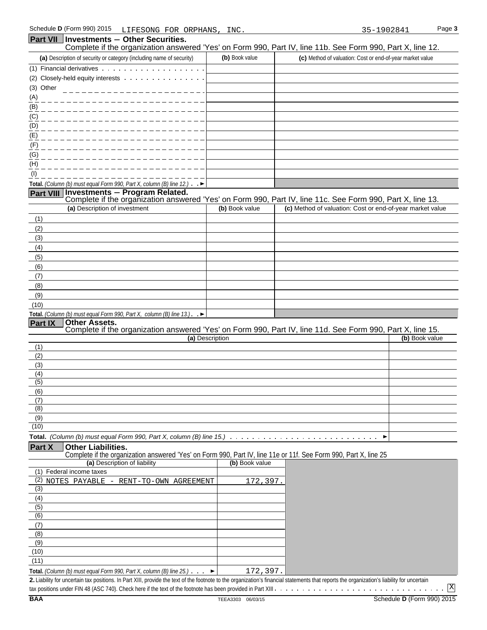| Part VII              | <b>Investments - Other Securities.</b><br>Complete if the organization answered 'Yes' on Form 990, Part IV, line 11b. See Form 990, Part X, line 12. |                 |                                                           |                |
|-----------------------|------------------------------------------------------------------------------------------------------------------------------------------------------|-----------------|-----------------------------------------------------------|----------------|
|                       | (a) Description of security or category (including name of security)                                                                                 | (b) Book value  | (c) Method of valuation: Cost or end-of-year market value |                |
|                       | (1) Financial derivatives                                                                                                                            |                 |                                                           |                |
|                       | (2) Closely-held equity interests                                                                                                                    |                 |                                                           |                |
| (3) Other             |                                                                                                                                                      |                 |                                                           |                |
| (A)                   |                                                                                                                                                      |                 |                                                           |                |
| (B)                   |                                                                                                                                                      |                 |                                                           |                |
| (C)                   |                                                                                                                                                      |                 |                                                           |                |
| (D)                   |                                                                                                                                                      |                 |                                                           |                |
| (E)                   |                                                                                                                                                      |                 |                                                           |                |
| (F)                   |                                                                                                                                                      |                 |                                                           |                |
| (G)                   |                                                                                                                                                      |                 |                                                           |                |
| (H)                   |                                                                                                                                                      |                 |                                                           |                |
| (1)                   |                                                                                                                                                      |                 |                                                           |                |
|                       | Total. (Column (b) must equal Form 990, Part X, column (B) line 12.) $\rightarrow$                                                                   |                 |                                                           |                |
| <b>Part VIII</b>      | Investments - Program Related.<br>Complete if the organization answered 'Yes' on Form 990, Part IV, line 11c. See Form 990, Part X, line 13.         |                 |                                                           |                |
|                       | (a) Description of investment                                                                                                                        | (b) Book value  | (c) Method of valuation: Cost or end-of-year market value |                |
| (1)                   |                                                                                                                                                      |                 |                                                           |                |
| (2)                   |                                                                                                                                                      |                 |                                                           |                |
| (3)                   |                                                                                                                                                      |                 |                                                           |                |
| (4)                   |                                                                                                                                                      |                 |                                                           |                |
| (5)                   |                                                                                                                                                      |                 |                                                           |                |
| (6)                   |                                                                                                                                                      |                 |                                                           |                |
| (7)                   |                                                                                                                                                      |                 |                                                           |                |
| (8)                   |                                                                                                                                                      |                 |                                                           |                |
| (9)                   |                                                                                                                                                      |                 |                                                           |                |
| (10)                  |                                                                                                                                                      |                 |                                                           |                |
|                       | Total. (Column (b) must equal Form 990, Part X, column (B) line $13$ .). $\blacktriangleright$                                                       |                 |                                                           |                |
| Part IX               | <b>Other Assets.</b><br>Complete if the organization answered 'Yes' on Form 990, Part IV, line 11d. See Form 990, Part X, line 15.                   |                 |                                                           |                |
|                       |                                                                                                                                                      | (a) Description |                                                           | (b) Book value |
| (1)                   |                                                                                                                                                      |                 |                                                           |                |
| (2)                   |                                                                                                                                                      |                 |                                                           |                |
| (3)                   |                                                                                                                                                      |                 |                                                           |                |
| (4)<br>(5)            |                                                                                                                                                      |                 |                                                           |                |
| (6)                   |                                                                                                                                                      |                 |                                                           |                |
| (7)                   |                                                                                                                                                      |                 |                                                           |                |
| (8)                   |                                                                                                                                                      |                 |                                                           |                |
| (9)                   |                                                                                                                                                      |                 |                                                           |                |
| (10)                  |                                                                                                                                                      |                 |                                                           |                |
|                       | <b>Total.</b> (Column (b) must equal Form 990, Part X, column (B) line 15.) $\ldots \ldots \ldots \ldots$                                            |                 | ▶                                                         |                |
| Part X                | <b>Other Liabilities.</b><br>Complete if the organization answered 'Yes' on Form 990, Part IV, line 11e or 11f. See Form 990, Part X, line 25        |                 |                                                           |                |
|                       | (a) Description of liability                                                                                                                         | (b) Book value  |                                                           |                |
|                       | (1) Federal income taxes                                                                                                                             |                 |                                                           |                |
|                       | (2) NOTES PAYABLE - RENT-TO-OWN AGREEMENT                                                                                                            | 172,397.        |                                                           |                |
| $\overline{3}$<br>(4) |                                                                                                                                                      |                 |                                                           |                |
| (5)                   |                                                                                                                                                      |                 |                                                           |                |
| (6)                   |                                                                                                                                                      |                 |                                                           |                |
| (7)                   |                                                                                                                                                      |                 |                                                           |                |
| (8)                   |                                                                                                                                                      |                 |                                                           |                |
| (9)                   |                                                                                                                                                      |                 |                                                           |                |
| (10)                  |                                                                                                                                                      |                 |                                                           |                |
| (11)                  |                                                                                                                                                      |                 |                                                           |                |

**Total.** *(Column (b) must equal Form 990, Part X, column (B) line 25.)* **2.** Liability for uncertain tax positions. In Part XIII, provide the text of the footnote to the organization's financial statements that reports the organization's liability for uncertain 172,397.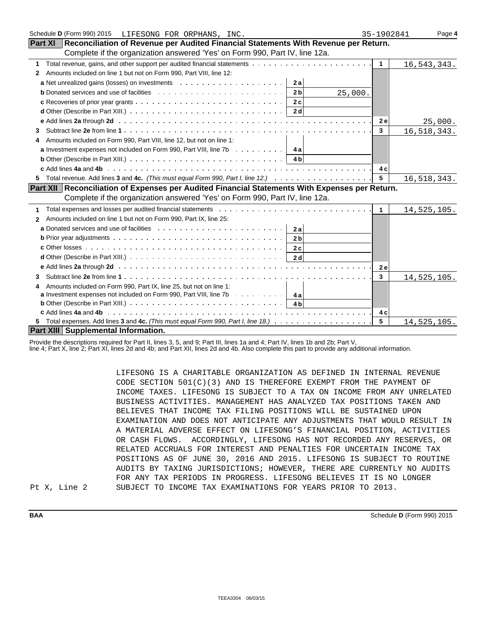| Schedule D (Form 990) 2015 LIFESONG FOR ORPHANS, INC.                                                                                                                                   | 35-1902841           | Page 4        |
|-----------------------------------------------------------------------------------------------------------------------------------------------------------------------------------------|----------------------|---------------|
| Reconciliation of Revenue per Audited Financial Statements With Revenue per Return.<br><b>Part XI</b>                                                                                   |                      |               |
| Complete if the organization answered 'Yes' on Form 990, Part IV, line 12a.                                                                                                             |                      |               |
| 1                                                                                                                                                                                       | $\mathbf{1}$         | 16, 543, 343. |
| Amounts included on line 1 but not on Form 990, Part VIII, line 12:<br>2                                                                                                                |                      |               |
| 2a                                                                                                                                                                                      |                      |               |
| 2 <sub>b</sub><br>25,000.                                                                                                                                                               |                      |               |
| 2c                                                                                                                                                                                      |                      |               |
| 2d                                                                                                                                                                                      |                      |               |
|                                                                                                                                                                                         | 2e                   | 25,000.       |
| 3                                                                                                                                                                                       | 3                    | 16, 518, 343. |
| Amounts included on Form 990, Part VIII, line 12, but not on line 1:<br>4                                                                                                               |                      |               |
| <b>a</b> Investment expenses not included on Form 990, Part VIII, line 7b $\dots \dots \dots$                                                                                           |                      |               |
| <b>b</b> Other (Describe in Part XIII.) $\ldots \ldots \ldots \ldots \ldots \ldots \ldots \ldots \ldots \ldots \ldots \ldots$                                                           |                      |               |
|                                                                                                                                                                                         | 4 c                  |               |
| 5.                                                                                                                                                                                      | $5\phantom{.0}$      | 16,518,343.   |
| Part XII Reconciliation of Expenses per Audited Financial Statements With Expenses per Return.                                                                                          |                      |               |
| Complete if the organization answered 'Yes' on Form 990, Part IV, line 12a.                                                                                                             |                      |               |
| 1                                                                                                                                                                                       | $\blacktriangleleft$ | 14,525,105.   |
| Amounts included on line 1 but not on Form 990, Part IX, line 25:<br>2                                                                                                                  |                      |               |
| 2a                                                                                                                                                                                      |                      |               |
| 2 <sub>b</sub>                                                                                                                                                                          |                      |               |
| 2c                                                                                                                                                                                      |                      |               |
| 2d                                                                                                                                                                                      |                      |               |
|                                                                                                                                                                                         | 2e                   |               |
| 3                                                                                                                                                                                       | $\mathbf{3}$         | 14,525,105.   |
| Amounts included on Form 990, Part IX, line 25, but not on line 1:                                                                                                                      |                      |               |
| <b>a</b> Investment expenses not included on Form 990, Part VIII, line 7b $\ldots \ldots \ldots$                                                                                        |                      |               |
| <b>b</b> Other (Describe in Part XIII.) $\cdots$ $\cdots$ $\cdots$ $\cdots$ $\cdots$ $\cdots$ $\cdots$ $\cdots$ $\cdots$ $\cdots$ $\cdots$ $\cdots$ $\cdots$ $\cdots$ $\cdots$ $\cdots$ |                      |               |
|                                                                                                                                                                                         | 4 c                  |               |
|                                                                                                                                                                                         | 5                    | 14,525,105.   |
| Part XIII Supplemental Information.                                                                                                                                                     |                      |               |

Provide the descriptions required for Part II, lines 3, 5, and 9; Part III, lines 1a and 4; Part IV, lines 1b and 2b; Part V,

line 4; Part X, line 2; Part XI, lines 2d and 4b; and Part XII, lines 2d and 4b. Also complete this part to provide any additional information.

LIFESONG IS A CHARITABLE ORGANIZATION AS DEFINED IN INTERNAL REVENUE CODE SECTION 501(C)(3) AND IS THEREFORE EXEMPT FROM THE PAYMENT OF INCOME TAXES. LIFESONG IS SUBJECT TO A TAX ON INCOME FROM ANY UNRELATED BUSINESS ACTIVITIES. MANAGEMENT HAS ANALYZED TAX POSITIONS TAKEN AND BELIEVES THAT INCOME TAX FILING POSITIONS WILL BE SUSTAINED UPON EXAMINATION AND DOES NOT ANTICIPATE ANY ADJUSTMENTS THAT WOULD RESULT IN A MATERIAL ADVERSE EFFECT ON LIFESONG'S FINANCIAL POSITION, ACTIVITIES OR CASH FLOWS. ACCORDINGLY, LIFESONG HAS NOT RECORDED ANY RESERVES, OR RELATED ACCRUALS FOR INTEREST AND PENALTIES FOR UNCERTAIN INCOME TAX POSITIONS AS OF JUNE 30, 2016 AND 2015. LIFESONG IS SUBJECT TO ROUTINE AUDITS BY TAXING JURISDICTIONS; HOWEVER, THERE ARE CURRENTLY NO AUDITS FOR ANY TAX PERIODS IN PROGRESS. LIFESONG BELIEVES IT IS NO LONGER SUBJECT TO INCOME TAX EXAMINATIONS FOR YEARS PRIOR TO 2013.

Pt X, Line 2

**BAA** Schedule **D** (Form 990) 2015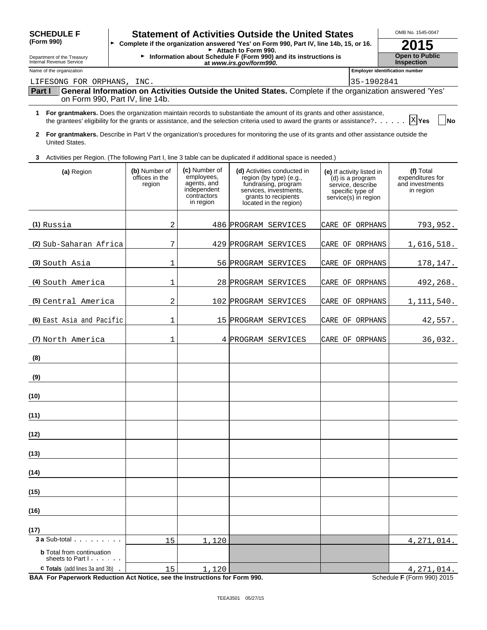| <b>SCHEDULE F</b>                                                               |                                           |                                                                                       | <b>Statement of Activities Outside the United States</b>                                                                                                                                                                                               |                                                                                                                | OMB No. 1545-0047                                             |
|---------------------------------------------------------------------------------|-------------------------------------------|---------------------------------------------------------------------------------------|--------------------------------------------------------------------------------------------------------------------------------------------------------------------------------------------------------------------------------------------------------|----------------------------------------------------------------------------------------------------------------|---------------------------------------------------------------|
| (Form 990)                                                                      |                                           |                                                                                       | > Complete if the organization answered 'Yes' on Form 990, Part IV, line 14b, 15, or 16.                                                                                                                                                               |                                                                                                                | 2015                                                          |
| Department of the Treasury<br>Internal Revenue Service                          |                                           |                                                                                       | $\blacktriangleright$ Attach to Form 990.<br>Information about Schedule F (Form 990) and its instructions is<br>at www.irs.gov/form990.                                                                                                                |                                                                                                                | <b>Open to Public</b><br><b>Inspection</b>                    |
| Name of the organization                                                        |                                           |                                                                                       |                                                                                                                                                                                                                                                        |                                                                                                                | <b>Employer identification number</b>                         |
| LIFESONG FOR ORPHANS, INC.                                                      |                                           |                                                                                       |                                                                                                                                                                                                                                                        | 35-1902841                                                                                                     |                                                               |
| Part I                                                                          | on Form 990, Part IV, line 14b.           |                                                                                       | General Information on Activities Outside the United States. Complete if the organization answered 'Yes'                                                                                                                                               |                                                                                                                |                                                               |
|                                                                                 |                                           |                                                                                       | 1 For grantmakers. Does the organization maintain records to substantiate the amount of its grants and other assistance,<br>the grantees' eligibility for the grants or assistance, and the selection criteria used to award the grants or assistance? |                                                                                                                | <b>X</b> Yes<br><b>No</b>                                     |
| 2<br>United States.                                                             |                                           |                                                                                       | For grantmakers. Describe in Part V the organization's procedures for monitoring the use of its grants and other assistance outside the                                                                                                                |                                                                                                                |                                                               |
| 3                                                                               |                                           |                                                                                       | Activities per Region. (The following Part I, line 3 table can be duplicated if additional space is needed.)                                                                                                                                           |                                                                                                                |                                                               |
| (a) Region                                                                      | (b) Number of<br>offices in the<br>region | (c) Number of<br>employees,<br>agents, and<br>independent<br>contractors<br>in region | (d) Activities conducted in<br>region (by type) (e.g.,<br>fundraising, program<br>services, investments,<br>grants to recipients<br>located in the region)                                                                                             | (e) If activity listed in<br>(d) is a program<br>service, describe<br>specific type of<br>service(s) in region | (f) Total<br>expenditures for<br>and investments<br>in region |
| $(1)$ Russia                                                                    | 2                                         |                                                                                       | 486 PROGRAM SERVICES                                                                                                                                                                                                                                   | CARE OF ORPHANS                                                                                                | 793,952.                                                      |
| (2) Sub-Saharan Africa                                                          | 7                                         |                                                                                       | 429 PROGRAM SERVICES                                                                                                                                                                                                                                   | ORPHANS<br>CARE OF                                                                                             | 1,616,518.                                                    |
| (3) South Asia                                                                  | 1                                         |                                                                                       | 56 PROGRAM SERVICES                                                                                                                                                                                                                                    | CARE OF<br>ORPHANS                                                                                             | 178,147.                                                      |
| (4) South America                                                               | 1                                         |                                                                                       | 28 PROGRAM SERVICES                                                                                                                                                                                                                                    | ORPHANS<br>CARE OF                                                                                             | 492,268.                                                      |
| (5) Central America                                                             | $\overline{c}$                            |                                                                                       | 102 PROGRAM SERVICES                                                                                                                                                                                                                                   | CARE OF<br>ORPHANS                                                                                             | 1,111,540.                                                    |
| (6) East Asia and Pacific                                                       | 1                                         |                                                                                       | 15 PROGRAM SERVICES                                                                                                                                                                                                                                    | ORPHANS<br>CARE OF                                                                                             | 42,557.                                                       |
| (7) North America                                                               | 1                                         |                                                                                       | 4 PROGRAM SERVICES                                                                                                                                                                                                                                     | CARE OF ORPHANS                                                                                                | 36,032.                                                       |
| (8)                                                                             |                                           |                                                                                       |                                                                                                                                                                                                                                                        |                                                                                                                |                                                               |
| (9)                                                                             |                                           |                                                                                       |                                                                                                                                                                                                                                                        |                                                                                                                |                                                               |
| (10)                                                                            |                                           |                                                                                       |                                                                                                                                                                                                                                                        |                                                                                                                |                                                               |
| (11)                                                                            |                                           |                                                                                       |                                                                                                                                                                                                                                                        |                                                                                                                |                                                               |
| (12)                                                                            |                                           |                                                                                       |                                                                                                                                                                                                                                                        |                                                                                                                |                                                               |
| (13)                                                                            |                                           |                                                                                       |                                                                                                                                                                                                                                                        |                                                                                                                |                                                               |
| (14)                                                                            |                                           |                                                                                       |                                                                                                                                                                                                                                                        |                                                                                                                |                                                               |
| (15)                                                                            |                                           |                                                                                       |                                                                                                                                                                                                                                                        |                                                                                                                |                                                               |
| (16)                                                                            |                                           |                                                                                       |                                                                                                                                                                                                                                                        |                                                                                                                |                                                               |
| (17)                                                                            |                                           |                                                                                       |                                                                                                                                                                                                                                                        |                                                                                                                |                                                               |
| <b>3 a Sub-total</b> .<br><b>b</b> Total from continuation<br>sheets to Part I. | 15                                        | 1,120                                                                                 |                                                                                                                                                                                                                                                        |                                                                                                                | 4, 271, 014.                                                  |
| <b>c</b> Totals (add lines 3a and 3b)                                           | 15                                        | 1,120                                                                                 |                                                                                                                                                                                                                                                        |                                                                                                                | 4, 271, 014.                                                  |

**BAA For Paperwork Reduction Act Notice, see the Instructions for Form 990.** Schedule **F** (Form 990) 2015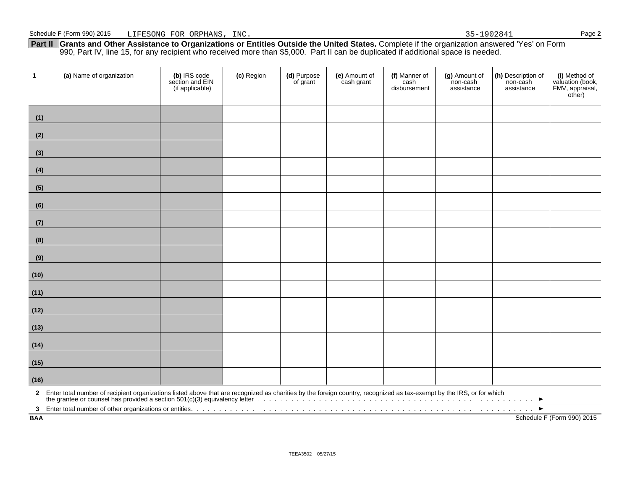**Part II Grants and Other Assistance to Organizations or Entities Outside the United States.** Complete if the organization answered 'Yes' on Form 990, Part IV, line 15, for any recipient who received more than \$5,000. Part II can be duplicated if additional space is needed.

| $\mathbf{1}$               | (a) Name of organization                                                                                                                                                | (b) IRS code<br>section and EIN<br>(if applicable) | (c) Region | (d) Purpose<br>of grant | (e) Amount of<br>cash grant | (f) Manner of<br>cash<br>disbursement | (g) Amount of<br>non-cash<br>assistance | (h) Description of<br>non-cash<br>assistance | (i) Method of<br>valuation (book,<br>FMV, appraisal,<br>other) |
|----------------------------|-------------------------------------------------------------------------------------------------------------------------------------------------------------------------|----------------------------------------------------|------------|-------------------------|-----------------------------|---------------------------------------|-----------------------------------------|----------------------------------------------|----------------------------------------------------------------|
| (1)                        |                                                                                                                                                                         |                                                    |            |                         |                             |                                       |                                         |                                              |                                                                |
| (2)                        |                                                                                                                                                                         |                                                    |            |                         |                             |                                       |                                         |                                              |                                                                |
| (3)                        |                                                                                                                                                                         |                                                    |            |                         |                             |                                       |                                         |                                              |                                                                |
| (4)                        |                                                                                                                                                                         |                                                    |            |                         |                             |                                       |                                         |                                              |                                                                |
| (5)                        |                                                                                                                                                                         |                                                    |            |                         |                             |                                       |                                         |                                              |                                                                |
| (6)                        |                                                                                                                                                                         |                                                    |            |                         |                             |                                       |                                         |                                              |                                                                |
| (7)                        |                                                                                                                                                                         |                                                    |            |                         |                             |                                       |                                         |                                              |                                                                |
| (8)                        |                                                                                                                                                                         |                                                    |            |                         |                             |                                       |                                         |                                              |                                                                |
| (9)                        |                                                                                                                                                                         |                                                    |            |                         |                             |                                       |                                         |                                              |                                                                |
| (10)                       |                                                                                                                                                                         |                                                    |            |                         |                             |                                       |                                         |                                              |                                                                |
| (11)                       |                                                                                                                                                                         |                                                    |            |                         |                             |                                       |                                         |                                              |                                                                |
| (12)                       |                                                                                                                                                                         |                                                    |            |                         |                             |                                       |                                         |                                              |                                                                |
| (13)                       |                                                                                                                                                                         |                                                    |            |                         |                             |                                       |                                         |                                              |                                                                |
| (14)                       |                                                                                                                                                                         |                                                    |            |                         |                             |                                       |                                         |                                              |                                                                |
| (15)                       |                                                                                                                                                                         |                                                    |            |                         |                             |                                       |                                         |                                              |                                                                |
| (16)                       |                                                                                                                                                                         |                                                    |            |                         |                             |                                       |                                         |                                              |                                                                |
|                            | 2 Enter total number of recipient organizations listed above that are recognized as charities by the foreign country, recognized as tax-exempt by the IRS, or for which |                                                    |            |                         |                             |                                       |                                         |                                              |                                                                |
| $\mathbf{3}$<br><b>BAA</b> |                                                                                                                                                                         |                                                    |            |                         |                             |                                       |                                         |                                              | Schedule F (Form 990) 2015                                     |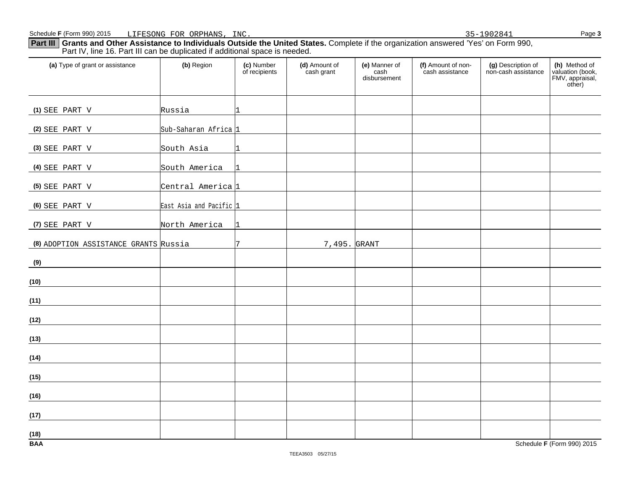**Part III Grants and Other Assistance to Individuals Outside the United States.** Complete if the organization answered 'Yes' on Form 990, Part IV, line 16. Part III can be duplicated if additional space is needed.

| (a) Type of grant or assistance       | (b) Region                   | (c) Number<br>of recipients | (d) Amount of<br>cash grant | (e) Manner of<br>cash<br>disbursement | (f) Amount of non-<br>cash assistance | (g) Description of<br>non-cash assistance | (h) Method of<br>valuation (book,<br>FMV, appraisal,<br>other) |
|---------------------------------------|------------------------------|-----------------------------|-----------------------------|---------------------------------------|---------------------------------------|-------------------------------------------|----------------------------------------------------------------|
| (1) SEE PART V                        | Russia                       | 1                           |                             |                                       |                                       |                                           |                                                                |
| (2) SEE PART V                        | Sub-Saharan Africa 1         |                             |                             |                                       |                                       |                                           |                                                                |
| (3) SEE PART V                        | South Asia                   |                             |                             |                                       |                                       |                                           |                                                                |
| (4) SEE PART V                        | South America                |                             |                             |                                       |                                       |                                           |                                                                |
| (5) SEE PART V                        | Central America <sub>1</sub> |                             |                             |                                       |                                       |                                           |                                                                |
| (6) SEE PART V                        | East Asia and Pacific 1      |                             |                             |                                       |                                       |                                           |                                                                |
| (7) SEE PART V                        | North America                | 1                           |                             |                                       |                                       |                                           |                                                                |
| (8) ADOPTION ASSISTANCE GRANTS Russia |                              | 7                           | 7,495. GRANT                |                                       |                                       |                                           |                                                                |
| (9)                                   |                              |                             |                             |                                       |                                       |                                           |                                                                |
| (10)                                  |                              |                             |                             |                                       |                                       |                                           |                                                                |
| (11)                                  |                              |                             |                             |                                       |                                       |                                           |                                                                |
| (12)                                  |                              |                             |                             |                                       |                                       |                                           |                                                                |
| (13)                                  |                              |                             |                             |                                       |                                       |                                           |                                                                |
| (14)                                  |                              |                             |                             |                                       |                                       |                                           |                                                                |
| (15)                                  |                              |                             |                             |                                       |                                       |                                           |                                                                |
| (16)                                  |                              |                             |                             |                                       |                                       |                                           |                                                                |
| (17)                                  |                              |                             |                             |                                       |                                       |                                           |                                                                |
| (18)<br><b>BAA</b>                    |                              |                             |                             |                                       |                                       |                                           | Schedule F (Form 990) 2015                                     |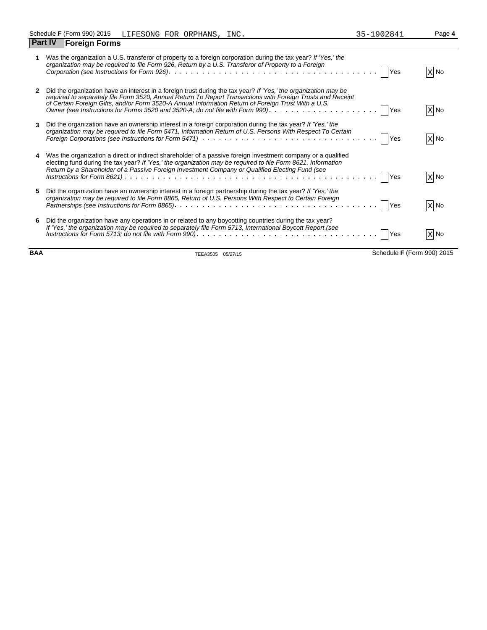| <br>∠<br>×<br>۰, |  |
|------------------|--|
|                  |  |

| 1                | Was the organization a U.S. transferor of property to a foreign corporation during the tax year? If 'Yes,' the<br>organization may be required to file Form 926, Return by a U.S. Transferor of Property to a Foreign                                                                                                                                                                                                                                                                                     | $X$ No |
|------------------|-----------------------------------------------------------------------------------------------------------------------------------------------------------------------------------------------------------------------------------------------------------------------------------------------------------------------------------------------------------------------------------------------------------------------------------------------------------------------------------------------------------|--------|
| $\mathbf{2}$     | Did the organization have an interest in a foreign trust during the tax year? If 'Yes,' the organization may be<br>required to separately file Form 3520, Annual Return To Report Transactions with Foreign Trusts and Receipt<br>of Certain Foreign Gifts, and/or Form 3520-A Annual Information Return of Foreign Trust With a U.S.<br>Owner (see Instructions for Forms 3520 and 3520-A; do not file with Form 990). $\ldots$ ,    Yes                                                                 | $X$ No |
| 3                | Did the organization have an ownership interest in a foreign corporation during the tax year? If 'Yes,' the<br>organization may be required to file Form 5471, Information Return of U.S. Persons With Respect To Certain                                                                                                                                                                                                                                                                                 | $X$ No |
| $\blacktriangle$ | Was the organization a direct or indirect shareholder of a passive foreign investment company or a qualified<br>electing fund during the tax year? If 'Yes,' the organization may be required to file Form 8621, Information<br>Return by a Shareholder of a Passive Foreign Investment Company or Qualified Electing Fund (see<br>Instructions for Form 8621) $\ldots$ $\ldots$ $\ldots$ $\ldots$ $\ldots$ $\ldots$ $\ldots$ $\ldots$ $\ldots$ $\ldots$ $\ldots$ $\ldots$ $\ldots$ $\ldots$ $\lceil$ Yes | $X$ No |
| 5                | Did the organization have an ownership interest in a foreign partnership during the tax year? If 'Yes,' the<br>organization may be required to file Form 8865, Return of U.S. Persons With Respect to Certain Foreign                                                                                                                                                                                                                                                                                     | $X$ No |
| 6                | Did the organization have any operations in or related to any boycotting countries during the tax year?<br>If 'Yes,' the organization may be required to separately file Form 5713, International Boycott Report (see<br>Yes                                                                                                                                                                                                                                                                              | X No   |

**BAA** TEEA3505 05/27/15 Schedule **F** (Form 990) 2015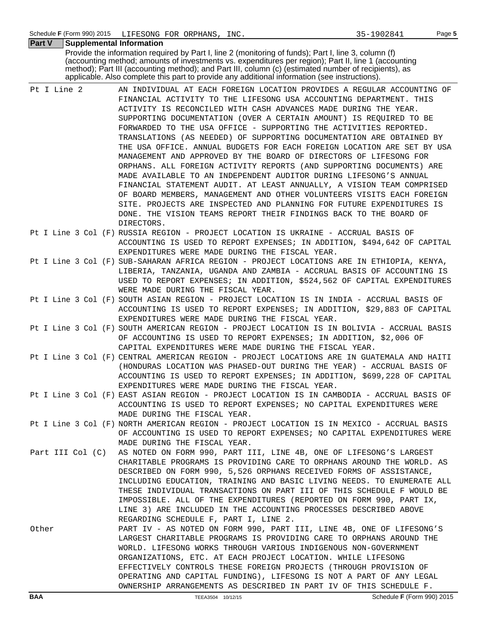| <b>Supplemental Information</b><br><b>Part V</b> |                                                                                                                                                                                                                                                                                                                                                                                                                                                                                                                                                                                                                                                                                                                                                                                                                                                                                                                                                                                                                                               |
|--------------------------------------------------|-----------------------------------------------------------------------------------------------------------------------------------------------------------------------------------------------------------------------------------------------------------------------------------------------------------------------------------------------------------------------------------------------------------------------------------------------------------------------------------------------------------------------------------------------------------------------------------------------------------------------------------------------------------------------------------------------------------------------------------------------------------------------------------------------------------------------------------------------------------------------------------------------------------------------------------------------------------------------------------------------------------------------------------------------|
|                                                  | Provide the information required by Part I, line 2 (monitoring of funds); Part I, line 3, column (f)<br>(accounting method; amounts of investments vs. expenditures per region); Part II, line 1 (accounting<br>method); Part III (accounting method); and Part III, column (c) (estimated number of recipients), as<br>applicable. Also complete this part to provide any additional information (see instructions).                                                                                                                                                                                                                                                                                                                                                                                                                                                                                                                                                                                                                         |
| Pt I Line 2                                      | AN INDIVIDUAL AT EACH FOREIGN LOCATION PROVIDES A REGULAR ACCOUNTING OF<br>FINANCIAL ACTIVITY TO THE LIFESONG USA ACCOUNTING DEPARTMENT. THIS<br>ACTIVITY IS RECONCILED WITH CASH ADVANCES MADE DURING THE YEAR.<br>SUPPORTING DOCUMENTATION (OVER A CERTAIN AMOUNT) IS REQUIRED TO BE<br>FORWARDED TO THE USA OFFICE - SUPPORTING THE ACTIVITIES REPORTED.<br>TRANSLATIONS (AS NEEDED) OF SUPPORTING DOCUMENTATION ARE OBTAINED BY<br>THE USA OFFICE. ANNUAL BUDGETS FOR EACH FOREIGN LOCATION ARE SET BY USA<br>MANAGEMENT AND APPROVED BY THE BOARD OF DIRECTORS OF LIFESONG FOR<br>ORPHANS. ALL FOREIGN ACTIVITY REPORTS (AND SUPPORTING DOCUMENTS) ARE<br>MADE AVAILABLE TO AN INDEPENDENT AUDITOR DURING LIFESONG'S ANNUAL<br>FINANCIAL STATEMENT AUDIT. AT LEAST ANNUALLY, A VISION TEAM COMPRISED<br>OF BOARD MEMBERS, MANAGEMENT AND OTHER VOLUNTEERS VISITS EACH FOREIGN<br>SITE. PROJECTS ARE INSPECTED AND PLANNING FOR FUTURE EXPENDITURES IS<br>DONE. THE VISION TEAMS REPORT THEIR FINDINGS BACK TO THE BOARD OF<br>DIRECTORS. |
|                                                  | Pt I Line 3 Col (F) RUSSIA REGION - PROJECT LOCATION IS UKRAINE - ACCRUAL BASIS OF<br>ACCOUNTING IS USED TO REPORT EXPENSES; IN ADDITION, \$494,642 OF CAPITAL<br>EXPENDITURES WERE MADE DURING THE FISCAL YEAR.                                                                                                                                                                                                                                                                                                                                                                                                                                                                                                                                                                                                                                                                                                                                                                                                                              |
|                                                  | Pt I Line 3 Col (F) SUB-SAHARAN AFRICA REGION - PROJECT LOCATIONS ARE IN ETHIOPIA, KENYA,<br>LIBERIA, TANZANIA, UGANDA AND ZAMBIA - ACCRUAL BASIS OF ACCOUNTING IS<br>USED TO REPORT EXPENSES; IN ADDITION, \$524,562 OF CAPITAL EXPENDITURES<br>WERE MADE DURING THE FISCAL YEAR.                                                                                                                                                                                                                                                                                                                                                                                                                                                                                                                                                                                                                                                                                                                                                            |
|                                                  | Pt I Line 3 Col (F) SOUTH ASIAN REGION - PROJECT LOCATION IS IN INDIA - ACCRUAL BASIS OF<br>ACCOUNTING IS USED TO REPORT EXPENSES; IN ADDITION, \$29,883 OF CAPITAL<br>EXPENDITURES WERE MADE DURING THE FISCAL YEAR.                                                                                                                                                                                                                                                                                                                                                                                                                                                                                                                                                                                                                                                                                                                                                                                                                         |
|                                                  | Pt I Line 3 Col (F) SOUTH AMERICAN REGION - PROJECT LOCATION IS IN BOLIVIA - ACCRUAL BASIS<br>OF ACCOUNTING IS USED TO REPORT EXPENSES; IN ADDITION, \$2,006 OF<br>CAPITAL EXPENDITURES WERE MADE DURING THE FISCAL YEAR.                                                                                                                                                                                                                                                                                                                                                                                                                                                                                                                                                                                                                                                                                                                                                                                                                     |
|                                                  | Pt I Line 3 Col (F) CENTRAL AMERICAN REGION - PROJECT LOCATIONS ARE IN GUATEMALA AND HAITI<br>(HONDURAS LOCATION WAS PHASED-OUT DURING THE YEAR) - ACCRUAL BASIS OF<br>ACCOUNTING IS USED TO REPORT EXPENSES; IN ADDITION, \$699,228 OF CAPITAL<br>EXPENDITURES WERE MADE DURING THE FISCAL YEAR.                                                                                                                                                                                                                                                                                                                                                                                                                                                                                                                                                                                                                                                                                                                                             |
|                                                  | Pt I Line 3 Col (F) EAST ASIAN REGION - PROJECT LOCATION IS IN CAMBODIA - ACCRUAL BASIS OF<br>ACCOUNTING IS USED TO REPORT EXPENSES; NO CAPITAL EXPENDITURES WERE<br>MADE DURING THE FISCAL YEAR.                                                                                                                                                                                                                                                                                                                                                                                                                                                                                                                                                                                                                                                                                                                                                                                                                                             |
|                                                  | Pt I Line 3 Col (F) NORTH AMERICAN REGION - PROJECT LOCATION IS IN MEXICO - ACCRUAL BASIS<br>OF ACCOUNTING IS USED TO REPORT EXPENSES; NO CAPITAL EXPENDITURES WERE<br>MADE DURING THE FISCAL YEAR.                                                                                                                                                                                                                                                                                                                                                                                                                                                                                                                                                                                                                                                                                                                                                                                                                                           |
| Part III Col (C)                                 | AS NOTED ON FORM 990, PART III, LINE 4B, ONE OF LIFESONG'S LARGEST<br>CHARITABLE PROGRAMS IS PROVIDING CARE TO ORPHANS AROUND THE WORLD. AS<br>DESCRIBED ON FORM 990, 5,526 ORPHANS RECEIVED FORMS OF ASSISTANCE,<br>INCLUDING EDUCATION, TRAINING AND BASIC LIVING NEEDS. TO ENUMERATE ALL<br>THESE INDIVIDUAL TRANSACTIONS ON PART III OF THIS SCHEDULE F WOULD BE<br>IMPOSSIBLE. ALL OF THE EXPENDITURES (REPORTED ON FORM 990, PART IX,<br>LINE 3) ARE INCLUDED IN THE ACCOUNTING PROCESSES DESCRIBED ABOVE<br>REGARDING SCHEDULE F, PART I, LINE 2.                                                                                                                                                                                                                                                                                                                                                                                                                                                                                      |
| Other                                            | PART IV - AS NOTED ON FORM 990, PART III, LINE 4B, ONE OF LIFESONG'S<br>LARGEST CHARITABLE PROGRAMS IS PROVIDING CARE TO ORPHANS AROUND THE<br>WORLD. LIFESONG WORKS THROUGH VARIOUS INDIGENOUS NON-GOVERNMENT<br>ORGANIZATIONS, ETC. AT EACH PROJECT LOCATION. WHILE LIFESONG<br>EFFECTIVELY CONTROLS THESE FOREIGN PROJECTS (THROUGH PROVISION OF<br>OPERATING AND CAPITAL FUNDING), LIFESONG IS NOT A PART OF ANY LEGAL<br>OWNERSHIP ARRANGEMENTS AS DESCRIBED IN PART IV OF THIS SCHEDULE F.                                                                                                                                                                                                                                                                                                                                                                                                                                                                                                                                              |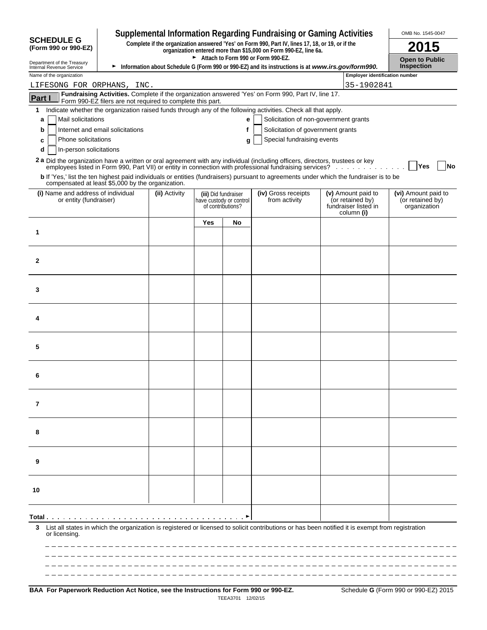|                                                                                                                                                                                                                                          |                                                                                                                                                                      |      |                                                                      | <b>Supplemental Information Regarding Fundraising or Gaming Activities</b> |                                                                              | OMB No. 1545-0047                                       |
|------------------------------------------------------------------------------------------------------------------------------------------------------------------------------------------------------------------------------------------|----------------------------------------------------------------------------------------------------------------------------------------------------------------------|------|----------------------------------------------------------------------|----------------------------------------------------------------------------|------------------------------------------------------------------------------|---------------------------------------------------------|
| <b>SCHEDULE G</b><br>(Form 990 or 990-EZ)                                                                                                                                                                                                | Complete if the organization answered 'Yes' on Form 990, Part IV, lines 17, 18, or 19, or if the<br>organization entered more than \$15,000 on Form 990-EZ, line 6a. | 2015 |                                                                      |                                                                            |                                                                              |                                                         |
| Department of the Treasury<br>Information about Schedule G (Form 990 or 990-EZ) and its instructions is at www.irs.gov/form990.<br>Internal Revenue Service                                                                              | <b>Open to Public</b><br><b>Inspection</b>                                                                                                                           |      |                                                                      |                                                                            |                                                                              |                                                         |
| Name of the organization                                                                                                                                                                                                                 | <b>Employer identification number</b>                                                                                                                                |      |                                                                      |                                                                            |                                                                              |                                                         |
| LIFESONG FOR ORPHANS, INC.                                                                                                                                                                                                               | 35-1902841                                                                                                                                                           |      |                                                                      |                                                                            |                                                                              |                                                         |
| Fundraising Activities. Complete if the organization answered 'Yes' on Form 990, Part IV, line 17.<br>Part I<br>Form 990-EZ filers are not required to complete this part.                                                               |                                                                                                                                                                      |      |                                                                      |                                                                            |                                                                              |                                                         |
| Indicate whether the organization raised funds through any of the following activities. Check all that apply.<br>1                                                                                                                       |                                                                                                                                                                      |      |                                                                      |                                                                            |                                                                              |                                                         |
| Mail solicitations<br>a                                                                                                                                                                                                                  |                                                                                                                                                                      |      | е                                                                    | Solicitation of non-government grants                                      |                                                                              |                                                         |
| Internet and email solicitations<br>b<br>Phone solicitations<br>c                                                                                                                                                                        |                                                                                                                                                                      |      | f<br>g                                                               | Solicitation of government grants<br>Special fundraising events            |                                                                              |                                                         |
| In-person solicitations<br>d                                                                                                                                                                                                             |                                                                                                                                                                      |      |                                                                      |                                                                            |                                                                              |                                                         |
| 2 a Did the organization have a written or oral agreement with any individual (including officers, directors, trustees or key<br>employees listed in Form 990, Part VII) or entity in connection with professional fundraising services? |                                                                                                                                                                      |      |                                                                      |                                                                            |                                                                              | <b>Yes</b><br>No                                        |
| <b>b</b> If 'Yes,' list the ten highest paid individuals or entities (fundraisers) pursuant to agreements under which the fundraiser is to be<br>compensated at least \$5,000 by the organization.                                       |                                                                                                                                                                      |      |                                                                      |                                                                            |                                                                              |                                                         |
| (i) Name and address of individual<br>or entity (fundraiser)                                                                                                                                                                             | (ii) Activity                                                                                                                                                        |      | (iii) Did fundraiser<br>have custody or control<br>of contributions? | (iv) Gross receipts<br>from activity                                       | (v) Amount paid to<br>(or retained by)<br>fundraiser listed in<br>column (i) | (vi) Amount paid to<br>(or retained by)<br>organization |
|                                                                                                                                                                                                                                          |                                                                                                                                                                      | Yes  | No                                                                   |                                                                            |                                                                              |                                                         |
| 1                                                                                                                                                                                                                                        |                                                                                                                                                                      |      |                                                                      |                                                                            |                                                                              |                                                         |
|                                                                                                                                                                                                                                          |                                                                                                                                                                      |      |                                                                      |                                                                            |                                                                              |                                                         |
| 2                                                                                                                                                                                                                                        |                                                                                                                                                                      |      |                                                                      |                                                                            |                                                                              |                                                         |
|                                                                                                                                                                                                                                          |                                                                                                                                                                      |      |                                                                      |                                                                            |                                                                              |                                                         |
| 3                                                                                                                                                                                                                                        |                                                                                                                                                                      |      |                                                                      |                                                                            |                                                                              |                                                         |
| 4                                                                                                                                                                                                                                        |                                                                                                                                                                      |      |                                                                      |                                                                            |                                                                              |                                                         |
|                                                                                                                                                                                                                                          |                                                                                                                                                                      |      |                                                                      |                                                                            |                                                                              |                                                         |
| 5                                                                                                                                                                                                                                        |                                                                                                                                                                      |      |                                                                      |                                                                            |                                                                              |                                                         |
| 6                                                                                                                                                                                                                                        |                                                                                                                                                                      |      |                                                                      |                                                                            |                                                                              |                                                         |
| 7                                                                                                                                                                                                                                        |                                                                                                                                                                      |      |                                                                      |                                                                            |                                                                              |                                                         |
|                                                                                                                                                                                                                                          |                                                                                                                                                                      |      |                                                                      |                                                                            |                                                                              |                                                         |
| 8                                                                                                                                                                                                                                        |                                                                                                                                                                      |      |                                                                      |                                                                            |                                                                              |                                                         |
| 9                                                                                                                                                                                                                                        |                                                                                                                                                                      |      |                                                                      |                                                                            |                                                                              |                                                         |
| 10                                                                                                                                                                                                                                       |                                                                                                                                                                      |      |                                                                      |                                                                            |                                                                              |                                                         |
|                                                                                                                                                                                                                                          |                                                                                                                                                                      |      |                                                                      |                                                                            |                                                                              |                                                         |
|                                                                                                                                                                                                                                          |                                                                                                                                                                      |      |                                                                      |                                                                            |                                                                              |                                                         |
| List all states in which the organization is registered or licensed to solicit contributions or has been notified it is exempt from registration<br>3<br>or licensing.                                                                   |                                                                                                                                                                      |      |                                                                      |                                                                            |                                                                              |                                                         |
|                                                                                                                                                                                                                                          |                                                                                                                                                                      |      |                                                                      |                                                                            |                                                                              |                                                         |
|                                                                                                                                                                                                                                          |                                                                                                                                                                      |      |                                                                      |                                                                            |                                                                              |                                                         |
|                                                                                                                                                                                                                                          |                                                                                                                                                                      |      |                                                                      |                                                                            |                                                                              |                                                         |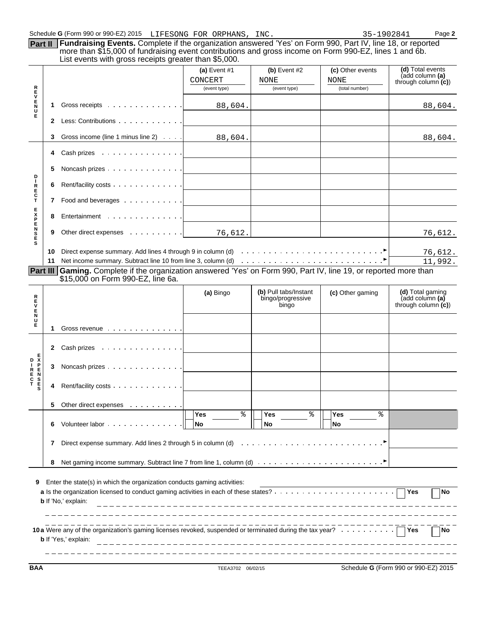|                |    | Schedule G (Form 990 or 990-EZ) 2015 LIFESONG FOR ORPHANS, INC.                                                                                                                                                                                                               |                |                                                     | 35-1902841       | Page 2                                                      |
|----------------|----|-------------------------------------------------------------------------------------------------------------------------------------------------------------------------------------------------------------------------------------------------------------------------------|----------------|-----------------------------------------------------|------------------|-------------------------------------------------------------|
| Part II        |    | Fundraising Events. Complete if the organization answered 'Yes' on Form 990, Part IV, line 18, or reported<br>more than \$15,000 of fundraising event contributions and gross income on Form 990-EZ, lines 1 and 6b.<br>List events with gross receipts greater than \$5,000. |                |                                                     |                  |                                                             |
|                |    |                                                                                                                                                                                                                                                                               | (a) Event $#1$ | $(b)$ Event #2                                      | (c) Other events | (d) Total events                                            |
|                |    |                                                                                                                                                                                                                                                                               | CONCERT        | NONE                                                | NONE             | (add column (a)<br>through column $(c)$                     |
|                |    |                                                                                                                                                                                                                                                                               | (event type)   | (event type)                                        | (total number)   |                                                             |
| <b>RHVENU</b>  | 1. |                                                                                                                                                                                                                                                                               | 88,604.        |                                                     |                  | 88,604.                                                     |
| Ė.             | 2  | Less: Contributions                                                                                                                                                                                                                                                           |                |                                                     |                  |                                                             |
|                |    | Gross income (line 1 minus line 2)                                                                                                                                                                                                                                            | 88,604.        |                                                     |                  | 88,604.                                                     |
|                | 4  | Cash prizes<br>.                                                                                                                                                                                                                                                              |                |                                                     |                  |                                                             |
|                | 5  | Noncash prizes                                                                                                                                                                                                                                                                |                |                                                     |                  |                                                             |
| <b>DIRECT</b>  | 6  | Rent/facility costs                                                                                                                                                                                                                                                           |                |                                                     |                  |                                                             |
|                | 7  | Food and beverages                                                                                                                                                                                                                                                            |                |                                                     |                  |                                                             |
| <b>FXPENSE</b> | 8  | Entertainment                                                                                                                                                                                                                                                                 |                |                                                     |                  |                                                             |
|                | 9  | Other direct expenses                                                                                                                                                                                                                                                         | 76,612.        |                                                     |                  | 76,612.                                                     |
|                | 10 |                                                                                                                                                                                                                                                                               |                |                                                     |                  | 76,612.                                                     |
|                | 11 | Net income summary. Subtract line 10 from line 3, column (d) with the state of the state of the state of the state of the state of the state of the state of the state of the state of the state of the state of the state of                                                 |                |                                                     |                  | 11,992.                                                     |
| Part III       |    | Gaming. Complete if the organization answered 'Yes' on Form 990, Part IV, line 19, or reported more than<br>\$15,000 on Form 990-EZ, line 6a.                                                                                                                                 |                |                                                     |                  |                                                             |
| R<br>E<br>V    |    |                                                                                                                                                                                                                                                                               | (a) Bingo      | (b) Pull tabs/Instant<br>bingo/progressive<br>binao | (c) Other gaming | (d) Total gaming<br>(add column (a)<br>through column $(c)$ |
| <b>EN</b><br>E |    | Gross revenue                                                                                                                                                                                                                                                                 |                |                                                     |                  |                                                             |
|                | 2. | Cash prizes<br>the contract of the contract of the contract of                                                                                                                                                                                                                |                |                                                     |                  |                                                             |

| E<br>C<br>T<br><b>N</b><br>SES |    | Rent/facility costs                                                                                                   |                               |                       |                              |     |           |
|--------------------------------|----|-----------------------------------------------------------------------------------------------------------------------|-------------------------------|-----------------------|------------------------------|-----|-----------|
|                                | 5. | Other direct expenses                                                                                                 |                               |                       |                              |     |           |
|                                | 6  | Volunteer labor $\ldots$ $\ldots$ $\ldots$ $\ldots$ $\ldots$ $\ldots$                                                 | °<br><b>Yes</b><br><b>INo</b> | °<br><b>Yes</b><br>No | °<br><b>Yes</b><br><b>No</b> |     |           |
|                                |    | Direct expense summary. Add lines 2 through 5 in column (d) $\cdots$                                                  |                               |                       |                              |     |           |
|                                | 8  | Net gaming income summary. Subtract line 7 from line 1, column (d) $\ldots \ldots \ldots \ldots \ldots \ldots \ldots$ |                               |                       |                              |     |           |
| 9                              |    | Enter the state(s) in which the organization conducts gaming activities:                                              |                               |                       |                              |     |           |
|                                |    | <b>b</b> If 'No,' explain:                                                                                            |                               | ________________      |                              | Yes | <b>No</b> |
|                                |    |                                                                                                                       |                               |                       |                              |     |           |

| 10a Were any of the organization's gaming licenses revoked, suspended or terminated during the tax year? | N |
|----------------------------------------------------------------------------------------------------------|---|
| <b>b</b> If 'Yes,' explain:                                                                              |   |
|                                                                                                          |   |

**BAA** TEEA3702 06/02/15 Schedule **G** (Form 990 or 990-EZ) 2015

**E D X** 

**3** Noncash prizes **.**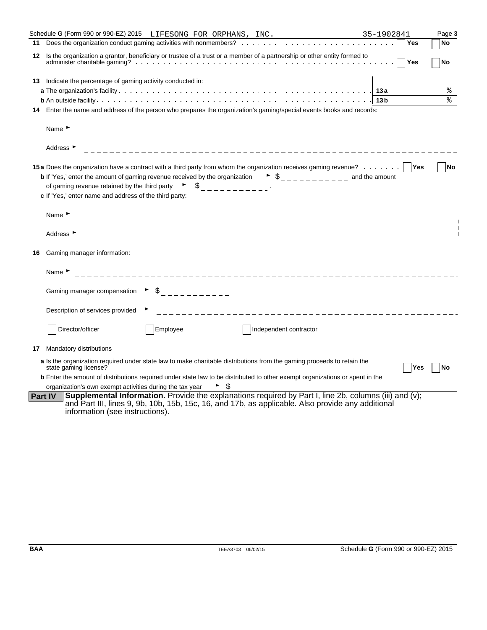|    | Schedule G (Form 990 or 990-EZ) 2015 LIFESONG FOR ORPHANS, INC.                                                                                                                                                                                                                                                                                                                                                                                                       | 35-1902841 | Page 3           |
|----|-----------------------------------------------------------------------------------------------------------------------------------------------------------------------------------------------------------------------------------------------------------------------------------------------------------------------------------------------------------------------------------------------------------------------------------------------------------------------|------------|------------------|
|    |                                                                                                                                                                                                                                                                                                                                                                                                                                                                       | Yes        | <b>No</b>        |
|    | 12 Is the organization a grantor, beneficiary or trustee of a trust or a member of a partnership or other entity formed to                                                                                                                                                                                                                                                                                                                                            | Yes        | <b>No</b>        |
|    | <b>13</b> Indicate the percentage of gaming activity conducted in:                                                                                                                                                                                                                                                                                                                                                                                                    |            |                  |
|    |                                                                                                                                                                                                                                                                                                                                                                                                                                                                       |            | %                |
|    |                                                                                                                                                                                                                                                                                                                                                                                                                                                                       |            | ٩,               |
|    | 14 Enter the name and address of the person who prepares the organization's gaming/special events books and records:                                                                                                                                                                                                                                                                                                                                                  |            |                  |
|    | Name $\blacktriangleright$                                                                                                                                                                                                                                                                                                                                                                                                                                            |            |                  |
|    | Address $\blacktriangleright$                                                                                                                                                                                                                                                                                                                                                                                                                                         |            |                  |
|    | 15a Does the organization have a contract with a third party from whom the organization receives gaming revenue?   Yes<br><b>b</b> If 'Yes,' enter the amount of gaming revenue received by the organization $\bullet$ $\circ$ $\circ$ $\bullet$ $\circ$ $\circ$ $\circ$ $\circ$ and the amount<br>of gaming revenue retained by the third party $\begin{array}{ccc} \n\bullet & \n\bullet & \n\end{array}$<br>c If 'Yes,' enter name and address of the third party: |            | <b>No</b>        |
|    | Name $\blacktriangleright$                                                                                                                                                                                                                                                                                                                                                                                                                                            |            |                  |
|    | Address $\blacktriangleright$                                                                                                                                                                                                                                                                                                                                                                                                                                         |            |                  |
| 16 | Gaming manager information:                                                                                                                                                                                                                                                                                                                                                                                                                                           |            |                  |
|    | Name $\blacktriangleright$                                                                                                                                                                                                                                                                                                                                                                                                                                            |            |                  |
|    | $\triangleright$ \$ _ _ _ _ _ _ _ _ _ _ _ _<br>Gaming manager compensation                                                                                                                                                                                                                                                                                                                                                                                            |            |                  |
|    | Description of services provided                                                                                                                                                                                                                                                                                                                                                                                                                                      |            |                  |
|    | Director/officer<br>Employee<br>Independent contractor                                                                                                                                                                                                                                                                                                                                                                                                                |            |                  |
| 17 | Mandatory distributions                                                                                                                                                                                                                                                                                                                                                                                                                                               |            |                  |
|    | a Is the organization required under state law to make charitable distributions from the gaming proceeds to retain the<br>state gaming license?                                                                                                                                                                                                                                                                                                                       |            | Yes<br><b>No</b> |
|    | <b>b</b> Enter the amount of distributions required under state law to be distributed to other exempt organizations or spent in the                                                                                                                                                                                                                                                                                                                                   |            |                  |
|    | organization's own exempt activities during the tax year                                                                                                                                                                                                                                                                                                                                                                                                              |            |                  |
|    | <b>Supplemental Information.</b> Provide the explanations required by Part I, line 2b, columns (iii) and (v);<br>Part IV<br>and Part III, lines 9, 9b, 10b, 15b, 15c, 16, and 17b, as applicable. Also provide any additional<br>information (see instructions).                                                                                                                                                                                                      |            |                  |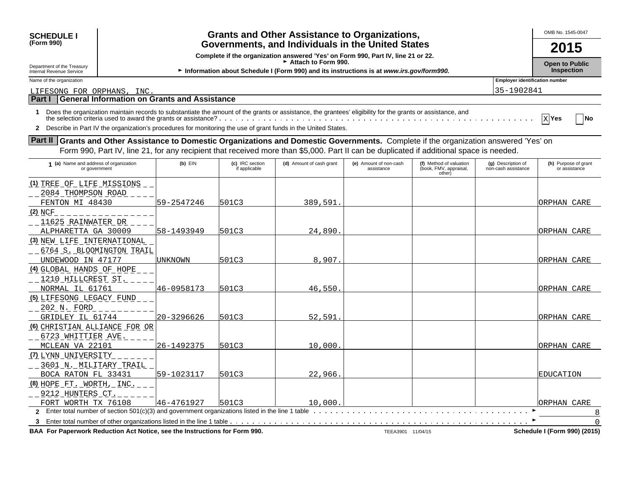| <b>SCHEDULE I</b>                                                                                                                             | <b>Grants and Other Assistance to Organizations,</b><br>(Form 990)<br>Governments, and Individuals in the United States |                                                     |                                  |                                                                                                                                                            |                                      |                                                             |                                           |                                            |  |  |  |
|-----------------------------------------------------------------------------------------------------------------------------------------------|-------------------------------------------------------------------------------------------------------------------------|-----------------------------------------------------|----------------------------------|------------------------------------------------------------------------------------------------------------------------------------------------------------|--------------------------------------|-------------------------------------------------------------|-------------------------------------------|--------------------------------------------|--|--|--|
|                                                                                                                                               |                                                                                                                         |                                                     |                                  |                                                                                                                                                            |                                      |                                                             |                                           |                                            |  |  |  |
|                                                                                                                                               | Complete if the organization answered 'Yes' on Form 990, Part IV, line 21 or 22.<br>Attach to Form 990.                 |                                                     |                                  |                                                                                                                                                            |                                      |                                                             |                                           |                                            |  |  |  |
| Department of the Treasury<br>Internal Revenue Service                                                                                        |                                                                                                                         |                                                     |                                  | Information about Schedule I (Form 990) and its instructions is at www.irs.gov/form990.                                                                    |                                      |                                                             |                                           | <b>Open to Public</b><br><b>Inspection</b> |  |  |  |
| Name of the organization                                                                                                                      |                                                                                                                         |                                                     |                                  |                                                                                                                                                            |                                      |                                                             | <b>Employer identification number</b>     |                                            |  |  |  |
| LIFESONG FOR ORPHANS, INC                                                                                                                     |                                                                                                                         |                                                     |                                  |                                                                                                                                                            |                                      |                                                             | 35-1902841                                |                                            |  |  |  |
| <b>Part I</b>                                                                                                                                 |                                                                                                                         | <b>General Information on Grants and Assistance</b> |                                  |                                                                                                                                                            |                                      |                                                             |                                           |                                            |  |  |  |
| $\mathbf 1$<br>2 Describe in Part IV the organization's procedures for monitoring the use of grant funds in the United States.                |                                                                                                                         |                                                     |                                  | Does the organization maintain records to substantiate the amount of the grants or assistance, the grantees' eligibility for the grants or assistance, and |                                      |                                                             |                                           | $X$ Yes<br> No                             |  |  |  |
| <b>Part II</b> Grants and Other Assistance to Domestic Organizations and Domestic Governments. Complete if the organization answered 'Yes' on |                                                                                                                         |                                                     |                                  |                                                                                                                                                            |                                      |                                                             |                                           |                                            |  |  |  |
|                                                                                                                                               |                                                                                                                         |                                                     |                                  | Form 990, Part IV, line 21, for any recipient that received more than \$5,000. Part II can be duplicated if additional space is needed.                    |                                      |                                                             |                                           |                                            |  |  |  |
| 1 (a) Name and address of organization<br>or government                                                                                       |                                                                                                                         | $(b)$ $EIN$                                         | (c) IRC section<br>if applicable | (d) Amount of cash grant                                                                                                                                   | (e) Amount of non-cash<br>assistance | (f) Method of valuation<br>(book, FMV, appraisal,<br>other) | (g) Description of<br>non-cash assistance | (h) Purpose of grant<br>or assistance      |  |  |  |
| (1) TREE OF LIFE MISSIONS                                                                                                                     |                                                                                                                         |                                                     |                                  |                                                                                                                                                            |                                      |                                                             |                                           |                                            |  |  |  |
| 2084 THOMPSON ROAD                                                                                                                            |                                                                                                                         |                                                     |                                  |                                                                                                                                                            |                                      |                                                             |                                           |                                            |  |  |  |
| FENTON MI 48430                                                                                                                               |                                                                                                                         | 59-2547246                                          | 501C3                            | 389,591                                                                                                                                                    |                                      |                                                             |                                           | ORPHAN CARE                                |  |  |  |
| $(2)$ NCF                                                                                                                                     |                                                                                                                         |                                                     |                                  |                                                                                                                                                            |                                      |                                                             |                                           |                                            |  |  |  |
| 11625 RAINWATER DR                                                                                                                            |                                                                                                                         |                                                     |                                  |                                                                                                                                                            |                                      |                                                             |                                           |                                            |  |  |  |
| ALPHARETTA GA 30009                                                                                                                           |                                                                                                                         | 58–1493949                                          | 501C3                            | 24,890                                                                                                                                                     |                                      |                                                             |                                           | ORPHAN CARE                                |  |  |  |
| (3) NEW LIFE INTERNATIONAL                                                                                                                    |                                                                                                                         |                                                     |                                  |                                                                                                                                                            |                                      |                                                             |                                           |                                            |  |  |  |
| 6764 S. BLOOMINGTON TRAIL                                                                                                                     |                                                                                                                         |                                                     |                                  |                                                                                                                                                            |                                      |                                                             |                                           |                                            |  |  |  |
| UNDEWOOD IN 47177                                                                                                                             |                                                                                                                         | UNKNOWN                                             | 501C3                            | 8,907                                                                                                                                                      |                                      |                                                             |                                           | ORPHAN CARE                                |  |  |  |
| (4) GLOBAL HANDS OF HOPE                                                                                                                      |                                                                                                                         |                                                     |                                  |                                                                                                                                                            |                                      |                                                             |                                           |                                            |  |  |  |
| 1210 HILLCREST ST.                                                                                                                            |                                                                                                                         |                                                     |                                  |                                                                                                                                                            |                                      |                                                             |                                           |                                            |  |  |  |
| NORMAL IL 61761                                                                                                                               |                                                                                                                         | 46-0958173                                          | 501C3                            | 46,550                                                                                                                                                     |                                      |                                                             |                                           | ORPHAN CARE                                |  |  |  |
| (5) LIFESONG LEGACY FUND                                                                                                                      |                                                                                                                         |                                                     |                                  |                                                                                                                                                            |                                      |                                                             |                                           |                                            |  |  |  |
| 202 N. FORD                                                                                                                                   |                                                                                                                         |                                                     |                                  |                                                                                                                                                            |                                      |                                                             |                                           |                                            |  |  |  |
| GRIDLEY IL 61744                                                                                                                              |                                                                                                                         | 20-3296626                                          | 501C3                            | 52,591                                                                                                                                                     |                                      |                                                             |                                           | ORPHAN CARE                                |  |  |  |
| <u>(6) CHRISTIAN ALLIANCE FOR OR</u>                                                                                                          |                                                                                                                         |                                                     |                                  |                                                                                                                                                            |                                      |                                                             |                                           |                                            |  |  |  |
| 6723 WHITTIER AVE.                                                                                                                            |                                                                                                                         |                                                     |                                  |                                                                                                                                                            |                                      |                                                             |                                           |                                            |  |  |  |
| MCLEAN VA 22101                                                                                                                               |                                                                                                                         | 26-1492375                                          | 501C3                            | 10,000                                                                                                                                                     |                                      |                                                             |                                           | ORPHAN CARE                                |  |  |  |
| (7) LYNN UNIVERSITY                                                                                                                           |                                                                                                                         |                                                     |                                  |                                                                                                                                                            |                                      |                                                             |                                           |                                            |  |  |  |
| 3601 N. MILITARY TRAIL                                                                                                                        |                                                                                                                         |                                                     |                                  |                                                                                                                                                            |                                      |                                                             |                                           |                                            |  |  |  |
| BOCA RATON FL 33431                                                                                                                           |                                                                                                                         | 59-1023117                                          | 501C3                            | 22,966                                                                                                                                                     |                                      |                                                             |                                           | <b>EDUCATION</b>                           |  |  |  |
| (8) HOPE FT. WORTH, INC.                                                                                                                      |                                                                                                                         |                                                     |                                  |                                                                                                                                                            |                                      |                                                             |                                           |                                            |  |  |  |

**2** Enter total number of section 501(c)(3) and government organizations listed in the line 1 table Content of the University Content of the University Content of the University Content of the University Content of the Un **3** Enter total number of other organizations listed in the line 1 table G FORT WORTH TX 76108 46-4761927 501C3 10,000. TORPHAN CARE

BAA For Paperwork Reduction Act Notice, see the Instructions for Form 990. The Act 104/15 **Schedule I** (Form 990) (2015)

 $-$  9212 HUNTERS CT.

8 0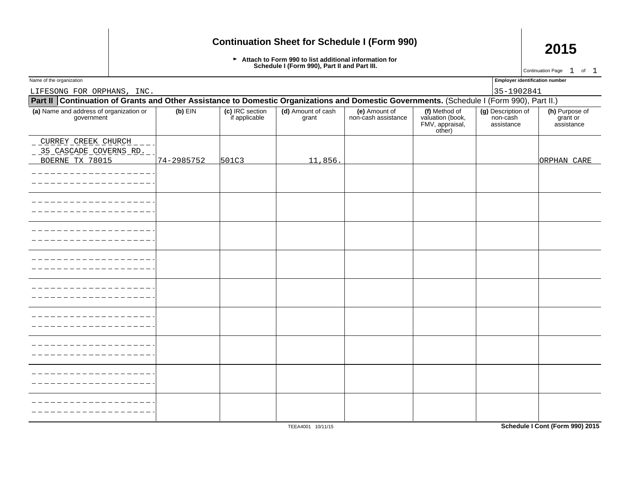## **Continuation Sheet for Schedule I (Form 990) 2015**

Attach to Form 990 to list additional information for **Schedule I (Form 990), Part II and Part III.**

Name of the organization **Employer identification number Employer identification number** 

Continuation Page  $1$  of  $1$ 

LIFESONG FOR ORPHANS, INC. 35-1902841 **Part II Continuation of Grants and Other Assistance to Domestic Organizations and Domestic Governments. (Schedule I (Form 990), Part II.) (a)** Name and address of organization or **(b)** EIN **(c)** IRC section **(d)** Amount of cash **(e)** Amount of **(f)** Method of **(g)** Description of **(h)** Purpose of government | if applicable | grant | non-cash assistance | valuation (book, | non-cash | grant or FMV, appraisal, assistance assistance other) CURREY CREEK CHURCH 35 CASCADE COVERNS RD. BOERNE TX 78015 74-2985752 501C3 11,856. -------------\_\_\_\_\_\_\_\_\_\_\_\_\_ j. j. j. <u> Liberal Liberal Liberal Communist Communist Communist Communist Communist Communist Communist Communist Communist Communist Communist Communist Communist Communist Communist Communist Communist Communist Communist Commun</u> ----------j. j. j. j. j. ---------j.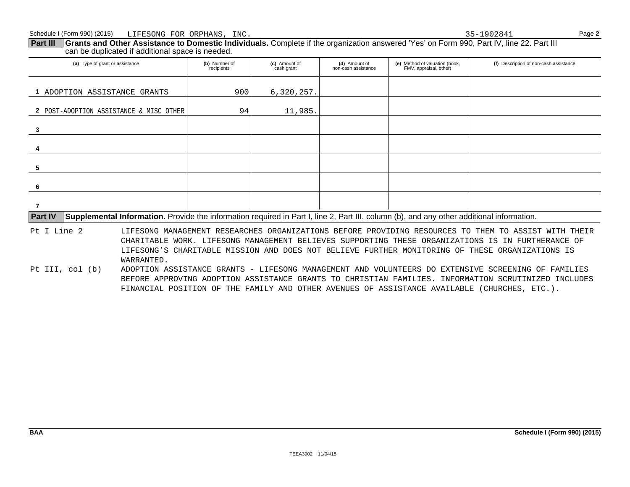**Part III** Grants and Other Assistance to Domestic Individuals. Complete if the organization answered 'Yes' on Form 990, Part IV, line 22. Part III can be duplicated if additional space is needed.

| (a) Type of grant or assistance                                                                                                                             | (b) Number of<br>recipients | (c) Amount of<br>cash grant | (d) Amount of<br>non-cash assistance | (e) Method of valuation (book,<br>FMV, appraisal, other) | (f) Description of non-cash assistance |  |  |
|-------------------------------------------------------------------------------------------------------------------------------------------------------------|-----------------------------|-----------------------------|--------------------------------------|----------------------------------------------------------|----------------------------------------|--|--|
| ADOPTION ASSISTANCE GRANTS                                                                                                                                  | 900                         | 6,320,257.                  |                                      |                                                          |                                        |  |  |
| 2 POST-ADOPTION ASSISTANCE & MISC OTHER                                                                                                                     | 94                          | 11,985.                     |                                      |                                                          |                                        |  |  |
| 3                                                                                                                                                           |                             |                             |                                      |                                                          |                                        |  |  |
|                                                                                                                                                             |                             |                             |                                      |                                                          |                                        |  |  |
| 5                                                                                                                                                           |                             |                             |                                      |                                                          |                                        |  |  |
| -6                                                                                                                                                          |                             |                             |                                      |                                                          |                                        |  |  |
|                                                                                                                                                             |                             |                             |                                      |                                                          |                                        |  |  |
| Supplemental Information. Provide the information required in Part I, line 2, Part III, column (b), and any other additional information.<br><b>Part IV</b> |                             |                             |                                      |                                                          |                                        |  |  |
| Pt I Line 2<br>LIFESONG MANAGEMENT RESEARCHES ORGANIZATIONS BEFORE PROVIDING RESOURCES TO THEM TO ASSIST WITH THEIR                                         |                             |                             |                                      |                                                          |                                        |  |  |

CHARITABLE WORK. LIFESONG MANAGEMENT BELIEVES SUPPORTING THESE ORGANIZATIONS IS IN FURTHERANCE OF LIFESONG'S CHARITABLE MISSION AND DOES NOT BELIEVE FURTHER MONITORING OF THESE ORGANIZATIONS IS WARRANTED.

Pt III, col (b) ADOPTION ASSISTANCE GRANTS - LIFESONG MANAGEMENT AND VOLUNTEERS DO EXTENSIVE SCREENING OF FAMILIES BEFORE APPROVING ADOPTION ASSISTANCE GRANTS TO CHRISTIAN FAMILIES. INFORMATION SCRUTINIZED INCLUDES FINANCIAL POSITION OF THE FAMILY AND OTHER AVENUES OF ASSISTANCE AVAILABLE (CHURCHES, ETC.).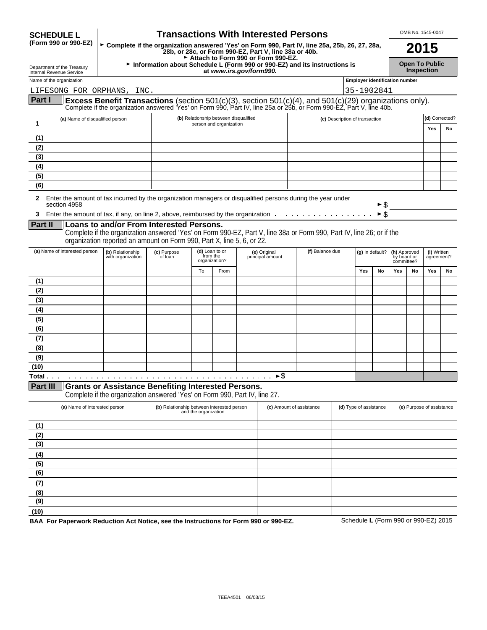| (Form 990 or 990-EZ)<br>► Complete if the organization answered 'Yes' on Form 990, Part IV, line 25a, 25b, 26, 27, 28a,<br>28b, or 28c, or Form 990-EZ, Part V, line 38a or 40b.<br>Attach to Form 990 or Form 990-EZ.<br>Information about Schedule L (Form 990 or 990-EZ) and its instructions is<br>Department of the Treasury<br>at www.irs.gov/form990.<br>Internal Revenue Service<br><b>Employer identification number</b><br>Name of the organization<br>35-1902841<br>LIFESONG FOR ORPHANS, INC.<br>Part I<br>Excess Benefit Transactions (section 501(c)(3), section 501(c)(4), and 501(c)(29) organizations only).<br>Complete if the organization answered 'Yes' on Form 990, Part IV, line 25a or 25b, or Form 990-EZ, Part V, line 40b.<br>(b) Relationship between disqualified<br>(a) Name of disqualified person<br>(c) Description of transaction<br>1<br>person and organization<br>(1)<br>(2)<br>(3)<br>(4)<br>(5)<br>(6)<br>2 Enter the amount of tax incurred by the organization managers or disqualified persons during the year under<br>► \$<br>► Ś<br>Part II<br>Loans to and/or From Interested Persons.<br>Complete if the organization answered 'Yes' on Form 990-EZ, Part V, line 38a or Form 990, Part IV, line 26; or if the<br>organization reported an amount on Form 990, Part X, line 5, 6, or 22.<br>(a) Name of interested person<br>(d) Loan to or<br>(f) Balance due<br>(b) Relationship<br>(e) Original<br>(c) Purpose<br>(g) In default?<br>(h) Approved<br>from the<br>with organization<br>principal amount<br>of loan<br>by board or<br>organization?<br>committee?<br>To<br>From<br>Yes<br>No<br>Yes<br>(1)<br>(2)<br>(3)<br>(4)<br>(5)<br>(6)<br>(7)<br>(8)<br>(9)<br>(10)<br>►\$<br>Total<br><b>Part III</b><br><b>Grants or Assistance Benefiting Interested Persons.</b><br>Complete if the organization answered 'Yes' on Form 990, Part IV, line 27.<br>(a) Name of interested person<br>(b) Relationship between interested person<br>(c) Amount of assistance<br>(d) Type of assistance<br>and the organization<br>(1)<br>(2)<br>(3)<br>(4)<br>(5) | <b>SCHEDULE L</b> |  |  |  |  |  | <b>Transactions With Interested Persons</b> |  |  |      |  |                   | OMB No. 1545-0047         |    |
|-----------------------------------------------------------------------------------------------------------------------------------------------------------------------------------------------------------------------------------------------------------------------------------------------------------------------------------------------------------------------------------------------------------------------------------------------------------------------------------------------------------------------------------------------------------------------------------------------------------------------------------------------------------------------------------------------------------------------------------------------------------------------------------------------------------------------------------------------------------------------------------------------------------------------------------------------------------------------------------------------------------------------------------------------------------------------------------------------------------------------------------------------------------------------------------------------------------------------------------------------------------------------------------------------------------------------------------------------------------------------------------------------------------------------------------------------------------------------------------------------------------------------------------------------------------------------------------------------------------------------------------------------------------------------------------------------------------------------------------------------------------------------------------------------------------------------------------------------------------------------------------------------------------------------------------------------------------------------------------------------------------------------------------------------------------------------------------------------------------|-------------------|--|--|--|--|--|---------------------------------------------|--|--|------|--|-------------------|---------------------------|----|
|                                                                                                                                                                                                                                                                                                                                                                                                                                                                                                                                                                                                                                                                                                                                                                                                                                                                                                                                                                                                                                                                                                                                                                                                                                                                                                                                                                                                                                                                                                                                                                                                                                                                                                                                                                                                                                                                                                                                                                                                                                                                                                           |                   |  |  |  |  |  |                                             |  |  | 2015 |  |                   |                           |    |
|                                                                                                                                                                                                                                                                                                                                                                                                                                                                                                                                                                                                                                                                                                                                                                                                                                                                                                                                                                                                                                                                                                                                                                                                                                                                                                                                                                                                                                                                                                                                                                                                                                                                                                                                                                                                                                                                                                                                                                                                                                                                                                           |                   |  |  |  |  |  |                                             |  |  |      |  | <b>Inspection</b> | <b>Open To Public</b>     |    |
|                                                                                                                                                                                                                                                                                                                                                                                                                                                                                                                                                                                                                                                                                                                                                                                                                                                                                                                                                                                                                                                                                                                                                                                                                                                                                                                                                                                                                                                                                                                                                                                                                                                                                                                                                                                                                                                                                                                                                                                                                                                                                                           |                   |  |  |  |  |  |                                             |  |  |      |  |                   |                           |    |
|                                                                                                                                                                                                                                                                                                                                                                                                                                                                                                                                                                                                                                                                                                                                                                                                                                                                                                                                                                                                                                                                                                                                                                                                                                                                                                                                                                                                                                                                                                                                                                                                                                                                                                                                                                                                                                                                                                                                                                                                                                                                                                           |                   |  |  |  |  |  |                                             |  |  |      |  |                   |                           |    |
|                                                                                                                                                                                                                                                                                                                                                                                                                                                                                                                                                                                                                                                                                                                                                                                                                                                                                                                                                                                                                                                                                                                                                                                                                                                                                                                                                                                                                                                                                                                                                                                                                                                                                                                                                                                                                                                                                                                                                                                                                                                                                                           |                   |  |  |  |  |  |                                             |  |  |      |  |                   |                           |    |
|                                                                                                                                                                                                                                                                                                                                                                                                                                                                                                                                                                                                                                                                                                                                                                                                                                                                                                                                                                                                                                                                                                                                                                                                                                                                                                                                                                                                                                                                                                                                                                                                                                                                                                                                                                                                                                                                                                                                                                                                                                                                                                           |                   |  |  |  |  |  |                                             |  |  |      |  |                   | (d) Corrected?<br>Yes     | No |
|                                                                                                                                                                                                                                                                                                                                                                                                                                                                                                                                                                                                                                                                                                                                                                                                                                                                                                                                                                                                                                                                                                                                                                                                                                                                                                                                                                                                                                                                                                                                                                                                                                                                                                                                                                                                                                                                                                                                                                                                                                                                                                           |                   |  |  |  |  |  |                                             |  |  |      |  |                   |                           |    |
|                                                                                                                                                                                                                                                                                                                                                                                                                                                                                                                                                                                                                                                                                                                                                                                                                                                                                                                                                                                                                                                                                                                                                                                                                                                                                                                                                                                                                                                                                                                                                                                                                                                                                                                                                                                                                                                                                                                                                                                                                                                                                                           |                   |  |  |  |  |  |                                             |  |  |      |  |                   |                           |    |
|                                                                                                                                                                                                                                                                                                                                                                                                                                                                                                                                                                                                                                                                                                                                                                                                                                                                                                                                                                                                                                                                                                                                                                                                                                                                                                                                                                                                                                                                                                                                                                                                                                                                                                                                                                                                                                                                                                                                                                                                                                                                                                           |                   |  |  |  |  |  |                                             |  |  |      |  |                   |                           |    |
|                                                                                                                                                                                                                                                                                                                                                                                                                                                                                                                                                                                                                                                                                                                                                                                                                                                                                                                                                                                                                                                                                                                                                                                                                                                                                                                                                                                                                                                                                                                                                                                                                                                                                                                                                                                                                                                                                                                                                                                                                                                                                                           |                   |  |  |  |  |  |                                             |  |  |      |  |                   |                           |    |
|                                                                                                                                                                                                                                                                                                                                                                                                                                                                                                                                                                                                                                                                                                                                                                                                                                                                                                                                                                                                                                                                                                                                                                                                                                                                                                                                                                                                                                                                                                                                                                                                                                                                                                                                                                                                                                                                                                                                                                                                                                                                                                           |                   |  |  |  |  |  |                                             |  |  |      |  |                   |                           |    |
|                                                                                                                                                                                                                                                                                                                                                                                                                                                                                                                                                                                                                                                                                                                                                                                                                                                                                                                                                                                                                                                                                                                                                                                                                                                                                                                                                                                                                                                                                                                                                                                                                                                                                                                                                                                                                                                                                                                                                                                                                                                                                                           |                   |  |  |  |  |  |                                             |  |  |      |  |                   |                           |    |
|                                                                                                                                                                                                                                                                                                                                                                                                                                                                                                                                                                                                                                                                                                                                                                                                                                                                                                                                                                                                                                                                                                                                                                                                                                                                                                                                                                                                                                                                                                                                                                                                                                                                                                                                                                                                                                                                                                                                                                                                                                                                                                           |                   |  |  |  |  |  |                                             |  |  |      |  |                   |                           |    |
|                                                                                                                                                                                                                                                                                                                                                                                                                                                                                                                                                                                                                                                                                                                                                                                                                                                                                                                                                                                                                                                                                                                                                                                                                                                                                                                                                                                                                                                                                                                                                                                                                                                                                                                                                                                                                                                                                                                                                                                                                                                                                                           |                   |  |  |  |  |  |                                             |  |  |      |  |                   |                           |    |
|                                                                                                                                                                                                                                                                                                                                                                                                                                                                                                                                                                                                                                                                                                                                                                                                                                                                                                                                                                                                                                                                                                                                                                                                                                                                                                                                                                                                                                                                                                                                                                                                                                                                                                                                                                                                                                                                                                                                                                                                                                                                                                           |                   |  |  |  |  |  |                                             |  |  |      |  |                   |                           |    |
|                                                                                                                                                                                                                                                                                                                                                                                                                                                                                                                                                                                                                                                                                                                                                                                                                                                                                                                                                                                                                                                                                                                                                                                                                                                                                                                                                                                                                                                                                                                                                                                                                                                                                                                                                                                                                                                                                                                                                                                                                                                                                                           |                   |  |  |  |  |  |                                             |  |  |      |  |                   | (i) Written<br>agreement? |    |
|                                                                                                                                                                                                                                                                                                                                                                                                                                                                                                                                                                                                                                                                                                                                                                                                                                                                                                                                                                                                                                                                                                                                                                                                                                                                                                                                                                                                                                                                                                                                                                                                                                                                                                                                                                                                                                                                                                                                                                                                                                                                                                           |                   |  |  |  |  |  |                                             |  |  |      |  | No                | Yes                       | No |
|                                                                                                                                                                                                                                                                                                                                                                                                                                                                                                                                                                                                                                                                                                                                                                                                                                                                                                                                                                                                                                                                                                                                                                                                                                                                                                                                                                                                                                                                                                                                                                                                                                                                                                                                                                                                                                                                                                                                                                                                                                                                                                           |                   |  |  |  |  |  |                                             |  |  |      |  |                   |                           |    |
|                                                                                                                                                                                                                                                                                                                                                                                                                                                                                                                                                                                                                                                                                                                                                                                                                                                                                                                                                                                                                                                                                                                                                                                                                                                                                                                                                                                                                                                                                                                                                                                                                                                                                                                                                                                                                                                                                                                                                                                                                                                                                                           |                   |  |  |  |  |  |                                             |  |  |      |  |                   |                           |    |
|                                                                                                                                                                                                                                                                                                                                                                                                                                                                                                                                                                                                                                                                                                                                                                                                                                                                                                                                                                                                                                                                                                                                                                                                                                                                                                                                                                                                                                                                                                                                                                                                                                                                                                                                                                                                                                                                                                                                                                                                                                                                                                           |                   |  |  |  |  |  |                                             |  |  |      |  |                   |                           |    |
|                                                                                                                                                                                                                                                                                                                                                                                                                                                                                                                                                                                                                                                                                                                                                                                                                                                                                                                                                                                                                                                                                                                                                                                                                                                                                                                                                                                                                                                                                                                                                                                                                                                                                                                                                                                                                                                                                                                                                                                                                                                                                                           |                   |  |  |  |  |  |                                             |  |  |      |  |                   |                           |    |
|                                                                                                                                                                                                                                                                                                                                                                                                                                                                                                                                                                                                                                                                                                                                                                                                                                                                                                                                                                                                                                                                                                                                                                                                                                                                                                                                                                                                                                                                                                                                                                                                                                                                                                                                                                                                                                                                                                                                                                                                                                                                                                           |                   |  |  |  |  |  |                                             |  |  |      |  |                   |                           |    |
|                                                                                                                                                                                                                                                                                                                                                                                                                                                                                                                                                                                                                                                                                                                                                                                                                                                                                                                                                                                                                                                                                                                                                                                                                                                                                                                                                                                                                                                                                                                                                                                                                                                                                                                                                                                                                                                                                                                                                                                                                                                                                                           |                   |  |  |  |  |  |                                             |  |  |      |  |                   |                           |    |
|                                                                                                                                                                                                                                                                                                                                                                                                                                                                                                                                                                                                                                                                                                                                                                                                                                                                                                                                                                                                                                                                                                                                                                                                                                                                                                                                                                                                                                                                                                                                                                                                                                                                                                                                                                                                                                                                                                                                                                                                                                                                                                           |                   |  |  |  |  |  |                                             |  |  |      |  |                   |                           |    |
|                                                                                                                                                                                                                                                                                                                                                                                                                                                                                                                                                                                                                                                                                                                                                                                                                                                                                                                                                                                                                                                                                                                                                                                                                                                                                                                                                                                                                                                                                                                                                                                                                                                                                                                                                                                                                                                                                                                                                                                                                                                                                                           |                   |  |  |  |  |  |                                             |  |  |      |  |                   |                           |    |
|                                                                                                                                                                                                                                                                                                                                                                                                                                                                                                                                                                                                                                                                                                                                                                                                                                                                                                                                                                                                                                                                                                                                                                                                                                                                                                                                                                                                                                                                                                                                                                                                                                                                                                                                                                                                                                                                                                                                                                                                                                                                                                           |                   |  |  |  |  |  |                                             |  |  |      |  |                   |                           |    |
|                                                                                                                                                                                                                                                                                                                                                                                                                                                                                                                                                                                                                                                                                                                                                                                                                                                                                                                                                                                                                                                                                                                                                                                                                                                                                                                                                                                                                                                                                                                                                                                                                                                                                                                                                                                                                                                                                                                                                                                                                                                                                                           |                   |  |  |  |  |  |                                             |  |  |      |  |                   |                           |    |
|                                                                                                                                                                                                                                                                                                                                                                                                                                                                                                                                                                                                                                                                                                                                                                                                                                                                                                                                                                                                                                                                                                                                                                                                                                                                                                                                                                                                                                                                                                                                                                                                                                                                                                                                                                                                                                                                                                                                                                                                                                                                                                           |                   |  |  |  |  |  |                                             |  |  |      |  |                   | (e) Purpose of assistance |    |
|                                                                                                                                                                                                                                                                                                                                                                                                                                                                                                                                                                                                                                                                                                                                                                                                                                                                                                                                                                                                                                                                                                                                                                                                                                                                                                                                                                                                                                                                                                                                                                                                                                                                                                                                                                                                                                                                                                                                                                                                                                                                                                           |                   |  |  |  |  |  |                                             |  |  |      |  |                   |                           |    |
|                                                                                                                                                                                                                                                                                                                                                                                                                                                                                                                                                                                                                                                                                                                                                                                                                                                                                                                                                                                                                                                                                                                                                                                                                                                                                                                                                                                                                                                                                                                                                                                                                                                                                                                                                                                                                                                                                                                                                                                                                                                                                                           |                   |  |  |  |  |  |                                             |  |  |      |  |                   |                           |    |
|                                                                                                                                                                                                                                                                                                                                                                                                                                                                                                                                                                                                                                                                                                                                                                                                                                                                                                                                                                                                                                                                                                                                                                                                                                                                                                                                                                                                                                                                                                                                                                                                                                                                                                                                                                                                                                                                                                                                                                                                                                                                                                           |                   |  |  |  |  |  |                                             |  |  |      |  |                   |                           |    |
|                                                                                                                                                                                                                                                                                                                                                                                                                                                                                                                                                                                                                                                                                                                                                                                                                                                                                                                                                                                                                                                                                                                                                                                                                                                                                                                                                                                                                                                                                                                                                                                                                                                                                                                                                                                                                                                                                                                                                                                                                                                                                                           |                   |  |  |  |  |  |                                             |  |  |      |  |                   |                           |    |
|                                                                                                                                                                                                                                                                                                                                                                                                                                                                                                                                                                                                                                                                                                                                                                                                                                                                                                                                                                                                                                                                                                                                                                                                                                                                                                                                                                                                                                                                                                                                                                                                                                                                                                                                                                                                                                                                                                                                                                                                                                                                                                           |                   |  |  |  |  |  |                                             |  |  |      |  |                   |                           |    |
| (6)<br>(7)                                                                                                                                                                                                                                                                                                                                                                                                                                                                                                                                                                                                                                                                                                                                                                                                                                                                                                                                                                                                                                                                                                                                                                                                                                                                                                                                                                                                                                                                                                                                                                                                                                                                                                                                                                                                                                                                                                                                                                                                                                                                                                |                   |  |  |  |  |  |                                             |  |  |      |  |                   |                           |    |

**(10) BAA For Paperwork Reduction Act Notice, see the Instructions for Form 990 or 990-EZ.** Schedule **L** (Form 990 or 990-EZ) 2015

**(8) (9)**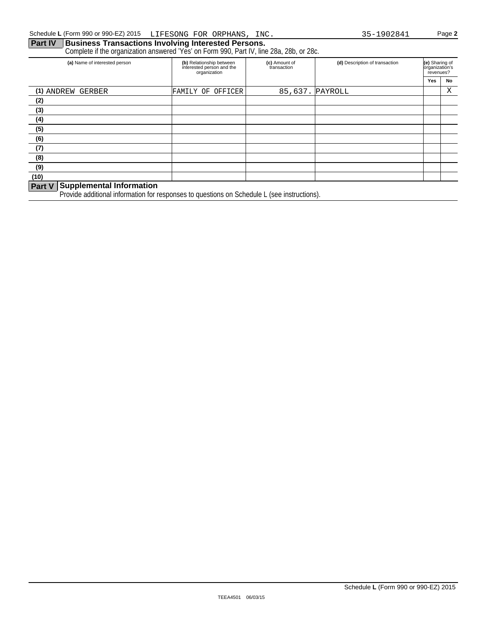### **Part IV | Business Transactions Involving Interested Persons.**

Complete if the organization answered 'Yes' on Form 990, Part IV, line 28a, 28b, or 28c.

| (a) Name of interested person           | (b) Relationship between<br>interested person and the<br>organization | (c) Amount of<br>transaction | (d) Description of transaction | (e) Sharing of<br>organization's<br>revenues? |    |
|-----------------------------------------|-----------------------------------------------------------------------|------------------------------|--------------------------------|-----------------------------------------------|----|
|                                         |                                                                       |                              |                                | Yes                                           | No |
| (1) ANDREW GERBER                       | FAMILY OF OFFICER                                                     | 85,637. PAYROLL              |                                |                                               | Χ  |
| (2)                                     |                                                                       |                              |                                |                                               |    |
| (3)                                     |                                                                       |                              |                                |                                               |    |
| (4)                                     |                                                                       |                              |                                |                                               |    |
| (5)                                     |                                                                       |                              |                                |                                               |    |
| (6)                                     |                                                                       |                              |                                |                                               |    |
| (7)                                     |                                                                       |                              |                                |                                               |    |
| (8)                                     |                                                                       |                              |                                |                                               |    |
| (9)                                     |                                                                       |                              |                                |                                               |    |
| (10)                                    |                                                                       |                              |                                |                                               |    |
| <b>Deal V. Supplemental Information</b> |                                                                       |                              |                                |                                               |    |

#### **Part V Supplemental Information**

Provide additional information for responses to questions on Schedule L (see instructions).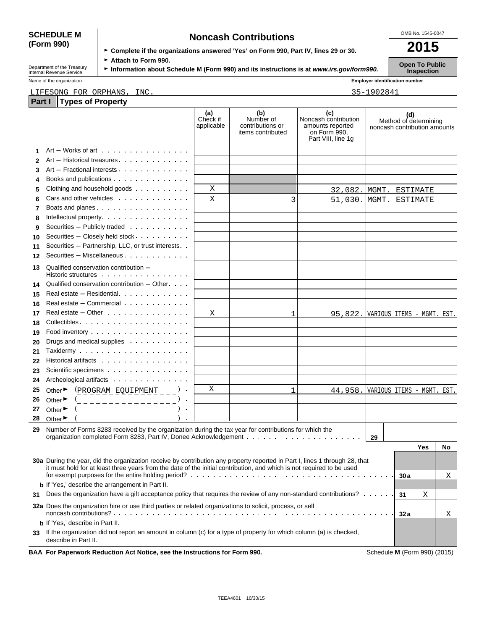## **(Form 990)**

| <b>SCHEDULE M</b> | <b>Noncash Contributions</b>                                                         | OMB No. 1545-0047 |
|-------------------|--------------------------------------------------------------------------------------|-------------------|
| (Form 990)        |                                                                                      | 2015              |
|                   | ► Complete if the organizations answered 'Yes' on Form 990, Part IV, lines 29 or 30. |                   |

Department of the Treasury **Fattach to Form 990.**<br>Information about Schedule M (Form 990) and its instructions is at *www.irs.gov/form990.* Inspection Inspection

Name of the organization **and the control of the organization Employer identification number Employer identification number** 

#### LIFESONG FOR ORPHANS, INC. 2008 2010 12:00 2012 135-1902841

| Part I | <b>Types of Property</b>                                                                                                    |                               |                                                           |                                                                                       |                              |     |                       |    |
|--------|-----------------------------------------------------------------------------------------------------------------------------|-------------------------------|-----------------------------------------------------------|---------------------------------------------------------------------------------------|------------------------------|-----|-----------------------|----|
|        |                                                                                                                             | (a)<br>Check if<br>applicable | (b)<br>Number of<br>contributions or<br>items contributed | (c)<br>Noncash contribution<br>amounts reported<br>on Form 990,<br>Part VIII, line 1g | noncash contribution amounts | (d) | Method of determining |    |
| 1      | $Art - Works$ of art $\ldots \ldots \ldots \ldots$                                                                          |                               |                                                           |                                                                                       |                              |     |                       |    |
| 2      | Art - Historical treasures                                                                                                  |                               |                                                           |                                                                                       |                              |     |                       |    |
| 3      | Art - Fractional interests                                                                                                  |                               |                                                           |                                                                                       |                              |     |                       |    |
| 4      | Books and publications                                                                                                      |                               |                                                           |                                                                                       |                              |     |                       |    |
| 5      | Clothing and household goods                                                                                                | Χ                             |                                                           | 32,082. MGMT. ESTIMATE                                                                |                              |     |                       |    |
| 6      | Cars and other vehicles                                                                                                     | X                             | 3                                                         | 51,030. MGMT.                                                                         |                              |     | ESTIMATE              |    |
| 7      | Boats and planes                                                                                                            |                               |                                                           |                                                                                       |                              |     |                       |    |
| 8      |                                                                                                                             |                               |                                                           |                                                                                       |                              |     |                       |    |
| 9      | Securities - Publicly traded                                                                                                |                               |                                                           |                                                                                       |                              |     |                       |    |
| 10     | Securities - Closely held stock                                                                                             |                               |                                                           |                                                                                       |                              |     |                       |    |
| 11     | Securities - Partnership, LLC, or trust interests                                                                           |                               |                                                           |                                                                                       |                              |     |                       |    |
| 12     | Securities - Miscellaneous                                                                                                  |                               |                                                           |                                                                                       |                              |     |                       |    |
|        |                                                                                                                             |                               |                                                           |                                                                                       |                              |     |                       |    |
| 13     | Qualified conservation contribution -<br>Historic structures                                                                |                               |                                                           |                                                                                       |                              |     |                       |    |
|        | Qualified conservation contribution $-$ Other $\cdots$                                                                      |                               |                                                           |                                                                                       |                              |     |                       |    |
| 14     | Real estate - Residential                                                                                                   |                               |                                                           |                                                                                       |                              |     |                       |    |
| 15     | Real estate - Commercial                                                                                                    |                               |                                                           |                                                                                       |                              |     |                       |    |
| 16     |                                                                                                                             |                               |                                                           |                                                                                       |                              |     |                       |    |
| 17     | Real estate $-$ Other $\cdots$ $\cdots$ $\cdots$ $\cdots$                                                                   | X                             | 1                                                         | 95,822. VARIOUS ITEMS - MGMT. EST.                                                    |                              |     |                       |    |
| 18     |                                                                                                                             |                               |                                                           |                                                                                       |                              |     |                       |    |
| 19     |                                                                                                                             |                               |                                                           |                                                                                       |                              |     |                       |    |
| 20     | Drugs and medical supplies                                                                                                  |                               |                                                           |                                                                                       |                              |     |                       |    |
| 21     |                                                                                                                             |                               |                                                           |                                                                                       |                              |     |                       |    |
| 22     | Historical artifacts                                                                                                        |                               |                                                           |                                                                                       |                              |     |                       |    |
| 23     | Scientific specimens                                                                                                        |                               |                                                           |                                                                                       |                              |     |                       |    |
| 24     | Archeological artifacts                                                                                                     |                               |                                                           |                                                                                       |                              |     |                       |    |
| 25     | $(PROGRAM_EQUIPMENT_$<br>Other $\blacktriangleright$                                                                        | Χ                             | 1                                                         | 44, 958. VARIOUS ITEMS - MGMT. EST.                                                   |                              |     |                       |    |
| 26     | Other $\blacktriangleright$<br>(_ _ _ _ _ _ _ _ _ _ _ _ _ _ _ _                                                             |                               |                                                           |                                                                                       |                              |     |                       |    |
| 27     | Other ▶                                                                                                                     |                               |                                                           |                                                                                       |                              |     |                       |    |
| 28     | Other $\blacktriangleright$                                                                                                 |                               |                                                           |                                                                                       |                              |     |                       |    |
| 29     | Number of Forms 8283 received by the organization during the tax year for contributions for which the                       |                               |                                                           |                                                                                       |                              |     |                       |    |
|        |                                                                                                                             |                               |                                                           |                                                                                       | 29                           |     |                       |    |
|        |                                                                                                                             |                               |                                                           |                                                                                       |                              |     | Yes                   | No |
|        | 30a During the year, did the organization receive by contribution any property reported in Part I, lines 1 through 28, that |                               |                                                           |                                                                                       |                              |     |                       |    |
|        | it must hold for at least three years from the date of the initial contribution, and which is not required to be used       |                               |                                                           |                                                                                       |                              |     |                       |    |
|        |                                                                                                                             |                               |                                                           |                                                                                       |                              | 30a |                       | X  |
|        | <b>b</b> If 'Yes,' describe the arrangement in Part II.                                                                     |                               |                                                           |                                                                                       |                              |     |                       |    |
| 31     | Does the organization have a gift acceptance policy that requires the review of any non-standard contributions?             |                               |                                                           |                                                                                       |                              | 31  | Χ                     |    |
|        | <b>32a</b> Does the organization hire or use third parties or related organizations to solicit, process, or sell            |                               |                                                           |                                                                                       |                              | 32a |                       | Χ  |
|        | <b>b</b> If 'Yes,' describe in Part II.                                                                                     |                               |                                                           |                                                                                       |                              |     |                       |    |
| 33     | If the organization did not report an amount in column (c) for a type of property for which column (a) is checked,          |                               |                                                           |                                                                                       |                              |     |                       |    |
|        | describe in Part II.                                                                                                        |                               |                                                           |                                                                                       |                              |     |                       |    |
|        | BAA For Paperwork Reduction Act Notice, see the Instructions for Form 990.                                                  |                               |                                                           |                                                                                       | Schedule M (Form 990) (2015) |     |                       |    |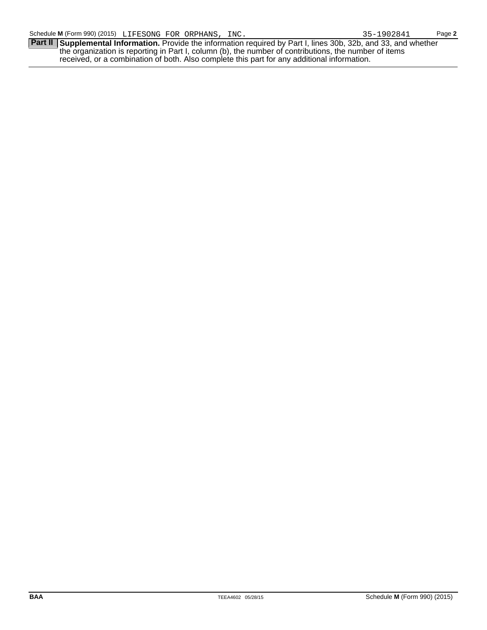**Part II** Supplemental Information. Provide the information required by Part I, lines 30b, 32b, and 33, and whether the organization is reporting in Part I, column (b), the number of contributions, the number of items received, or a combination of both. Also complete this part for any additional information.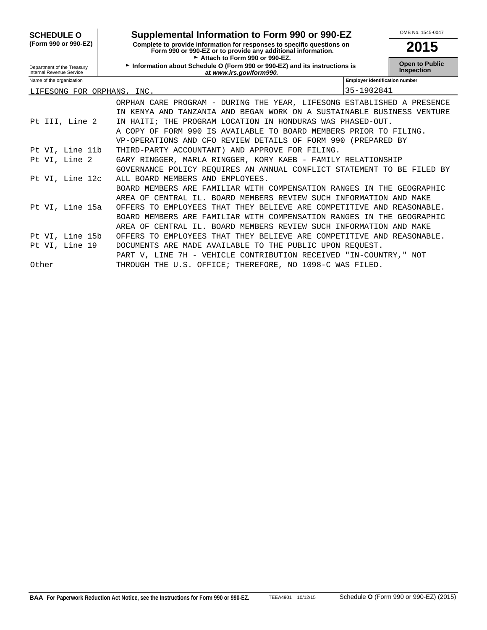| <b>SCHEDULE O</b>                                      | Supplemental Information to Form 990 or 990-EZ                                                                                                                          |                                       | OMB No. 1545-0047                          |
|--------------------------------------------------------|-------------------------------------------------------------------------------------------------------------------------------------------------------------------------|---------------------------------------|--------------------------------------------|
| (Form 990 or 990-EZ)                                   | Complete to provide information for responses to specific questions on<br>Form 990 or 990-EZ or to provide any additional information.<br>Attach to Form 990 or 990-EZ. |                                       | 2015                                       |
| Department of the Treasury<br>Internal Revenue Service | Information about Schedule O (Form 990 or 990-EZ) and its instructions is<br>at www.irs.gov/form990.                                                                    |                                       | <b>Open to Public</b><br><b>Inspection</b> |
| Name of the organization                               |                                                                                                                                                                         | <b>Emplover identification number</b> |                                            |
| LIFESONG FOR ORPHANS,                                  | INC.                                                                                                                                                                    | 35-1902841                            |                                            |
|                                                        | ORPHAN CARE PROGRAM - DURING THE YEAR, LIFESONG ESTABLISHED A PRESENCE                                                                                                  |                                       |                                            |
|                                                        | KENYA AND TANZANIA AND BEGAN WORK ON A SUSTAINABLE BUSINESS VENTURE                                                                                                     |                                       |                                            |
| Pt III, Line 2                                         | THE PROGRAM LOCATION IN HONDURAS WAS PHASED-OUT.<br>HATTT;<br>ΤN                                                                                                        |                                       |                                            |
|                                                        | A COPY OF<br>FORM 990 IS AVAILABLE TO BOARD MEMBERS PRIOR TO FILING.                                                                                                    |                                       |                                            |
|                                                        | VP-OPERATIONS AND CFO REVIEW DETAILS OF FORM 990                                                                                                                        | (PREPARED BY)                         |                                            |
| Pt VI, Line 11b                                        | THIRD-PARTY ACCOUNTANT) AND APPROVE FOR FILING.                                                                                                                         |                                       |                                            |
| Pt VI, Line 2                                          | GARY RINGGER, MARLA RINGGER, KORY KAEB - FAMILY RELATIONSHIP                                                                                                            |                                       |                                            |
|                                                        | GOVERNANCE POLICY REOUIRES AN ANNUAL CONFLICT STATEMENT TO BE FILED BY                                                                                                  |                                       |                                            |
| Pt VI, Line 12c                                        | ALL BOARD MEMBERS AND EMPLOYEES.                                                                                                                                        |                                       |                                            |
|                                                        | BOARD MEMBERS ARE FAMILIAR WITH COMPENSATION RANGES IN THE GEOGRAPHIC                                                                                                   |                                       |                                            |
|                                                        | AREA OF CENTRAL IL. BOARD MEMBERS REVIEW SUCH INFORMATION AND MAKE                                                                                                      |                                       |                                            |
| Pt VI, Line 15a                                        | OFFERS TO EMPLOYEES THAT THEY BELIEVE ARE COMPETITIVE AND                                                                                                               |                                       | REASONABLE.                                |
|                                                        | MEMBERS ARE FAMILIAR WITH COMPENSATION RANGES IN THE<br><b>BOARD</b>                                                                                                    |                                       | GEOGRAPHIC                                 |
|                                                        | CENTRAL IL. BOARD MEMBERS REVIEW SUCH INFORMATION AND MAKE<br>AREA OF                                                                                                   |                                       |                                            |
| Pt VI, Line 15b                                        | THAT THEY BELIEVE ARE COMPETITIVE AND<br>OFFERS TO<br>EMPLOYEES                                                                                                         |                                       | REASONABLE.                                |
| Pt VI, Line 19                                         | ARE MADE AVAILABLE TO THE PUBLIC UPON REOUEST.<br><b>DOCUMENTS</b>                                                                                                      |                                       |                                            |
|                                                        | 7H - VEHICLE CONTRIBUTION RECEIVED "IN-COUNTRY," NOT<br>PART V. LINE                                                                                                    |                                       |                                            |
| Other                                                  | THROUGH THE U.S. OFFICE; THEREFORE, NO 1098-C WAS FILED.                                                                                                                |                                       |                                            |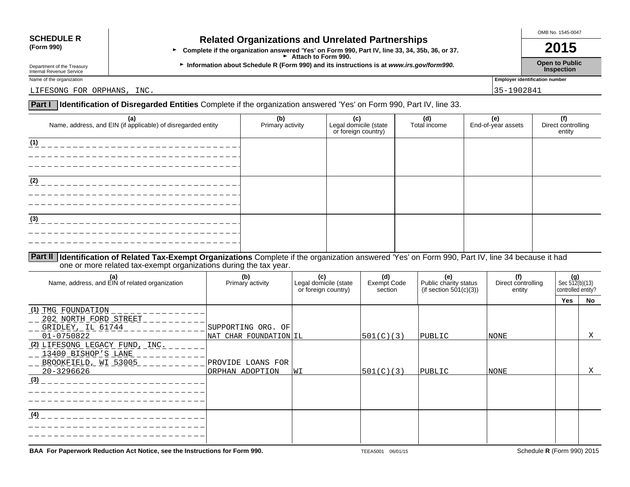### **SCHEDULE R Related Organizations and Unrelated Partnerships**<br>(Form 990) **Related Organizations and Unrelated Partnerships**

**•** Complete if the organization answered 'Yes' on Form 990, Part IV, line 33, 34, 35b, 36, or 37. **2015** Attach to Form 990.

Department of the Treasury **Information about Schedule R (Form 990) and its instructions is at** *www.irs.gov/form990.* **Open to Public inspection<br>Internal Revenue Service <b>Inspection** Department of the Treasury<br>Internal Revenue Service **Inspection**<br>Internal Revenue Service **Inspection** 

OMB No. 1545-0047

Name of the organization **Employer identification number** 

LIFESONG FOR ORPHANS, INC. 2002/04/12 and 2003/04/2012 135-1902/04/2012 135-1902/04/135-1902

**Part I Identification of Disregarded Entities** Complete if the organization answered 'Yes' on Form 990, Part IV, line 33.

| (a)<br>Name, address, and EIN (if applicable) of disregarded entity | (b)<br>Primary activity | (c)<br>Legal domicile (state<br>or foreign country) | (d)<br>Total income | (e)<br>End-of-year assets | (f)<br>I Direct controlling<br>entity |
|---------------------------------------------------------------------|-------------------------|-----------------------------------------------------|---------------------|---------------------------|---------------------------------------|
| (1)                                                                 |                         |                                                     |                     |                           |                                       |
| (2)                                                                 |                         |                                                     |                     |                           |                                       |
| (3)                                                                 |                         |                                                     |                     |                           |                                       |
|                                                                     |                         |                                                     |                     |                           |                                       |

**Part II Identification of Related Tax-Exempt Organizations** Complete if the organization answered 'Yes' on Form 990, Part IV, line 34 because it had one or more related tax-exempt organizations during the tax year.

| (a)<br>Name, address, and EIN of related organization                                              | (b)<br>Primary activity              | (c)<br>Legal domicile (state<br>or foreign country) | (d)<br>Exempt Code<br>section | (e)<br>Public charity status<br>(if section $501(c)(3)$ ) | (f)<br>Direct controlling<br>entity | Sec $\frac{(g)}{512(b)(13)}$<br>controlled entity? |    |
|----------------------------------------------------------------------------------------------------|--------------------------------------|-----------------------------------------------------|-------------------------------|-----------------------------------------------------------|-------------------------------------|----------------------------------------------------|----|
|                                                                                                    |                                      |                                                     |                               |                                                           |                                     | Yes                                                | No |
| (1) TMG FOUNDATION<br>202 NORTH FORD STREET<br>GRIDLEY, IL 61744                                   | SUPPORTING ORG. OF                   |                                                     |                               |                                                           |                                     |                                                    |    |
| 01-0750822                                                                                         | NAT CHAR FOUNDATION IL               |                                                     | 501(C)(3)                     | PUBLIC                                                    | NONE                                |                                                    | Χ  |
| (2) LIFESONG LEGACY FUND, INC.<br>13400 BISHOP'S LANE<br>BROOKFIELD, WI 53005<br>20-3296626<br>(3) | PROVIDE LOANS FOR<br>ORPHAN ADOPTION | WI                                                  | 501(C)(3)                     | PUBLIC                                                    | <b>NONE</b>                         |                                                    | Χ  |
| (4)                                                                                                |                                      |                                                     |                               |                                                           |                                     |                                                    |    |

**BAA For Paperwork Reduction Act Notice, see the Instructions for Form 990.** TEEA5001 06/01/15 TEEA5001 06/01/15 Schedule **R** (Form 990) 2015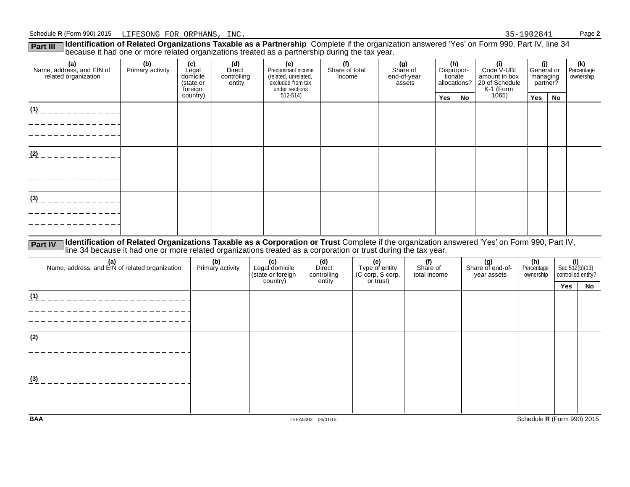Part III Ildentification of Related Organizations Taxable as a Partnership Complete if the organization answered 'Yes' on Form 990, Part IV, line 34<br>because it had one or more related organizations treated as a partnership

| (a)<br>Name, address, and EIN of<br>related organization | (b)<br>Primary activity | (c)<br>Legal<br>domicile<br>(state or<br>foreign | (d)<br>Direct<br>controlling<br>entity | (e)<br>Predominant income<br>(related, unrelated,<br>excluded from tax<br>under sections | (f)<br>Share of total<br>income | (g)<br>Share of<br>end-of-year<br>assets | (h)<br>Dispropor-<br>tionate<br>allocations? |           | (i)<br>Code V-UBI<br>amount in box<br>20 of Schedule<br>K-1 (Form<br>1065) |     | (j)<br>General or<br>managing<br>partner? | (k)<br>Percentage<br>ownership |
|----------------------------------------------------------|-------------------------|--------------------------------------------------|----------------------------------------|------------------------------------------------------------------------------------------|---------------------------------|------------------------------------------|----------------------------------------------|-----------|----------------------------------------------------------------------------|-----|-------------------------------------------|--------------------------------|
|                                                          |                         | country)                                         |                                        | 512-514)                                                                                 |                                 |                                          | <b>Yes</b>                                   | <b>No</b> |                                                                            | Yes | No                                        |                                |
| (1)                                                      |                         |                                                  |                                        |                                                                                          |                                 |                                          |                                              |           |                                                                            |     |                                           |                                |
| (2)                                                      |                         |                                                  |                                        |                                                                                          |                                 |                                          |                                              |           |                                                                            |     |                                           |                                |
| (3)                                                      |                         |                                                  |                                        |                                                                                          |                                 |                                          |                                              |           |                                                                            |     |                                           |                                |

Part IV Identification of Related Organizations Taxable as a Corporation or Trust Complete if the organization answered 'Yes' on Form 990, Part IV,<br>line 34 because it had one or more related organizations treated as a corp

| (a)<br>Name, address, and EIN of related organization | (b)<br>Primary activity | (c)<br>Legal domicile<br>(state or foreign<br>country) | (d)<br>Direct<br>controlling<br>entity | (e)<br>Type of entity<br>(C corp, S corp,<br>or trust) | (f)<br>Share of<br>total income | (g)<br>Share of end-of-<br>year assets | (h)<br>Percentage<br>ownership | $\left\{\n \begin{array}{l}\n \text{(i)} \\  \text{Sec } 512(b)(13) \\  \text{controlled entity?}\n \end{array}\n\right.$ |    |
|-------------------------------------------------------|-------------------------|--------------------------------------------------------|----------------------------------------|--------------------------------------------------------|---------------------------------|----------------------------------------|--------------------------------|---------------------------------------------------------------------------------------------------------------------------|----|
|                                                       |                         |                                                        |                                        |                                                        |                                 |                                        |                                | Yes                                                                                                                       | No |
| (1)                                                   |                         |                                                        |                                        |                                                        |                                 |                                        |                                |                                                                                                                           |    |
|                                                       |                         |                                                        |                                        |                                                        |                                 |                                        |                                |                                                                                                                           |    |
|                                                       |                         |                                                        |                                        |                                                        |                                 |                                        |                                |                                                                                                                           |    |
| (2)                                                   |                         |                                                        |                                        |                                                        |                                 |                                        |                                |                                                                                                                           |    |
|                                                       |                         |                                                        |                                        |                                                        |                                 |                                        |                                |                                                                                                                           |    |
|                                                       |                         |                                                        |                                        |                                                        |                                 |                                        |                                |                                                                                                                           |    |
| (3)                                                   |                         |                                                        |                                        |                                                        |                                 |                                        |                                |                                                                                                                           |    |
|                                                       |                         |                                                        |                                        |                                                        |                                 |                                        |                                |                                                                                                                           |    |
|                                                       |                         |                                                        |                                        |                                                        |                                 |                                        |                                |                                                                                                                           |    |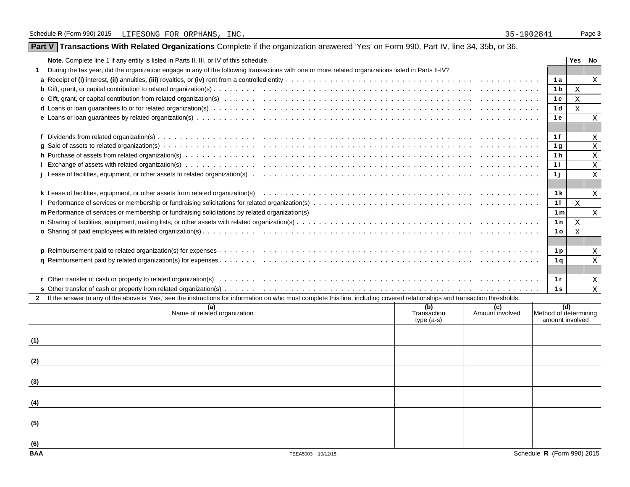|  |  | Part V Transactions With Related Organizations Complete if the organization answered 'Yes' on Form 990, Part IV, line 34, 35b, or 36. |
|--|--|---------------------------------------------------------------------------------------------------------------------------------------|
|  |  |                                                                                                                                       |

| Note. Complete line 1 if any entity is listed in Parts II, III, or IV of this schedule.                                                                                      |                            |                 |                                          | Yes          | No                        |
|------------------------------------------------------------------------------------------------------------------------------------------------------------------------------|----------------------------|-----------------|------------------------------------------|--------------|---------------------------|
| During the tax year, did the organization engage in any of the following transactions with one or more related organizations listed in Parts II-IV?                          |                            |                 |                                          |              |                           |
|                                                                                                                                                                              |                            |                 | 1 a                                      |              | X                         |
|                                                                                                                                                                              |                            |                 | 1 <sub>b</sub>                           | X            |                           |
|                                                                                                                                                                              |                            |                 | 1 <sub>c</sub>                           | $\mathbf x$  |                           |
|                                                                                                                                                                              |                            |                 | 1 <sub>d</sub>                           | $\mathbf{X}$ |                           |
|                                                                                                                                                                              |                            |                 | 1 e                                      |              | X                         |
|                                                                                                                                                                              |                            |                 |                                          |              |                           |
|                                                                                                                                                                              |                            |                 | 1f                                       |              | Χ                         |
|                                                                                                                                                                              |                            |                 | 1 <sub>q</sub>                           |              | $\boldsymbol{\mathrm{X}}$ |
|                                                                                                                                                                              |                            |                 | 1 <sub>h</sub>                           |              | X                         |
|                                                                                                                                                                              |                            |                 | 1i                                       |              | X                         |
|                                                                                                                                                                              |                            |                 | 1 i                                      |              | X                         |
|                                                                                                                                                                              |                            |                 |                                          |              |                           |
|                                                                                                                                                                              |                            |                 | 1k                                       |              | $\mathbf{X}$              |
|                                                                                                                                                                              |                            |                 | 11                                       | $\mathbf{X}$ |                           |
|                                                                                                                                                                              |                            |                 | 1 <sub>m</sub>                           |              | $\boldsymbol{\mathrm{X}}$ |
|                                                                                                                                                                              |                            |                 | 1n                                       | $\mathbf x$  |                           |
|                                                                                                                                                                              |                            |                 | 1 <sub>o</sub>                           | X            |                           |
|                                                                                                                                                                              |                            |                 |                                          |              |                           |
|                                                                                                                                                                              |                            |                 | 1 <sub>p</sub>                           |              | X                         |
|                                                                                                                                                                              |                            |                 | 1 <sub>a</sub>                           |              | X                         |
|                                                                                                                                                                              |                            |                 |                                          |              |                           |
|                                                                                                                                                                              |                            |                 | 1r                                       |              | Χ                         |
|                                                                                                                                                                              |                            |                 | 1 <sub>s</sub>                           |              | $\mathbf{X}$              |
| If the answer to any of the above is 'Yes,' see the instructions for information on who must complete this line, including covered relationships and transaction thresholds. |                            |                 |                                          |              |                           |
| (a)                                                                                                                                                                          | (b)                        | (c)             |                                          | (d)          |                           |
| Name of related organization                                                                                                                                                 | Transaction<br>$type(a-s)$ | Amount involved | Method of determining<br>amount involved |              |                           |

|            | Name of related organization | Transaction<br>type (a-s) | Amount involved | Method of determining<br>amount involved |
|------------|------------------------------|---------------------------|-----------------|------------------------------------------|
| (1)        |                              |                           |                 |                                          |
| (2)        |                              |                           |                 |                                          |
| (3)        |                              |                           |                 |                                          |
| (4)        |                              |                           |                 |                                          |
| (5)        |                              |                           |                 |                                          |
| (6)        |                              |                           |                 |                                          |
| <b>BAA</b> | TEEA5003 10/12/15            |                           |                 | Schedule R (Form 990) 2015               |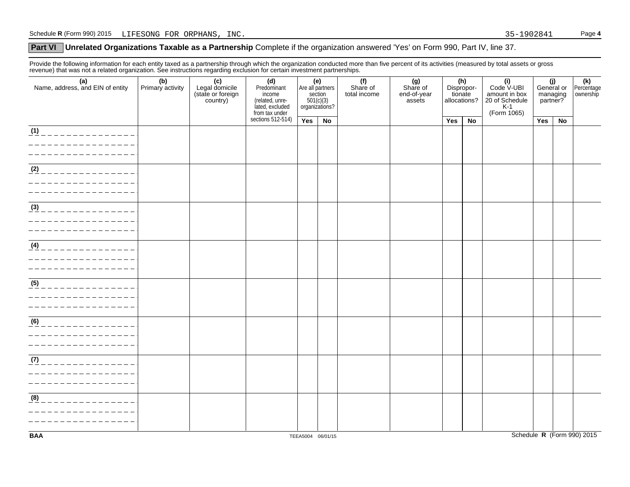#### **Part VI** Unrelated Organizations Taxable as a Partnership Complete if the organization answered 'Yes' on Form 990, Part IV, line 37.

Provide the following information for each entity taxed as a partnership through which the organization conducted more than five percent of its activities (measured by total assets or gross revenue) that was not a related organization. See instructions regarding exclusion for certain investment partnerships.

| (a)<br>Name, address, and EIN of entity                               | (b)<br>Primary activity | (c)<br>Legal domicile<br>(state or foreign<br>country) | (d)<br>Predominant<br>income<br>(related, unre-<br>lated, excluded | (e)<br>Are all partners | section<br>501(c)(3)<br>organizations? | (f)<br>Share of<br>total income | (g)<br>Share of<br>end-of-year<br>assets | tionate<br>allocations? | (h)<br>Dispropor- | (i)<br>Code V-UBI<br>amount in box<br>20 of Schedule<br>$K-1$<br>(Form 1065) | (j)<br>General or<br>managing<br>partner? |    | (k)<br>Percentage<br>ownership |
|-----------------------------------------------------------------------|-------------------------|--------------------------------------------------------|--------------------------------------------------------------------|-------------------------|----------------------------------------|---------------------------------|------------------------------------------|-------------------------|-------------------|------------------------------------------------------------------------------|-------------------------------------------|----|--------------------------------|
|                                                                       |                         |                                                        | from tax under<br>sections 512-514)                                | Yes                     | No                                     |                                 |                                          | Yes                     | No                |                                                                              | Yes                                       | No |                                |
| (1)<br>______________                                                 |                         |                                                        |                                                                    |                         |                                        |                                 |                                          |                         |                   |                                                                              |                                           |    |                                |
| $\overline{ (2)$ _ _ _ _ _ _ _ _ _ _ _ _ _ _ _ _                      |                         |                                                        |                                                                    |                         |                                        |                                 |                                          |                         |                   |                                                                              |                                           |    |                                |
| (3)<br>______________                                                 |                         |                                                        |                                                                    |                         |                                        |                                 |                                          |                         |                   |                                                                              |                                           |    |                                |
| (4)<br>_______________                                                |                         |                                                        |                                                                    |                         |                                        |                                 |                                          |                         |                   |                                                                              |                                           |    |                                |
| $\underline{(5)}$ _ _ _ _ _ _ _ _ _ _ _ _ _ _ _ _<br>________________ |                         |                                                        |                                                                    |                         |                                        |                                 |                                          |                         |                   |                                                                              |                                           |    |                                |
| (6)                                                                   |                         |                                                        |                                                                    |                         |                                        |                                 |                                          |                         |                   |                                                                              |                                           |    |                                |
| (7)<br>_______________<br>_______________<br>_________________        |                         |                                                        |                                                                    |                         |                                        |                                 |                                          |                         |                   |                                                                              |                                           |    |                                |
| (8)<br>______________                                                 |                         |                                                        |                                                                    |                         |                                        |                                 |                                          |                         |                   |                                                                              |                                           |    |                                |
| <b>BAA</b>                                                            |                         |                                                        |                                                                    |                         | TEEA5004 06/01/15                      |                                 |                                          |                         |                   |                                                                              |                                           |    | Schedule R (Form 990) 2015     |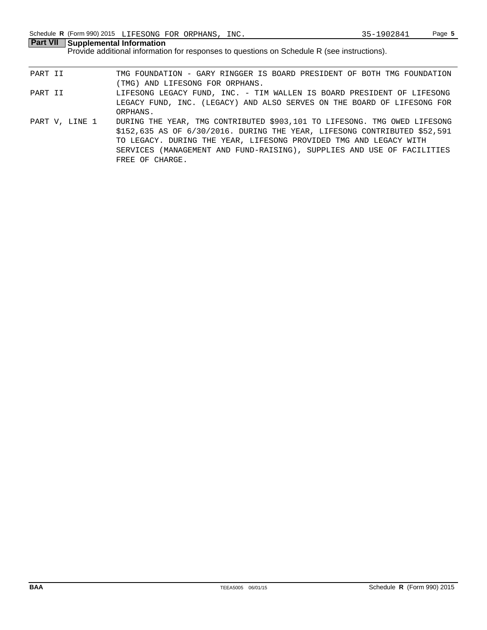**Part VII Supplemental Information** Provide additional information for responses to questions on Schedule R (see instructions).

- PART II TMG FOUNDATION GARY RINGGER IS BOARD PRESIDENT OF BOTH TMG FOUNDATION (TMG) AND LIFESONG FOR ORPHANS. PART II LIFESONG LEGACY FUND, INC. - TIM WALLEN IS BOARD PRESIDENT OF LIFESONG LEGACY FUND, INC. (LEGACY) AND ALSO SERVES ON THE BOARD OF LIFESONG FOR ORPHANS.
- PART V, LINE 1 DURING THE YEAR, TMG CONTRIBUTED \$903,101 TO LIFESONG. TMG OWED LIFESONG \$152,635 AS OF 6/30/2016. DURING THE YEAR, LIFESONG CONTRIBUTED \$52,591 TO LEGACY. DURING THE YEAR, LIFESONG PROVIDED TMG AND LEGACY WITH SERVICES (MANAGEMENT AND FUND-RAISING), SUPPLIES AND USE OF FACILITIES FREE OF CHARGE.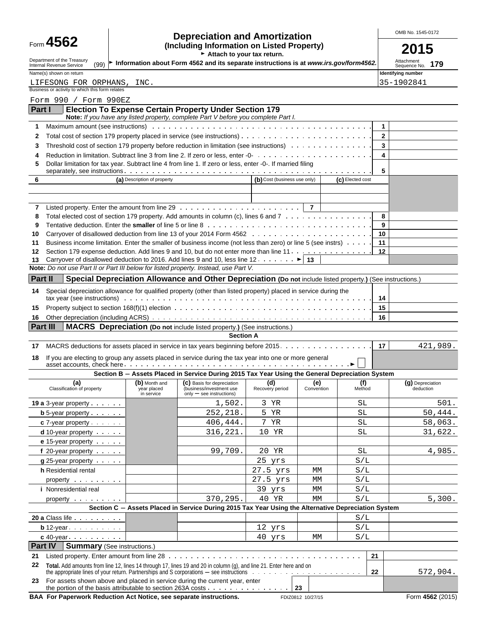| Form 4562 |  |  |
|-----------|--|--|
|-----------|--|--|

### Form **4562 Depreciation and Amortization COMB No. 1545-0172**<br>
(Including Information on Listed Property) **COLL** g Information on Listed Property)  $\overline{\phantom{0}}$  **2015**

| Department of the Treasury<br>Internal Revenue Service                                                                                                                                                                                   | (99) ► Information about Form 4562 and its separate instructions is at www.irs.gov/form4562. | Attachment<br>Sequence No.                                                                                                                          | 179                          |                   |                  |                               |          |
|------------------------------------------------------------------------------------------------------------------------------------------------------------------------------------------------------------------------------------------|----------------------------------------------------------------------------------------------|-----------------------------------------------------------------------------------------------------------------------------------------------------|------------------------------|-------------------|------------------|-------------------------------|----------|
| Name(s) shown on return                                                                                                                                                                                                                  |                                                                                              | Identifying number                                                                                                                                  |                              |                   |                  |                               |          |
| LIFESONG FOR ORPHANS, INC.                                                                                                                                                                                                               |                                                                                              |                                                                                                                                                     |                              |                   |                  | 35-1902841                    |          |
| Business or activity to which this form relates                                                                                                                                                                                          |                                                                                              |                                                                                                                                                     |                              |                   |                  |                               |          |
| Form 990 / Form 990EZ                                                                                                                                                                                                                    |                                                                                              |                                                                                                                                                     |                              |                   |                  |                               |          |
| Part I                                                                                                                                                                                                                                   |                                                                                              | <b>Election To Expense Certain Property Under Section 179</b><br>Note: If you have any listed property, complete Part V before you complete Part I. |                              |                   |                  |                               |          |
| 1                                                                                                                                                                                                                                        |                                                                                              |                                                                                                                                                     |                              |                   |                  | 1                             |          |
| 2                                                                                                                                                                                                                                        |                                                                                              |                                                                                                                                                     |                              |                   |                  | $\overline{2}$                |          |
| 3                                                                                                                                                                                                                                        |                                                                                              |                                                                                                                                                     |                              |                   |                  | 3                             |          |
| 4                                                                                                                                                                                                                                        |                                                                                              |                                                                                                                                                     |                              |                   |                  | 4                             |          |
| Dollar limitation for tax year. Subtract line 4 from line 1. If zero or less, enter -0-. If married filing<br>5                                                                                                                          |                                                                                              |                                                                                                                                                     |                              |                   |                  |                               |          |
| 6                                                                                                                                                                                                                                        | (a) Description of property                                                                  |                                                                                                                                                     | (b) Cost (business use only) |                   | (c) Elected cost | 5                             |          |
|                                                                                                                                                                                                                                          |                                                                                              |                                                                                                                                                     |                              |                   |                  |                               |          |
|                                                                                                                                                                                                                                          |                                                                                              |                                                                                                                                                     |                              |                   |                  |                               |          |
| 7                                                                                                                                                                                                                                        |                                                                                              |                                                                                                                                                     |                              |                   |                  |                               |          |
| Total elected cost of section 179 property. Add amounts in column (c), lines 6 and 7<br>8                                                                                                                                                |                                                                                              |                                                                                                                                                     |                              |                   |                  | 8                             |          |
| Tentative deduction. Enter the <b>smaller</b> of line 5 or line 8 with example with the state of the state of the state of the state of the 8 years of the state of the state of the state of the state of the state of the state o<br>9 |                                                                                              |                                                                                                                                                     |                              |                   |                  | 9                             |          |
| 10                                                                                                                                                                                                                                       |                                                                                              |                                                                                                                                                     |                              |                   |                  | 10                            |          |
| Business income limitation. Enter the smaller of business income (not less than zero) or line 5 (see instrs)<br>11                                                                                                                       |                                                                                              |                                                                                                                                                     |                              |                   |                  | 11                            |          |
| Section 179 expense deduction. Add lines 9 and 10, but do not enter more than line 11.<br>12<br>Carryover of disallowed deduction to 2016. Add lines 9 and 10, less line 12. $\dots \dots$<br>13                                         |                                                                                              |                                                                                                                                                     |                              |                   |                  | 12                            |          |
| Note: Do not use Part II or Part III below for listed property. Instead, use Part V.                                                                                                                                                     |                                                                                              |                                                                                                                                                     |                              |                   |                  |                               |          |
| Part II                                                                                                                                                                                                                                  |                                                                                              | Special Depreciation Allowance and Other Depreciation (Do not include listed property.) (See instructions.)                                         |                              |                   |                  |                               |          |
| Special depreciation allowance for qualified property (other than listed property) placed in service during the                                                                                                                          |                                                                                              |                                                                                                                                                     |                              |                   |                  |                               |          |
| 14                                                                                                                                                                                                                                       |                                                                                              |                                                                                                                                                     |                              |                   |                  | 14                            |          |
| 15                                                                                                                                                                                                                                       |                                                                                              |                                                                                                                                                     |                              |                   |                  | 15                            |          |
| 16                                                                                                                                                                                                                                       |                                                                                              |                                                                                                                                                     |                              |                   |                  | 16                            |          |
| <b>Part III</b>                                                                                                                                                                                                                          |                                                                                              | <b>MACRS</b> Depreciation (Do not include listed property.) (See instructions.)                                                                     |                              |                   |                  |                               |          |
|                                                                                                                                                                                                                                          |                                                                                              | <b>Section A</b>                                                                                                                                    |                              |                   |                  |                               |          |
| MACRS deductions for assets placed in service in tax years beginning before 2015.<br>17                                                                                                                                                  |                                                                                              |                                                                                                                                                     |                              |                   |                  | 17                            | 421,989. |
| If you are electing to group any assets placed in service during the tax year into one or more general<br>18                                                                                                                             |                                                                                              |                                                                                                                                                     |                              |                   |                  |                               |          |
|                                                                                                                                                                                                                                          |                                                                                              |                                                                                                                                                     |                              |                   |                  |                               |          |
|                                                                                                                                                                                                                                          |                                                                                              | Section B - Assets Placed in Service During 2015 Tax Year Using the General Depreciation System                                                     |                              |                   |                  |                               |          |
| (a)<br>Classification of property                                                                                                                                                                                                        | (b) Month and<br>year placed<br>in service                                                   | (C) Basis for depreciation<br>(business/investment use<br>$only - see$ instructions)                                                                | (d)<br>Recovery period       | (e)<br>Convention | (f)<br>Method    | (g) Depreciation<br>deduction |          |
| <b>19 a</b> 3-year property $\cdots$                                                                                                                                                                                                     |                                                                                              | 1,502.                                                                                                                                              | 3 YR                         |                   | SL               |                               | 501.     |
| <b>b</b> 5-year property $\cdots$                                                                                                                                                                                                        |                                                                                              | 252, 218.                                                                                                                                           | Б.<br>YR                     |                   | SL               |                               | 50,444.  |
| $c$ 7-year property $\cdots$                                                                                                                                                                                                             |                                                                                              | 406,444.                                                                                                                                            | 7 YR                         |                   | SL               |                               | 58,063.  |
| <b>d</b> 10-year property                                                                                                                                                                                                                |                                                                                              | 316,221.                                                                                                                                            | 10 YR                        |                   | SL               |                               | 31,622.  |
| <b>e</b> 15-year property $\cdots$                                                                                                                                                                                                       |                                                                                              |                                                                                                                                                     |                              |                   |                  |                               |          |
| f 20-year property                                                                                                                                                                                                                       |                                                                                              | 99,709.                                                                                                                                             | 20 YR<br>25 yrs              |                   | SL               |                               | 4,985.   |
| $g$ 25-year property $\cdots$<br>h Residential rental                                                                                                                                                                                    |                                                                                              |                                                                                                                                                     | 27.5 yrs                     | МM                | S/L<br>S/L       |                               |          |
| property                                                                                                                                                                                                                                 |                                                                                              |                                                                                                                                                     | $27.5$ $yrs$                 | МM                | S/L              |                               |          |
| <i>i</i> Nonresidential real                                                                                                                                                                                                             |                                                                                              |                                                                                                                                                     | 39 yrs                       | МM                | S/L              |                               |          |
| property                                                                                                                                                                                                                                 |                                                                                              | 370,295.                                                                                                                                            | 40 YR                        | МM                | S/L              |                               | 5,300.   |
|                                                                                                                                                                                                                                          |                                                                                              | Section C - Assets Placed in Service During 2015 Tax Year Using the Alternative Depreciation System                                                 |                              |                   |                  |                               |          |
| 20 a Class life                                                                                                                                                                                                                          |                                                                                              |                                                                                                                                                     |                              |                   | S/L              |                               |          |
| <b>b</b> 12-year $\cdots$                                                                                                                                                                                                                |                                                                                              |                                                                                                                                                     | 12 yrs                       |                   | S/L              |                               |          |
| $c$ 40-year $\cdots$                                                                                                                                                                                                                     |                                                                                              |                                                                                                                                                     | 40 yrs                       | МM                | S/L              |                               |          |
| <b>Part IV   Summary (See instructions.)</b>                                                                                                                                                                                             |                                                                                              |                                                                                                                                                     |                              |                   |                  |                               |          |
| 21                                                                                                                                                                                                                                       |                                                                                              |                                                                                                                                                     |                              |                   | 21               |                               |          |
| 22<br>Total. Add amounts from line 12, lines 14 through 17, lines 19 and 20 in column (g), and line 21. Enter here and on                                                                                                                |                                                                                              |                                                                                                                                                     |                              |                   |                  |                               |          |

the appropriate lines of your return. Partnerships and S corporations - see instructions **because to construct on 23** For assets shown above and placed in service during the current year, enter the portion of the basis attributable to section 263A costs **2001 23 23 BAA For Paperwork Reduction Act Notice, see separate instructions.** FDIZ0812 10/27/15 FORM 4562 (2015)

572,904.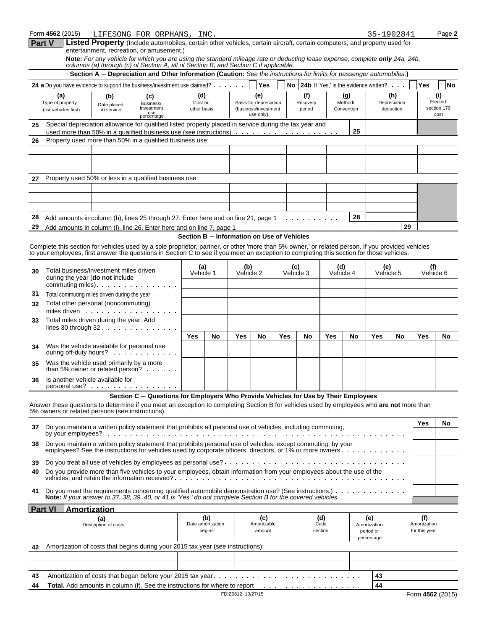|          | Form 4562 (2015)                                                                                                                                                                                                                                                                               |                                                                                                                                                 | LIFESONG FOR ORPHANS, INC.                                                                                                                                                                                          |                                            |                          |                               |                                   |                 |                  |                |                                                           |                     |                         | 35-1902841 |                     | Page 2           |  |
|----------|------------------------------------------------------------------------------------------------------------------------------------------------------------------------------------------------------------------------------------------------------------------------------------------------|-------------------------------------------------------------------------------------------------------------------------------------------------|---------------------------------------------------------------------------------------------------------------------------------------------------------------------------------------------------------------------|--------------------------------------------|--------------------------|-------------------------------|-----------------------------------|-----------------|------------------|----------------|-----------------------------------------------------------|---------------------|-------------------------|------------|---------------------|------------------|--|
|          | <b>Part V</b>                                                                                                                                                                                                                                                                                  |                                                                                                                                                 | Listed Property (Include automobiles, certain other vehicles, certain aircraft, certain computers, and property used for<br>entertainment, recreation, or amusement.)                                               |                                            |                          |                               |                                   |                 |                  |                |                                                           |                     |                         |            |                     |                  |  |
|          |                                                                                                                                                                                                                                                                                                |                                                                                                                                                 | Note: For any vehicle for which you are using the standard mileage rate or deducting lease expense, complete only 24a, 24b,<br>columns (a) through (c) of Section A, all of Section B, and Section C if applicable. |                                            |                          |                               |                                   |                 |                  |                |                                                           |                     |                         |            |                     |                  |  |
|          |                                                                                                                                                                                                                                                                                                |                                                                                                                                                 | Section A - Depreciation and Other Information (Caution: See the instructions for limits for passenger automobiles.)                                                                                                |                                            |                          |                               |                                   |                 |                  |                |                                                           |                     |                         |            |                     |                  |  |
|          | 24 a Do you have evidence to support the business/investment use claimed?                                                                                                                                                                                                                      |                                                                                                                                                 |                                                                                                                                                                                                                     |                                            |                          |                               | <b>Yes</b>                        |                 |                  |                | <b>No</b> 24b If 'Yes,' is the evidence written? $\ldots$ |                     |                         |            | Yes                 | No               |  |
|          | (a)<br>(b)<br>(c)<br>Type of property                                                                                                                                                                                                                                                          |                                                                                                                                                 | (d)<br>Cost or                                                                                                                                                                                                      |                                            |                          | (e)<br>Basis for depreciation |                                   | (f)<br>Recovery |                  | (g)<br>Method/ |                                                           | (h)<br>Depreciation |                         |            | (i)<br>Elected      |                  |  |
|          | (list vehicles first)                                                                                                                                                                                                                                                                          | Business/<br>Date placed<br>investment<br>in service                                                                                            |                                                                                                                                                                                                                     | other basis                                |                          |                               | (business/investment<br>use only) |                 |                  | period         |                                                           | Convention          |                         | deduction  |                     | section 179      |  |
| 25       | Special depreciation allowance for qualified listed property placed in service during the tax year and                                                                                                                                                                                         |                                                                                                                                                 | use<br>percentage                                                                                                                                                                                                   |                                            |                          |                               |                                   |                 |                  |                |                                                           |                     |                         |            |                     | cost             |  |
|          |                                                                                                                                                                                                                                                                                                |                                                                                                                                                 |                                                                                                                                                                                                                     |                                            |                          |                               |                                   |                 |                  |                |                                                           | 25                  |                         |            |                     |                  |  |
| 26       | Property used more than 50% in a qualified business use:                                                                                                                                                                                                                                       |                                                                                                                                                 |                                                                                                                                                                                                                     |                                            |                          |                               |                                   |                 |                  |                |                                                           |                     |                         |            |                     |                  |  |
|          |                                                                                                                                                                                                                                                                                                |                                                                                                                                                 |                                                                                                                                                                                                                     |                                            |                          |                               |                                   |                 |                  |                |                                                           |                     |                         |            |                     |                  |  |
|          |                                                                                                                                                                                                                                                                                                |                                                                                                                                                 |                                                                                                                                                                                                                     |                                            |                          |                               |                                   |                 |                  |                |                                                           |                     |                         |            |                     |                  |  |
| 27       | Property used 50% or less in a qualified business use:                                                                                                                                                                                                                                         |                                                                                                                                                 |                                                                                                                                                                                                                     |                                            |                          |                               |                                   |                 |                  |                |                                                           |                     |                         |            |                     |                  |  |
|          |                                                                                                                                                                                                                                                                                                |                                                                                                                                                 |                                                                                                                                                                                                                     |                                            |                          |                               |                                   |                 |                  |                |                                                           |                     |                         |            |                     |                  |  |
|          |                                                                                                                                                                                                                                                                                                |                                                                                                                                                 |                                                                                                                                                                                                                     |                                            |                          |                               |                                   |                 |                  |                |                                                           |                     |                         |            |                     |                  |  |
| 28       |                                                                                                                                                                                                                                                                                                | 28<br>Add amounts in column (h), lines 25 through 27. Enter here and on line 21, page $1 \cdot \cdot \cdot \cdot \cdot \cdot \cdot \cdot \cdot$ |                                                                                                                                                                                                                     |                                            |                          |                               |                                   |                 |                  |                |                                                           |                     |                         |            |                     |                  |  |
| 29       |                                                                                                                                                                                                                                                                                                |                                                                                                                                                 |                                                                                                                                                                                                                     |                                            |                          |                               |                                   |                 |                  |                |                                                           |                     |                         | 29         |                     |                  |  |
|          |                                                                                                                                                                                                                                                                                                |                                                                                                                                                 |                                                                                                                                                                                                                     | Section B - Information on Use of Vehicles |                          |                               |                                   |                 |                  |                |                                                           |                     |                         |            |                     |                  |  |
|          | Complete this section for vehicles used by a sole proprietor, partner, or other 'more than 5% owner,' or related person. If you provided vehicles<br>to your employees, first answer the questions in Section C to see if you meet an exception to completing this section for those vehicles. |                                                                                                                                                 |                                                                                                                                                                                                                     |                                            |                          |                               |                                   |                 |                  |                |                                                           |                     |                         |            |                     |                  |  |
|          |                                                                                                                                                                                                                                                                                                |                                                                                                                                                 |                                                                                                                                                                                                                     |                                            |                          |                               |                                   |                 |                  |                |                                                           |                     |                         |            |                     |                  |  |
| 30       | Total business/investment miles driven                                                                                                                                                                                                                                                         |                                                                                                                                                 |                                                                                                                                                                                                                     | Vehicle 1                                  | (a)                      | (b)                           | Vehicle 2                         |                 | (c)<br>Vehicle 3 |                | (d)<br>Vehicle 4                                          |                     | (e)                     | Vehicle 5  | (f)<br>Vehicle 6    |                  |  |
|          |                                                                                                                                                                                                                                                                                                | during the year (do not include                                                                                                                 |                                                                                                                                                                                                                     |                                            |                          |                               |                                   |                 |                  |                |                                                           |                     |                         |            |                     |                  |  |
| 31       | Total commuting miles driven during the year                                                                                                                                                                                                                                                   |                                                                                                                                                 |                                                                                                                                                                                                                     |                                            |                          |                               |                                   |                 |                  |                |                                                           |                     |                         |            |                     |                  |  |
| 32       | Total other personal (noncommuting)<br>miles driven                                                                                                                                                                                                                                            |                                                                                                                                                 |                                                                                                                                                                                                                     |                                            |                          |                               |                                   |                 |                  |                |                                                           |                     |                         |            |                     |                  |  |
| 33       | Total miles driven during the year. Add                                                                                                                                                                                                                                                        |                                                                                                                                                 |                                                                                                                                                                                                                     |                                            |                          |                               |                                   |                 |                  |                |                                                           |                     |                         |            |                     |                  |  |
|          | lines 30 through $32 \cdot \cdot \cdot \cdot \cdot \cdot \cdot \cdot \cdot \cdot$                                                                                                                                                                                                              |                                                                                                                                                 |                                                                                                                                                                                                                     |                                            |                          |                               |                                   |                 |                  |                |                                                           |                     |                         |            |                     |                  |  |
|          | Was the vehicle available for personal use                                                                                                                                                                                                                                                     |                                                                                                                                                 |                                                                                                                                                                                                                     | Yes                                        | No                       | <b>Yes</b>                    | No                                | Yes             |                  | No             | Yes                                                       | No                  | Yes                     | No         | Yes                 | No               |  |
| 34       | during off-duty hours?                                                                                                                                                                                                                                                                         |                                                                                                                                                 |                                                                                                                                                                                                                     |                                            |                          |                               |                                   |                 |                  |                |                                                           |                     |                         |            |                     |                  |  |
| 35       | Was the vehicle used primarily by a more<br>than 5% owner or related person?                                                                                                                                                                                                                   |                                                                                                                                                 |                                                                                                                                                                                                                     |                                            |                          |                               |                                   |                 |                  |                |                                                           |                     |                         |            |                     |                  |  |
| 36       | Is another vehicle available for<br>personal use?                                                                                                                                                                                                                                              |                                                                                                                                                 |                                                                                                                                                                                                                     |                                            |                          |                               |                                   |                 |                  |                |                                                           |                     |                         |            |                     |                  |  |
|          |                                                                                                                                                                                                                                                                                                |                                                                                                                                                 | Section C - Questions for Employers Who Provide Vehicles for Use by Their Employees                                                                                                                                 |                                            |                          |                               |                                   |                 |                  |                |                                                           |                     |                         |            |                     |                  |  |
|          | Answer these questions to determine if you meet an exception to completing Section B for vehicles used by employees who are not more than<br>5% owners or related persons (see instructions).                                                                                                  |                                                                                                                                                 |                                                                                                                                                                                                                     |                                            |                          |                               |                                   |                 |                  |                |                                                           |                     |                         |            |                     |                  |  |
| 37       | Do you maintain a written policy statement that prohibits all personal use of vehicles, including commuting,                                                                                                                                                                                   |                                                                                                                                                 |                                                                                                                                                                                                                     |                                            |                          |                               |                                   | Yes             | No               |                |                                                           |                     |                         |            |                     |                  |  |
|          |                                                                                                                                                                                                                                                                                                |                                                                                                                                                 |                                                                                                                                                                                                                     |                                            |                          |                               |                                   |                 |                  |                |                                                           |                     |                         |            |                     |                  |  |
| 38       | Do you maintain a written policy statement that prohibits personal use of vehicles, except commuting, by your                                                                                                                                                                                  |                                                                                                                                                 |                                                                                                                                                                                                                     |                                            |                          |                               |                                   |                 |                  |                |                                                           |                     |                         |            |                     |                  |  |
| 39       |                                                                                                                                                                                                                                                                                                |                                                                                                                                                 |                                                                                                                                                                                                                     |                                            |                          |                               |                                   |                 |                  |                |                                                           |                     |                         |            |                     |                  |  |
| 40       | Do you provide more than five vehicles to your employees, obtain information from your employees about the use of the                                                                                                                                                                          |                                                                                                                                                 |                                                                                                                                                                                                                     |                                            |                          |                               |                                   |                 |                  |                |                                                           |                     |                         |            |                     |                  |  |
| 41       | Do you meet the requirements concerning qualified automobile demonstration use? (See instructions.)<br>Note: If your answer to 37, 38, 39, 40, or 41 is 'Yes,' do not complete Section B for the covered vehicles.                                                                             |                                                                                                                                                 |                                                                                                                                                                                                                     |                                            |                          |                               |                                   |                 |                  |                |                                                           |                     |                         |            |                     |                  |  |
|          | <b>Part VI</b><br>Amortization                                                                                                                                                                                                                                                                 |                                                                                                                                                 |                                                                                                                                                                                                                     |                                            |                          |                               |                                   |                 |                  |                |                                                           |                     |                         |            |                     |                  |  |
|          |                                                                                                                                                                                                                                                                                                | (a)<br>Description of costs                                                                                                                     |                                                                                                                                                                                                                     |                                            | (b)<br>Date amortization |                               | (c)<br>Amortizable                |                 |                  |                | (d)<br>Code                                               |                     | (e)<br>Amortization     |            | (f)<br>Amortization |                  |  |
|          |                                                                                                                                                                                                                                                                                                |                                                                                                                                                 |                                                                                                                                                                                                                     |                                            | begins                   |                               | amount                            |                 |                  |                | section                                                   |                     | period or<br>percentage |            | for this year       |                  |  |
| 42       | Amortization of costs that begins during your 2015 tax year (see instructions):                                                                                                                                                                                                                |                                                                                                                                                 |                                                                                                                                                                                                                     |                                            |                          |                               |                                   |                 |                  |                |                                                           |                     |                         |            |                     |                  |  |
|          |                                                                                                                                                                                                                                                                                                |                                                                                                                                                 |                                                                                                                                                                                                                     |                                            |                          |                               |                                   |                 |                  |                |                                                           |                     |                         |            |                     |                  |  |
|          |                                                                                                                                                                                                                                                                                                |                                                                                                                                                 |                                                                                                                                                                                                                     |                                            |                          |                               |                                   |                 |                  |                |                                                           |                     |                         |            |                     |                  |  |
| 43<br>44 |                                                                                                                                                                                                                                                                                                |                                                                                                                                                 |                                                                                                                                                                                                                     |                                            |                          |                               |                                   |                 |                  |                |                                                           |                     | 43<br>44                |            |                     |                  |  |
|          |                                                                                                                                                                                                                                                                                                |                                                                                                                                                 |                                                                                                                                                                                                                     |                                            |                          | FDIZ0812 10/27/15             |                                   |                 |                  |                |                                                           |                     |                         |            |                     | Form 4562 (2015) |  |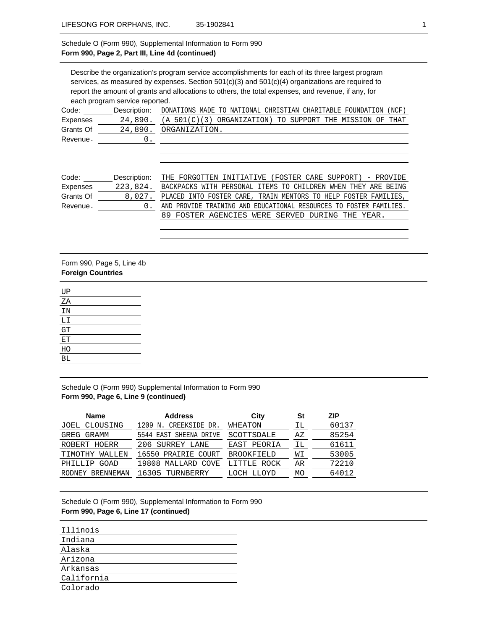#### Schedule O (Form 990), Supplemental Information to Form 990 **Form 990, Page 2, Part III, Line 4d (continued)**

Describe the organization's program service accomplishments for each of its three largest program services, as measured by expenses. Section 501(c)(3) and 501(c)(4) organizations are required to report the amount of grants and allocations to others, the total expenses, and revenue, if any, for each program service reported. Code: Description: DONATIONS MADE TO NATIONAL CHRISTIAN CHARITABLE FOUNDATION (NCF) Expenses Grants Of Revenue. 24,890. (A 501(C)(3) ORGANIZATION) TO SUPPORT THE MISSION OF THAT 24,890. ORGANIZATION. 0.

| Code:     | Description: | THE FORGOTTEN INITIATIVE (FOSTER CARE SUPPORT) - PROVIDE               |
|-----------|--------------|------------------------------------------------------------------------|
| Expenses  | 223,824.     | BACKPACKS WITH PERSONAL ITEMS TO CHILDREN WHEN THEY ARE BEING          |
| Grants Of |              | 8,027. PLACED INTO FOSTER CARE, TRAIN MENTORS TO HELP FOSTER FAMILIES, |
| Revenue.  |              | AND PROVIDE TRAINING AND EDUCATIONAL RESOURCES TO FOSTER FAMILIES.     |
|           |              | 89 FOSTER AGENCIES WERE SERVED DURING THE YEAR.                        |

#### Form 990, Page 5, Line 4b **Foreign Countries**

| UP |  |
|----|--|
| ΖA |  |
| ΙN |  |
| LI |  |
| GT |  |
| ЕT |  |
| HO |  |
| BL |  |

Schedule O (Form 990) Supplemental Information to Form 990 **Form 990, Page 6, Line 9 (continued)**

| 60137 |
|-------|
| 85254 |
| 61611 |
| 53005 |
| 72210 |
| 64012 |
|       |

Schedule O (Form 990), Supplemental Information to Form 990 **Form 990, Page 6, Line 17 (continued)**

| Illinois   |
|------------|
| Indiana    |
| Alaska     |
| Arizona    |
| Arkansas   |
| California |
| Colorado   |